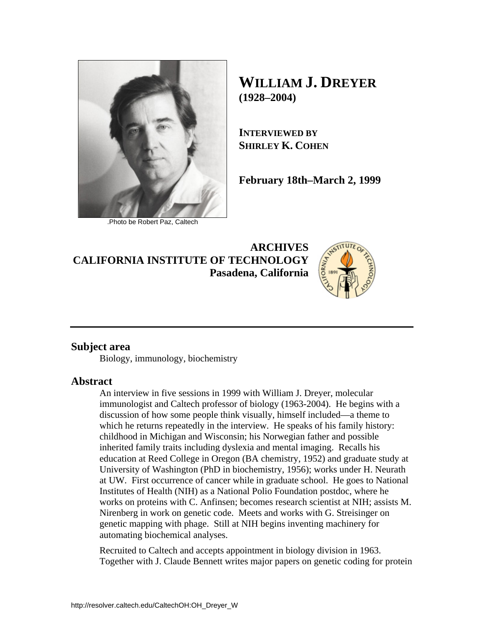

.Photo be Robert Paz, Caltech

**WILLIAM J. DREYER (1928–2004)** 

**INTERVIEWED BY SHIRLEY K. COHEN**

**February 18th–March 2, 1999** 

**ARCHIVES CALIFORNIA INSTITUTE OF TECHNOLOGY Pasadena, California**



## **Subject area**

Biology, immunology, biochemistry

## **Abstract**

An interview in five sessions in 1999 with William J. Dreyer, molecular immunologist and Caltech professor of biology (1963-2004). He begins with a discussion of how some people think visually, himself included—a theme to which he returns repeatedly in the interview. He speaks of his family history: childhood in Michigan and Wisconsin; his Norwegian father and possible inherited family traits including dyslexia and mental imaging. Recalls his education at Reed College in Oregon (BA chemistry, 1952) and graduate study at University of Washington (PhD in biochemistry, 1956); works under H. Neurath at UW. First occurrence of cancer while in graduate school. He goes to National Institutes of Health (NIH) as a National Polio Foundation postdoc, where he works on proteins with C. Anfinsen; becomes research scientist at NIH; assists M. Nirenberg in work on genetic code. Meets and works with G. Streisinger on genetic mapping with phage. Still at NIH begins inventing machinery for automating biochemical analyses.

Recruited to Caltech and accepts appointment in biology division in 1963. Together with J. Claude Bennett writes major papers on genetic coding for protein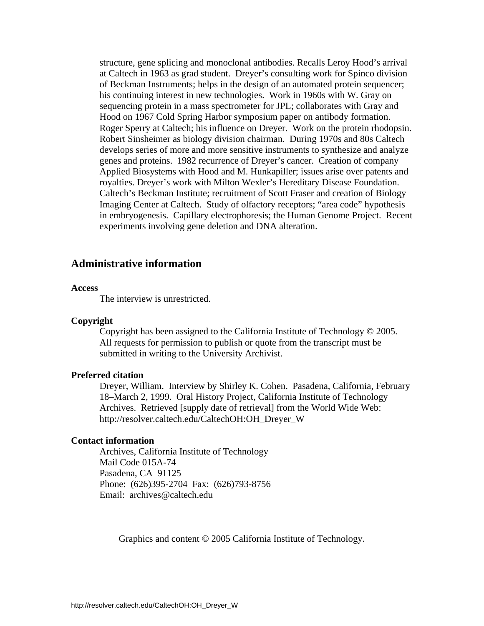structure, gene splicing and monoclonal antibodies. Recalls Leroy Hood's arrival at Caltech in 1963 as grad student. Dreyer's consulting work for Spinco division of Beckman Instruments; helps in the design of an automated protein sequencer; his continuing interest in new technologies. Work in 1960s with W. Gray on sequencing protein in a mass spectrometer for JPL; collaborates with Gray and Hood on 1967 Cold Spring Harbor symposium paper on antibody formation. Roger Sperry at Caltech; his influence on Dreyer. Work on the protein rhodopsin. Robert Sinsheimer as biology division chairman. During 1970s and 80s Caltech develops series of more and more sensitive instruments to synthesize and analyze genes and proteins. 1982 recurrence of Dreyer's cancer. Creation of company Applied Biosystems with Hood and M. Hunkapiller; issues arise over patents and royalties. Dreyer's work with Milton Wexler's Hereditary Disease Foundation. Caltech's Beckman Institute; recruitment of Scott Fraser and creation of Biology Imaging Center at Caltech. Study of olfactory receptors; "area code" hypothesis in embryogenesis. Capillary electrophoresis; the Human Genome Project. Recent experiments involving gene deletion and DNA alteration.

### **Administrative information**

### **Access**

The interview is unrestricted.

### **Copyright**

 Copyright has been assigned to the California Institute of Technology © 2005. All requests for permission to publish or quote from the transcript must be submitted in writing to the University Archivist.

### **Preferred citation**

 Dreyer, William. Interview by Shirley K. Cohen. Pasadena, California, February 18–March 2, 1999. Oral History Project, California Institute of Technology Archives. Retrieved [supply date of retrieval] from the World Wide Web: http://resolver.caltech.edu/CaltechOH:OH\_Dreyer\_W

### **Contact information**

 Archives, California Institute of Technology Mail Code 015A-74 Pasadena, CA 91125 Phone: (626)395-2704 Fax: (626)793-8756 Email: archives@caltech.edu

Graphics and content © 2005 California Institute of Technology.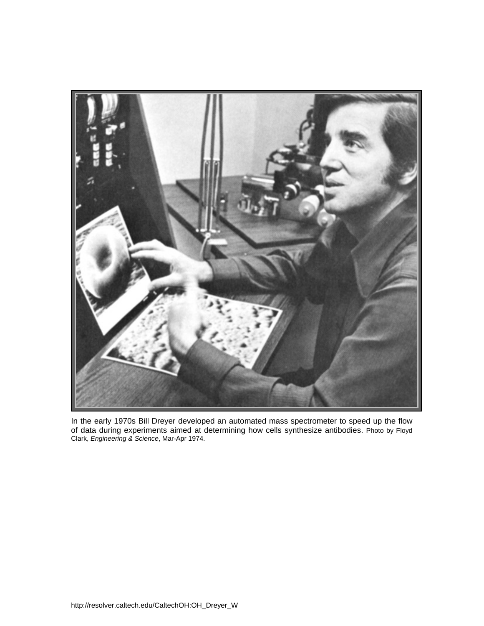

In the early 1970s Bill Dreyer developed an automated mass spectrometer to speed up the flow of data during experiments aimed at determining how cells synthesize antibodies. Photo by Floyd Clark, *Engineering & Science*, Mar-Apr 1974.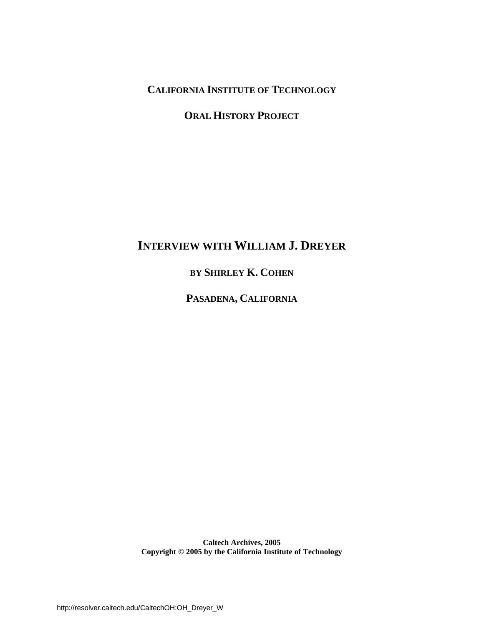**CALIFORNIA INSTITUTE OF TECHNOLOGY**

**ORAL HISTORY PROJECT**

# **INTERVIEW WITH WILLIAM J. DREYER**

**BY SHIRLEY K. COHEN**

**PASADENA, CALIFORNIA**

**Caltech Archives, 2005 Copyright © 2005 by the California Institute of Technology**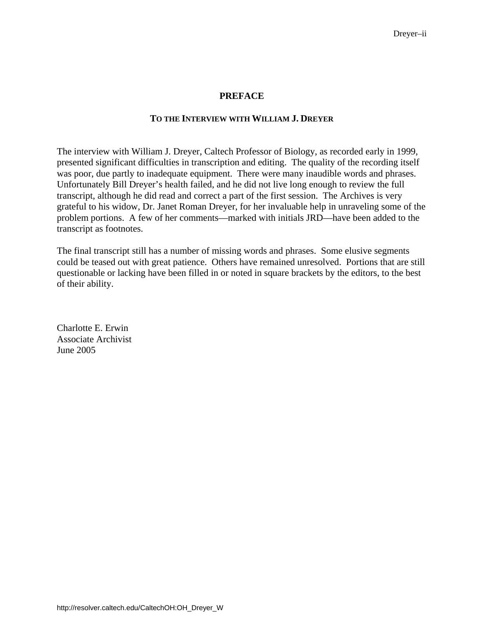### **PREFACE**

### **TO THE INTERVIEW WITH WILLIAM J. DREYER**

The interview with William J. Dreyer, Caltech Professor of Biology, as recorded early in 1999, presented significant difficulties in transcription and editing. The quality of the recording itself was poor, due partly to inadequate equipment. There were many inaudible words and phrases. Unfortunately Bill Dreyer's health failed, and he did not live long enough to review the full transcript, although he did read and correct a part of the first session. The Archives is very grateful to his widow, Dr. Janet Roman Dreyer, for her invaluable help in unraveling some of the problem portions. A few of her comments—marked with initials JRD—have been added to the transcript as footnotes.

The final transcript still has a number of missing words and phrases. Some elusive segments could be teased out with great patience. Others have remained unresolved. Portions that are still questionable or lacking have been filled in or noted in square brackets by the editors, to the best of their ability.

Charlotte E. Erwin Associate Archivist June 2005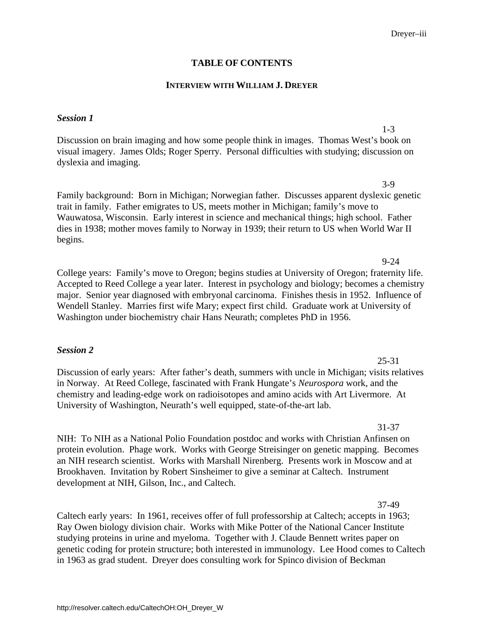### **TABLE OF CONTENTS**

### **INTERVIEW WITH WILLIAM J. DREYER**

### *Session 1*

Discussion on brain imaging and how some people think in images. Thomas West's book on [visual imagery. James Olds; Roger Sperry. Personal difficulties with studying; discussion on](#page-8-0)  dyslexia and imaging.

[Family background: Born in Michigan; Norwegian father. Discusses apparent dyslexic genetic](#page-10-0)  trait in family. Father emigrates to US, meets mother in Michigan; family's move to Wauwatosa, Wisconsin. Early interest in science and mechanical things; high school. Father dies in 1938; mother moves family to Norway in 1939; their return to US when World War II begins.

College years: Family's move to Oregon; begins studies at University of Oregon; fraternity life. [Accepted to Reed College a year later. Interest in psychology and biology; becomes a chemistry](#page-16-0)  major. Senior year diagnosed with embryonal carcinoma. Finishes thesis in 1952. Influence of Wendell Stanley. Marries first wife Mary; expect first child. Graduate work at University of Washington under biochemistry chair Hans Neurath; completes PhD in 1956.

### *Session 2*

[Discussion of early years: After father's death, summers with uncle in Michigan; visits relatives](#page-32-0)  in Norway. At Reed College, fascinated with Frank Hungate's *Neurospora* work, and the chemistry and leading-edge work on radioisotopes and amino acids with Art Livermore. At University of Washington, Neurath's well equipped, state-of-the-art lab.

NIH: To NIH as a National Polio Foundation postdoc and works with Christian Anfinsen on [protein evolution. Phage work. Works with George Streisinger on genetic mapping. Becomes](#page-38-0)  an NIH research scientist. Works with Marshall Nirenberg. Presents work in Moscow and at Brookhaven. Invitation by Robert Sinsheimer to give a seminar at Caltech. Instrument development at NIH, Gilson, Inc., and Caltech.

Caltech early years: In 1961, receives offer of full professorship at Caltech; accepts in 1963; Ray Owen biology division chair. Works with Mike Potter of the National Cancer Institute studying proteins in urine and myeloma. Together with J. Claude Bennett writes paper on [genetic coding for protein structure; both interested in immunology. Lee Hood comes to Caltech](#page-44-0)  in 1963 as grad student. Dreyer does consulting work for Spinco division of Beckman

25-31

# 31-37

37-49

3-9

1-3

9-24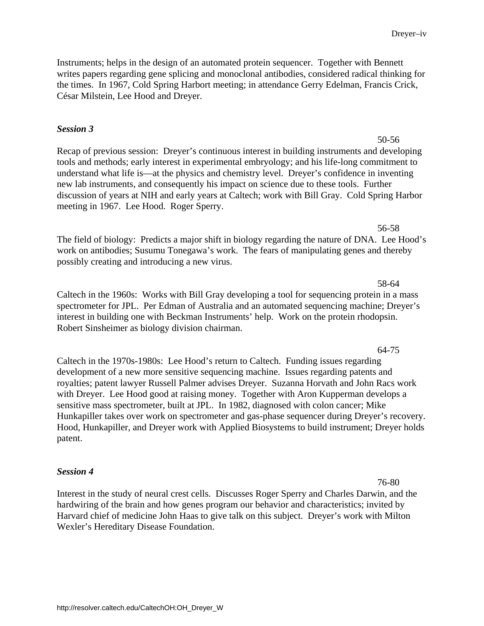Instruments; helps in the design of an automated protein sequencer. Together with Bennett [writes papers regarding gene splicing and monoclonal antibodies, considered radical thinking for](#page-44-0)  the times. In 1967, Cold Spring Harbort meeting; in attendance Gerry Edelman, Francis Crick, César Milstein, Lee Hood and Dreyer.

## *Session 3*

50-56 [Recap of previous session: Dreyer's continuous interest in building instruments and developing](#page-57-0)  tools and methods; early interest in experimental embryology; and his life-long commitment to understand what life is—at the physics and chemistry level. Dreyer's confidence in inventing new lab instruments, and consequently his impact on science due to these tools. Further discussion of years at NIH and early years at Caltech; work with Bill Gray. Cold Spring Harbor meeting in 1967. Lee Hood. Roger Sperry.

56-58 [The field of biology: Predicts a major shift in biology regarding the nature of DNA. Lee Hood's](#page-63-0) work on antibodies; Susumu Tonegawa's work. The fears of manipulating genes and thereby possibly creating and introducing a new virus.

58-64 Caltech in the 1960s: Works with Bill Gray developing a tool for sequencing protein in a mass [spectrometer for JPL. Per Edman of Australia and an automated sequencing machine; Dreyer's](#page-65-0)  interest in building one with Beckman Instruments' help. Work on the protein rhodopsin. Robert Sinsheimer as biology division chairman.

Caltech in the 1970s-1980s: Lee Hood's return to Caltech. Funding issues regarding development of a new more sensitive sequencing machine. Issues regarding patents and royalties; patent lawyer Russell Palmer advises Dreyer. Suzanna Horvath and John Racs work with Dreyer. Lee Hood good at raising money. Together with Aron Kupperman develops a sensitive mass spectrometer, built at JPL. In 1982, diagnosed with colon cancer; Mike [Hunkapiller takes over work on spectrometer and gas-phase sequencer during Dreyer's recovery.](#page-71-0)  Hood, Hunkapiller, and Dreyer work with Applied Biosystems to build instrument; Dreyer holds patent.

### *Session 4*

[Interest in the study of neural crest cells. Discusses Roger Sperry and Charles Darwin, and the](#page-83-0)  hardwiring of the brain and how genes program our behavior and characteristics; invited by Harvard chief of medicine John Haas to give talk on this subject. Dreyer's work with Milton Wexler's Hereditary Disease Foundation.

Dreyer–iv

64-75

76-80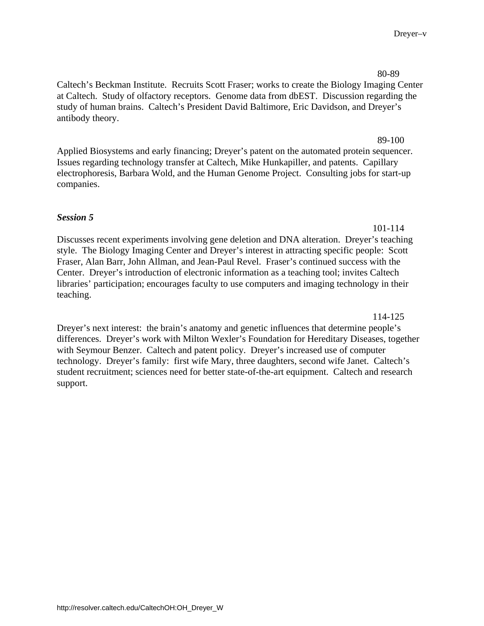[Caltech's Beckman Institute. Recruits Scott Fraser; works to create the Biology Imaging Center](#page-87-0) at Caltech. Study of olfactory receptors. Genome data from dbEST. Discussion regarding the study of human brains. Caltech's President David Baltimore, Eric Davidson, and Dreyer's antibody theory.

[Applied Biosystems and early financing; Dreyer's patent on the automated protein sequencer.](#page-96-0)  Issues regarding technology transfer at Caltech, Mike Hunkapiller, and patents. Capillary electrophoresis, Barbara Wold, and the Human Genome Project. Consulting jobs for start-up companies.

## *Session 5*

[Discusses recent experiments involving gene deletion and DNA alteration. Dreyer's teaching](#page-108-0)  style. The Biology Imaging Center and Dreyer's interest in attracting specific people: Scott Fraser, Alan Barr, John Allman, and Jean-Paul Revel. Fraser's continued success with the Center. Dreyer's introduction of electronic information as a teaching tool; invites Caltech libraries' participation; encourages faculty to use computers and imaging technology in their teaching.

114-125

101-114

Dreyer's next interest: the brain's anatomy and genetic influences that determine people's [differences. Dreyer's work with Milton Wexler's Foundation for Hereditary Diseases, together](#page-121-0)  with Seymour Benzer. Caltech and patent policy. Dreyer's increased use of computer technology. Dreyer's family: first wife Mary, three daughters, second wife Janet. Caltech's student recruitment; sciences need for better state-of-the-art equipment. Caltech and research support.

89-100

Dreyer–v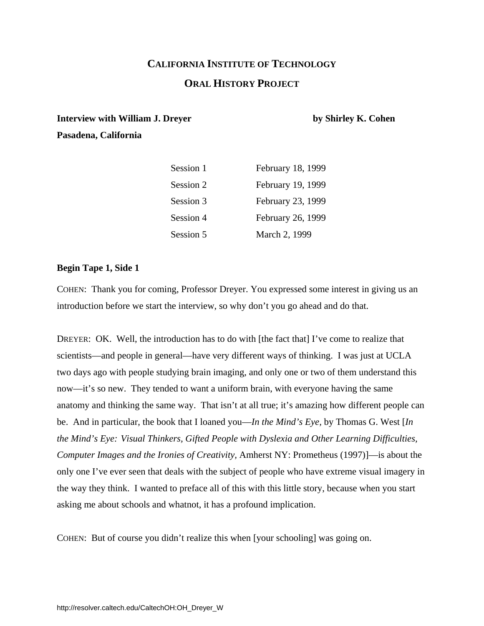# **CALIFORNIA INSTITUTE OF TECHNOLOGY ORAL HISTORY PROJECT**

## <span id="page-8-0"></span>**Interview with William J. Dreyer by Shirley K. Cohen**

**Pasadena, California** 

| Session 1 | February 18, 1999 |
|-----------|-------------------|
| Session 2 | February 19, 1999 |
| Session 3 | February 23, 1999 |
| Session 4 | February 26, 1999 |
| Session 5 | March 2, 1999     |

## **Begin Tape 1, Side 1**

COHEN: Thank you for coming, Professor Dreyer. You expressed some interest in giving us an introduction before we start the interview, so why don't you go ahead and do that.

DREYER: OK. Well, the introduction has to do with [the fact that] I've come to realize that scientists—and people in general—have very different ways of thinking. I was just at UCLA two days ago with people studying brain imaging, and only one or two of them understand this now—it's so new. They tended to want a uniform brain, with everyone having the same anatomy and thinking the same way. That isn't at all true; it's amazing how different people can be. And in particular, the book that I loaned you—*In the Mind's Eye,* by Thomas G. West [*In the Mind's Eye: Visual Thinkers, Gifted People with Dyslexia and Other Learning Difficulties, Computer Images and the Ironies of Creativity,* Amherst NY: Prometheus (1997)]—is about the only one I've ever seen that deals with the subject of people who have extreme visual imagery in the way they think. I wanted to preface all of this with this little story, because when you start asking me about schools and whatnot, it has a profound implication.

COHEN: But of course you didn't realize this when [your schooling] was going on.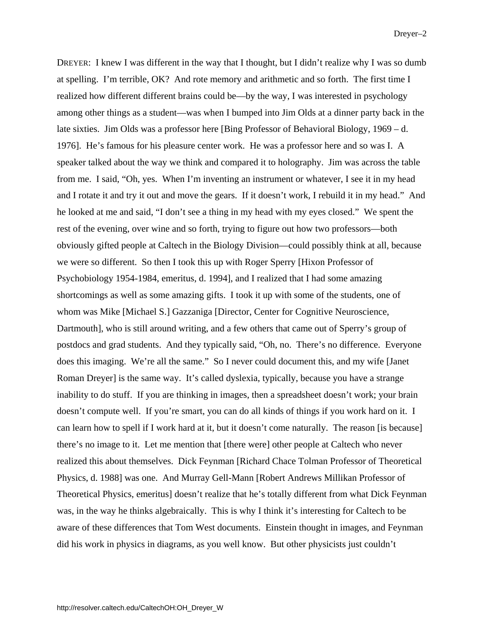DREYER: I knew I was different in the way that I thought, but I didn't realize why I was so dumb at spelling. I'm terrible, OK? And rote memory and arithmetic and so forth. The first time I realized how different different brains could be—by the way, I was interested in psychology among other things as a student—was when I bumped into Jim Olds at a dinner party back in the late sixties. Jim Olds was a professor here [Bing Professor of Behavioral Biology, 1969 – d. 1976]. He's famous for his pleasure center work. He was a professor here and so was I. A speaker talked about the way we think and compared it to holography. Jim was across the table from me. I said, "Oh, yes. When I'm inventing an instrument or whatever, I see it in my head and I rotate it and try it out and move the gears. If it doesn't work, I rebuild it in my head." And he looked at me and said, "I don't see a thing in my head with my eyes closed." We spent the rest of the evening, over wine and so forth, trying to figure out how two professors—both obviously gifted people at Caltech in the Biology Division—could possibly think at all, because we were so different. So then I took this up with Roger Sperry [Hixon Professor of Psychobiology 1954-1984, emeritus, d. 1994], and I realized that I had some amazing shortcomings as well as some amazing gifts. I took it up with some of the students, one of whom was Mike [Michael S.] Gazzaniga [Director, Center for Cognitive Neuroscience, Dartmouth], who is still around writing, and a few others that came out of Sperry's group of postdocs and grad students. And they typically said, "Oh, no. There's no difference. Everyone does this imaging. We're all the same." So I never could document this, and my wife [Janet Roman Dreyer] is the same way. It's called dyslexia, typically, because you have a strange inability to do stuff. If you are thinking in images, then a spreadsheet doesn't work; your brain doesn't compute well. If you're smart, you can do all kinds of things if you work hard on it. I can learn how to spell if I work hard at it, but it doesn't come naturally. The reason [is because] there's no image to it. Let me mention that [there were] other people at Caltech who never realized this about themselves. Dick Feynman [Richard Chace Tolman Professor of Theoretical Physics, d. 1988] was one. And Murray Gell-Mann [Robert Andrews Millikan Professor of Theoretical Physics, emeritus] doesn't realize that he's totally different from what Dick Feynman was, in the way he thinks algebraically. This is why I think it's interesting for Caltech to be aware of these differences that Tom West documents. Einstein thought in images, and Feynman did his work in physics in diagrams, as you well know. But other physicists just couldn't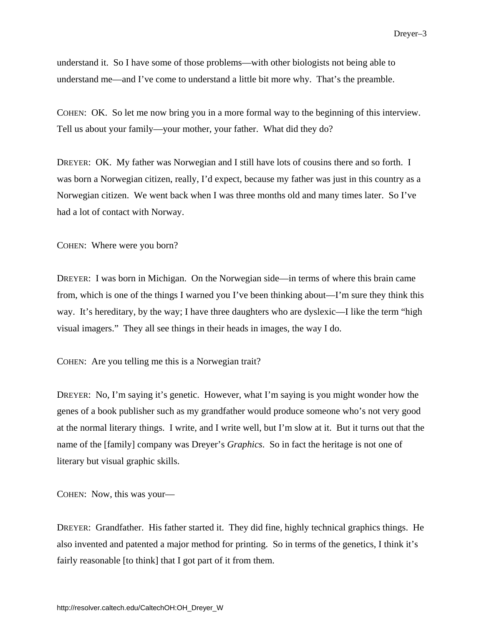<span id="page-10-0"></span>understand it. So I have some of those problems—with other biologists not being able to understand me—and I've come to understand a little bit more why. That's the preamble.

COHEN: OK. So let me now bring you in a more formal way to the beginning of this interview. Tell us about your family—your mother, your father. What did they do?

DREYER: OK. My father was Norwegian and I still have lots of cousins there and so forth. I was born a Norwegian citizen, really, I'd expect, because my father was just in this country as a Norwegian citizen. We went back when I was three months old and many times later. So I've had a lot of contact with Norway.

COHEN: Where were you born?

DREYER: I was born in Michigan. On the Norwegian side—in terms of where this brain came from, which is one of the things I warned you I've been thinking about—I'm sure they think this way. It's hereditary, by the way; I have three daughters who are dyslexic—I like the term "high visual imagers." They all see things in their heads in images, the way I do.

COHEN: Are you telling me this is a Norwegian trait?

DREYER: No, I'm saying it's genetic. However, what I'm saying is you might wonder how the genes of a book publisher such as my grandfather would produce someone who's not very good at the normal literary things. I write, and I write well, but I'm slow at it. But it turns out that the name of the [family] company was Dreyer's *Graphics*. So in fact the heritage is not one of literary but visual graphic skills.

COHEN: Now, this was your—

DREYER: Grandfather. His father started it. They did fine, highly technical graphics things. He also invented and patented a major method for printing. So in terms of the genetics, I think it's fairly reasonable [to think] that I got part of it from them.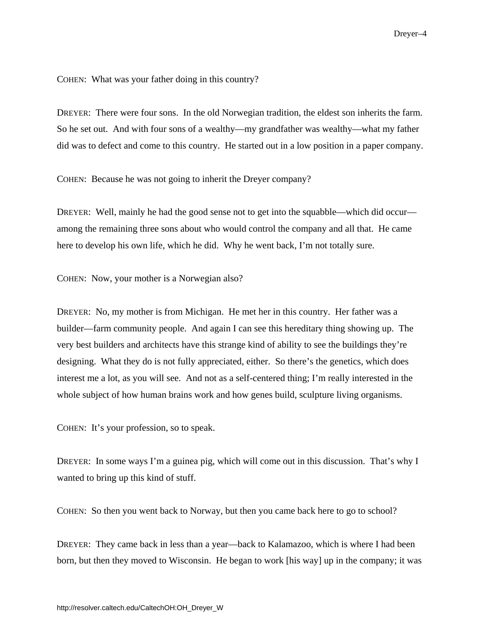COHEN: What was your father doing in this country?

DREYER: There were four sons. In the old Norwegian tradition, the eldest son inherits the farm. So he set out. And with four sons of a wealthy—my grandfather was wealthy—what my father did was to defect and come to this country. He started out in a low position in a paper company.

COHEN: Because he was not going to inherit the Dreyer company?

DREYER: Well, mainly he had the good sense not to get into the squabble—which did occur among the remaining three sons about who would control the company and all that. He came here to develop his own life, which he did. Why he went back, I'm not totally sure.

COHEN: Now, your mother is a Norwegian also?

DREYER: No, my mother is from Michigan. He met her in this country. Her father was a builder—farm community people. And again I can see this hereditary thing showing up. The very best builders and architects have this strange kind of ability to see the buildings they're designing. What they do is not fully appreciated, either. So there's the genetics, which does interest me a lot, as you will see. And not as a self-centered thing; I'm really interested in the whole subject of how human brains work and how genes build, sculpture living organisms.

COHEN: It's your profession, so to speak.

DREYER: In some ways I'm a guinea pig, which will come out in this discussion. That's why I wanted to bring up this kind of stuff.

COHEN: So then you went back to Norway, but then you came back here to go to school?

DREYER: They came back in less than a year—back to Kalamazoo, which is where I had been born, but then they moved to Wisconsin. He began to work [his way] up in the company; it was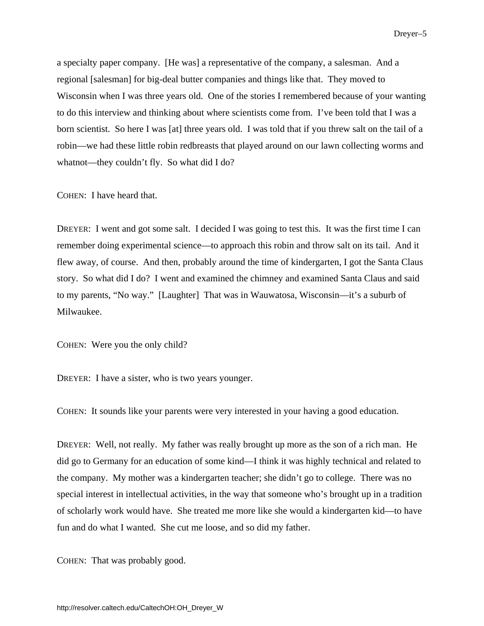a specialty paper company. [He was] a representative of the company, a salesman. And a regional [salesman] for big-deal butter companies and things like that. They moved to Wisconsin when I was three years old. One of the stories I remembered because of your wanting to do this interview and thinking about where scientists come from. I've been told that I was a born scientist. So here I was [at] three years old. I was told that if you threw salt on the tail of a robin—we had these little robin redbreasts that played around on our lawn collecting worms and whatnot—they couldn't fly. So what did I do?

COHEN: I have heard that.

DREYER: I went and got some salt. I decided I was going to test this. It was the first time I can remember doing experimental science—to approach this robin and throw salt on its tail. And it flew away, of course. And then, probably around the time of kindergarten, I got the Santa Claus story. So what did I do? I went and examined the chimney and examined Santa Claus and said to my parents, "No way." [Laughter] That was in Wauwatosa, Wisconsin—it's a suburb of Milwaukee.

COHEN: Were you the only child?

DREYER: I have a sister, who is two years younger.

COHEN: It sounds like your parents were very interested in your having a good education.

DREYER: Well, not really. My father was really brought up more as the son of a rich man. He did go to Germany for an education of some kind—I think it was highly technical and related to the company. My mother was a kindergarten teacher; she didn't go to college. There was no special interest in intellectual activities, in the way that someone who's brought up in a tradition of scholarly work would have. She treated me more like she would a kindergarten kid—to have fun and do what I wanted. She cut me loose, and so did my father.

COHEN: That was probably good.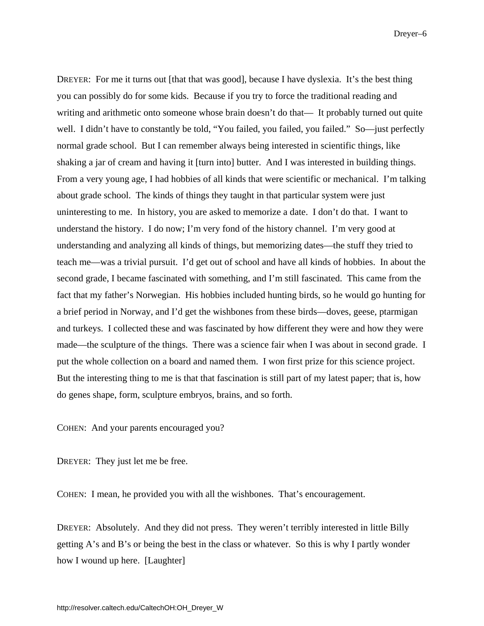Dreyer–6

DREYER: For me it turns out [that that was good], because I have dyslexia. It's the best thing you can possibly do for some kids. Because if you try to force the traditional reading and writing and arithmetic onto someone whose brain doesn't do that— It probably turned out quite well. I didn't have to constantly be told, "You failed, you failed, you failed." So—just perfectly normal grade school. But I can remember always being interested in scientific things, like shaking a jar of cream and having it [turn into] butter. And I was interested in building things. From a very young age, I had hobbies of all kinds that were scientific or mechanical. I'm talking about grade school. The kinds of things they taught in that particular system were just uninteresting to me. In history, you are asked to memorize a date. I don't do that. I want to understand the history. I do now; I'm very fond of the history channel. I'm very good at understanding and analyzing all kinds of things, but memorizing dates—the stuff they tried to teach me—was a trivial pursuit. I'd get out of school and have all kinds of hobbies. In about the second grade, I became fascinated with something, and I'm still fascinated. This came from the fact that my father's Norwegian. His hobbies included hunting birds, so he would go hunting for a brief period in Norway, and I'd get the wishbones from these birds—doves, geese, ptarmigan and turkeys. I collected these and was fascinated by how different they were and how they were made—the sculpture of the things. There was a science fair when I was about in second grade. I put the whole collection on a board and named them. I won first prize for this science project. But the interesting thing to me is that that fascination is still part of my latest paper; that is, how do genes shape, form, sculpture embryos, brains, and so forth.

COHEN: And your parents encouraged you?

DREYER: They just let me be free.

COHEN: I mean, he provided you with all the wishbones. That's encouragement.

DREYER: Absolutely. And they did not press. They weren't terribly interested in little Billy getting A's and B's or being the best in the class or whatever. So this is why I partly wonder how I wound up here. [Laughter]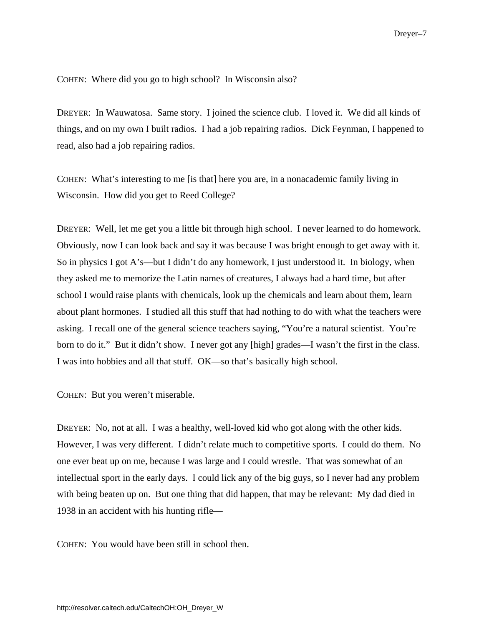COHEN: Where did you go to high school? In Wisconsin also?

DREYER: In Wauwatosa. Same story. I joined the science club. I loved it. We did all kinds of things, and on my own I built radios. I had a job repairing radios. Dick Feynman, I happened to read, also had a job repairing radios.

COHEN: What's interesting to me [is that] here you are, in a nonacademic family living in Wisconsin. How did you get to Reed College?

DREYER: Well, let me get you a little bit through high school. I never learned to do homework. Obviously, now I can look back and say it was because I was bright enough to get away with it. So in physics I got A's—but I didn't do any homework, I just understood it. In biology, when they asked me to memorize the Latin names of creatures, I always had a hard time, but after school I would raise plants with chemicals, look up the chemicals and learn about them, learn about plant hormones. I studied all this stuff that had nothing to do with what the teachers were asking. I recall one of the general science teachers saying, "You're a natural scientist. You're born to do it." But it didn't show. I never got any [high] grades—I wasn't the first in the class. I was into hobbies and all that stuff. OK—so that's basically high school.

COHEN: But you weren't miserable.

DREYER: No, not at all. I was a healthy, well-loved kid who got along with the other kids. However, I was very different. I didn't relate much to competitive sports. I could do them. No one ever beat up on me, because I was large and I could wrestle. That was somewhat of an intellectual sport in the early days. I could lick any of the big guys, so I never had any problem with being beaten up on. But one thing that did happen, that may be relevant: My dad died in 1938 in an accident with his hunting rifle—

COHEN: You would have been still in school then.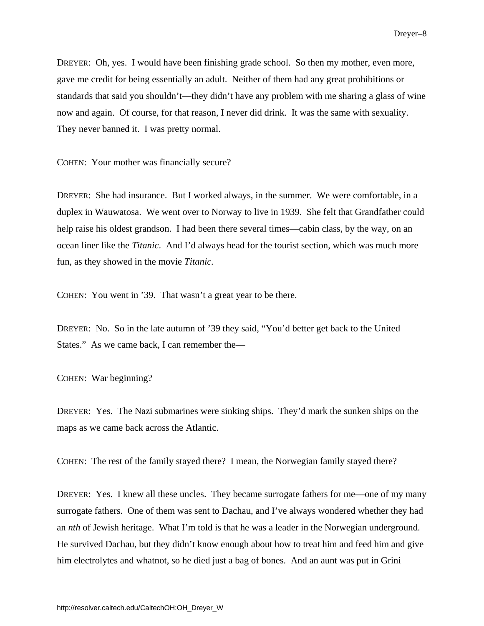DREYER: Oh, yes. I would have been finishing grade school. So then my mother, even more, gave me credit for being essentially an adult. Neither of them had any great prohibitions or standards that said you shouldn't—they didn't have any problem with me sharing a glass of wine now and again. Of course, for that reason, I never did drink. It was the same with sexuality. They never banned it. I was pretty normal.

COHEN: Your mother was financially secure?

DREYER: She had insurance. But I worked always, in the summer. We were comfortable, in a duplex in Wauwatosa. We went over to Norway to live in 1939. She felt that Grandfather could help raise his oldest grandson. I had been there several times—cabin class, by the way, on an ocean liner like the *Titanic*. And I'd always head for the tourist section, which was much more fun, as they showed in the movie *Titanic.*

COHEN: You went in '39. That wasn't a great year to be there.

DREYER: No. So in the late autumn of '39 they said, "You'd better get back to the United States." As we came back, I can remember the—

COHEN: War beginning?

DREYER: Yes. The Nazi submarines were sinking ships. They'd mark the sunken ships on the maps as we came back across the Atlantic.

COHEN: The rest of the family stayed there? I mean, the Norwegian family stayed there?

DREYER: Yes. I knew all these uncles. They became surrogate fathers for me—one of my many surrogate fathers. One of them was sent to Dachau, and I've always wondered whether they had an *nth* of Jewish heritage. What I'm told is that he was a leader in the Norwegian underground. He survived Dachau, but they didn't know enough about how to treat him and feed him and give him electrolytes and whatnot, so he died just a bag of bones. And an aunt was put in Grini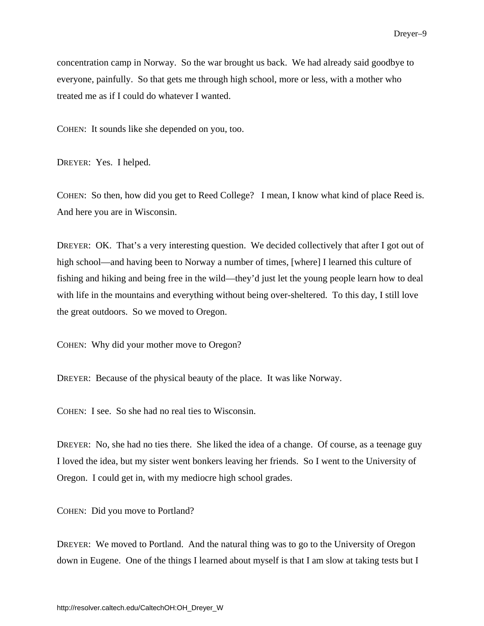<span id="page-16-0"></span>concentration camp in Norway. So the war brought us back. We had already said goodbye to everyone, painfully. So that gets me through high school, more or less, with a mother who treated me as if I could do whatever I wanted.

COHEN: It sounds like she depended on you, too.

DREYER: Yes. I helped.

COHEN: So then, how did you get to Reed College? I mean, I know what kind of place Reed is. And here you are in Wisconsin.

DREYER: OK. That's a very interesting question. We decided collectively that after I got out of high school—and having been to Norway a number of times, [where] I learned this culture of fishing and hiking and being free in the wild—they'd just let the young people learn how to deal with life in the mountains and everything without being over-sheltered. To this day, I still love the great outdoors. So we moved to Oregon.

COHEN: Why did your mother move to Oregon?

DREYER: Because of the physical beauty of the place. It was like Norway.

COHEN: I see. So she had no real ties to Wisconsin.

DREYER: No, she had no ties there. She liked the idea of a change. Of course, as a teenage guy I loved the idea, but my sister went bonkers leaving her friends. So I went to the University of Oregon. I could get in, with my mediocre high school grades.

COHEN: Did you move to Portland?

DREYER: We moved to Portland. And the natural thing was to go to the University of Oregon down in Eugene. One of the things I learned about myself is that I am slow at taking tests but I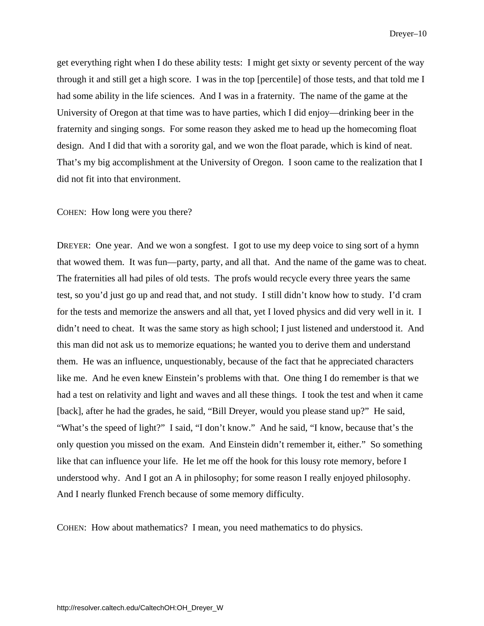Dreyer–10

get everything right when I do these ability tests: I might get sixty or seventy percent of the way through it and still get a high score. I was in the top [percentile] of those tests, and that told me I had some ability in the life sciences. And I was in a fraternity. The name of the game at the University of Oregon at that time was to have parties, which I did enjoy—drinking beer in the fraternity and singing songs. For some reason they asked me to head up the homecoming float design. And I did that with a sorority gal, and we won the float parade, which is kind of neat. That's my big accomplishment at the University of Oregon. I soon came to the realization that I did not fit into that environment.

### COHEN: How long were you there?

DREYER: One year. And we won a songfest. I got to use my deep voice to sing sort of a hymn that wowed them. It was fun—party, party, and all that. And the name of the game was to cheat. The fraternities all had piles of old tests. The profs would recycle every three years the same test, so you'd just go up and read that, and not study. I still didn't know how to study. I'd cram for the tests and memorize the answers and all that, yet I loved physics and did very well in it. I didn't need to cheat. It was the same story as high school; I just listened and understood it. And this man did not ask us to memorize equations; he wanted you to derive them and understand them. He was an influence, unquestionably, because of the fact that he appreciated characters like me. And he even knew Einstein's problems with that. One thing I do remember is that we had a test on relativity and light and waves and all these things. I took the test and when it came [back], after he had the grades, he said, "Bill Dreyer, would you please stand up?" He said, "What's the speed of light?" I said, "I don't know." And he said, "I know, because that's the only question you missed on the exam. And Einstein didn't remember it, either." So something like that can influence your life. He let me off the hook for this lousy rote memory, before I understood why. And I got an A in philosophy; for some reason I really enjoyed philosophy. And I nearly flunked French because of some memory difficulty.

COHEN: How about mathematics? I mean, you need mathematics to do physics.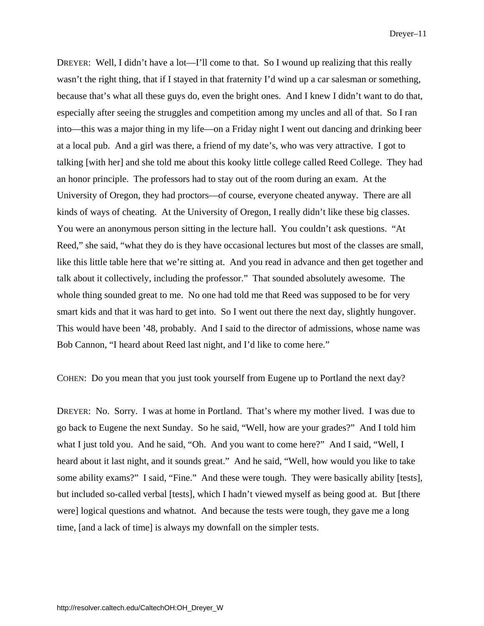DREYER: Well, I didn't have a lot—I'll come to that. So I wound up realizing that this really wasn't the right thing, that if I stayed in that fraternity I'd wind up a car salesman or something, because that's what all these guys do, even the bright ones. And I knew I didn't want to do that, especially after seeing the struggles and competition among my uncles and all of that. So I ran into—this was a major thing in my life—on a Friday night I went out dancing and drinking beer at a local pub. And a girl was there, a friend of my date's, who was very attractive. I got to talking [with her] and she told me about this kooky little college called Reed College. They had an honor principle. The professors had to stay out of the room during an exam. At the University of Oregon, they had proctors—of course, everyone cheated anyway. There are all kinds of ways of cheating. At the University of Oregon, I really didn't like these big classes. You were an anonymous person sitting in the lecture hall. You couldn't ask questions. "At Reed," she said, "what they do is they have occasional lectures but most of the classes are small, like this little table here that we're sitting at. And you read in advance and then get together and talk about it collectively, including the professor." That sounded absolutely awesome. The whole thing sounded great to me. No one had told me that Reed was supposed to be for very smart kids and that it was hard to get into. So I went out there the next day, slightly hungover. This would have been '48, probably. And I said to the director of admissions, whose name was Bob Cannon, "I heard about Reed last night, and I'd like to come here."

COHEN: Do you mean that you just took yourself from Eugene up to Portland the next day?

DREYER: No. Sorry. I was at home in Portland. That's where my mother lived. I was due to go back to Eugene the next Sunday. So he said, "Well, how are your grades?" And I told him what I just told you. And he said, "Oh. And you want to come here?" And I said, "Well, I heard about it last night, and it sounds great." And he said, "Well, how would you like to take some ability exams?" I said, "Fine." And these were tough. They were basically ability [tests], but included so-called verbal [tests], which I hadn't viewed myself as being good at. But [there were] logical questions and whatnot. And because the tests were tough, they gave me a long time, [and a lack of time] is always my downfall on the simpler tests.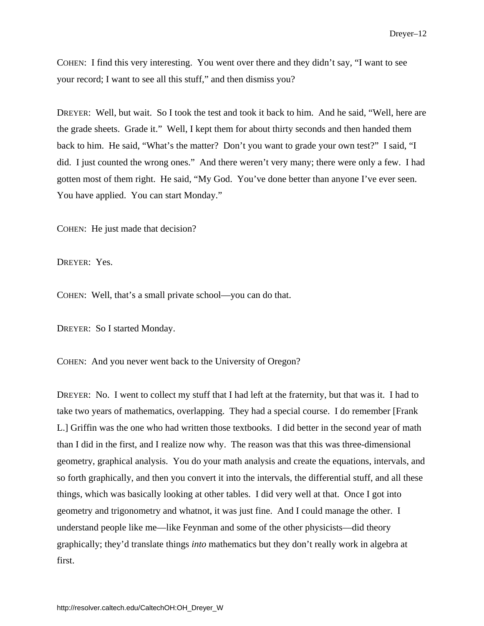COHEN: I find this very interesting. You went over there and they didn't say, "I want to see your record; I want to see all this stuff," and then dismiss you?

DREYER: Well, but wait. So I took the test and took it back to him. And he said, "Well, here are the grade sheets. Grade it." Well, I kept them for about thirty seconds and then handed them back to him. He said, "What's the matter? Don't you want to grade your own test?" I said, "I did. I just counted the wrong ones." And there weren't very many; there were only a few. I had gotten most of them right. He said, "My God. You've done better than anyone I've ever seen. You have applied. You can start Monday."

COHEN: He just made that decision?

DREYER: Yes.

COHEN: Well, that's a small private school—you can do that.

DREYER: So I started Monday.

COHEN: And you never went back to the University of Oregon?

DREYER: No. I went to collect my stuff that I had left at the fraternity, but that was it. I had to take two years of mathematics, overlapping. They had a special course. I do remember [Frank L.] Griffin was the one who had written those textbooks. I did better in the second year of math than I did in the first, and I realize now why. The reason was that this was three-dimensional geometry, graphical analysis. You do your math analysis and create the equations, intervals, and so forth graphically, and then you convert it into the intervals, the differential stuff, and all these things, which was basically looking at other tables. I did very well at that. Once I got into geometry and trigonometry and whatnot, it was just fine. And I could manage the other. I understand people like me—like Feynman and some of the other physicists—did theory graphically; they'd translate things *into* mathematics but they don't really work in algebra at first.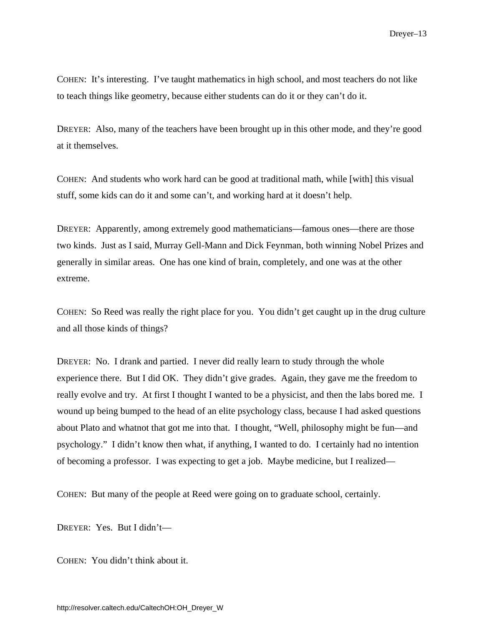COHEN: It's interesting. I've taught mathematics in high school, and most teachers do not like to teach things like geometry, because either students can do it or they can't do it.

DREYER: Also, many of the teachers have been brought up in this other mode, and they're good at it themselves.

COHEN: And students who work hard can be good at traditional math, while [with] this visual stuff, some kids can do it and some can't, and working hard at it doesn't help.

DREYER: Apparently, among extremely good mathematicians—famous ones—there are those two kinds. Just as I said, Murray Gell-Mann and Dick Feynman, both winning Nobel Prizes and generally in similar areas. One has one kind of brain, completely, and one was at the other extreme.

COHEN: So Reed was really the right place for you. You didn't get caught up in the drug culture and all those kinds of things?

DREYER: No. I drank and partied. I never did really learn to study through the whole experience there. But I did OK. They didn't give grades. Again, they gave me the freedom to really evolve and try. At first I thought I wanted to be a physicist, and then the labs bored me. I wound up being bumped to the head of an elite psychology class, because I had asked questions about Plato and whatnot that got me into that. I thought, "Well, philosophy might be fun—and psychology." I didn't know then what, if anything, I wanted to do. I certainly had no intention of becoming a professor. I was expecting to get a job. Maybe medicine, but I realized—

COHEN: But many of the people at Reed were going on to graduate school, certainly.

DREYER: Yes. But I didn't—

COHEN: You didn't think about it.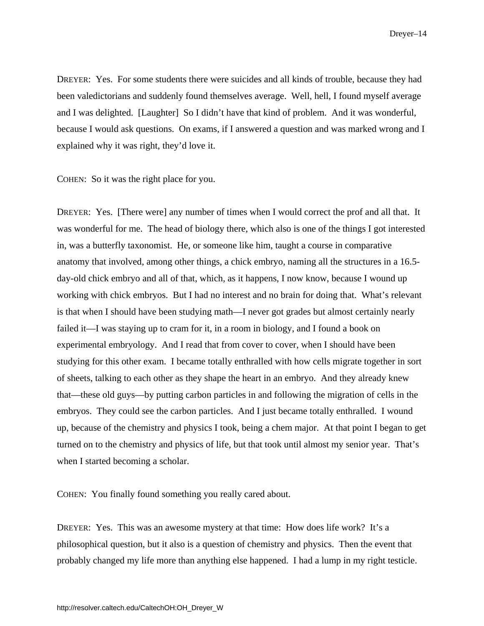Dreyer–14

DREYER: Yes. For some students there were suicides and all kinds of trouble, because they had been valedictorians and suddenly found themselves average. Well, hell, I found myself average and I was delighted. [Laughter] So I didn't have that kind of problem. And it was wonderful, because I would ask questions. On exams, if I answered a question and was marked wrong and I explained why it was right, they'd love it.

COHEN: So it was the right place for you.

DREYER: Yes. [There were] any number of times when I would correct the prof and all that. It was wonderful for me. The head of biology there, which also is one of the things I got interested in, was a butterfly taxonomist. He, or someone like him, taught a course in comparative anatomy that involved, among other things, a chick embryo, naming all the structures in a 16.5 day-old chick embryo and all of that, which, as it happens, I now know, because I wound up working with chick embryos. But I had no interest and no brain for doing that. What's relevant is that when I should have been studying math—I never got grades but almost certainly nearly failed it—I was staying up to cram for it, in a room in biology, and I found a book on experimental embryology. And I read that from cover to cover, when I should have been studying for this other exam. I became totally enthralled with how cells migrate together in sort of sheets, talking to each other as they shape the heart in an embryo. And they already knew that—these old guys—by putting carbon particles in and following the migration of cells in the embryos. They could see the carbon particles. And I just became totally enthralled. I wound up, because of the chemistry and physics I took, being a chem major. At that point I began to get turned on to the chemistry and physics of life, but that took until almost my senior year. That's when I started becoming a scholar.

COHEN: You finally found something you really cared about.

DREYER: Yes. This was an awesome mystery at that time: How does life work? It's a philosophical question, but it also is a question of chemistry and physics. Then the event that probably changed my life more than anything else happened. I had a lump in my right testicle.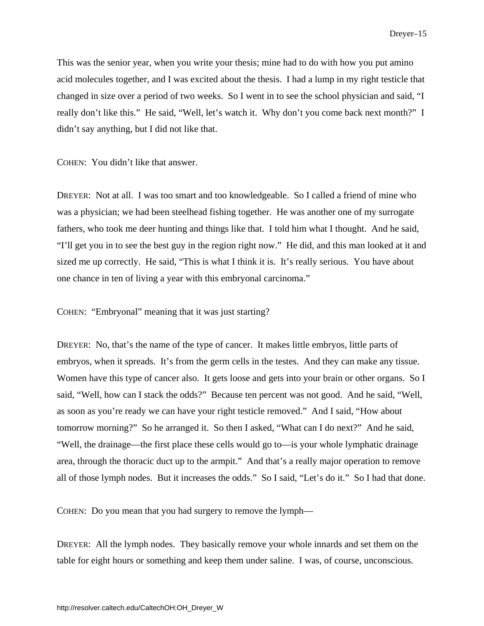This was the senior year, when you write your thesis; mine had to do with how you put amino acid molecules together, and I was excited about the thesis. I had a lump in my right testicle that changed in size over a period of two weeks. So I went in to see the school physician and said, "I really don't like this." He said, "Well, let's watch it. Why don't you come back next month?" I didn't say anything, but I did not like that.

COHEN: You didn't like that answer.

DREYER: Not at all. I was too smart and too knowledgeable. So I called a friend of mine who was a physician; we had been steelhead fishing together. He was another one of my surrogate fathers, who took me deer hunting and things like that. I told him what I thought. And he said, "I'll get you in to see the best guy in the region right now." He did, and this man looked at it and sized me up correctly. He said, "This is what I think it is. It's really serious. You have about one chance in ten of living a year with this embryonal carcinoma."

COHEN: "Embryonal" meaning that it was just starting?

DREYER: No, that's the name of the type of cancer. It makes little embryos, little parts of embryos, when it spreads. It's from the germ cells in the testes. And they can make any tissue. Women have this type of cancer also. It gets loose and gets into your brain or other organs. So I said, "Well, how can I stack the odds?" Because ten percent was not good. And he said, "Well, as soon as you're ready we can have your right testicle removed." And I said, "How about tomorrow morning?" So he arranged it. So then I asked, "What can I do next?" And he said, "Well, the drainage—the first place these cells would go to—is your whole lymphatic drainage area, through the thoracic duct up to the armpit." And that's a really major operation to remove all of those lymph nodes. But it increases the odds." So I said, "Let's do it." So I had that done.

COHEN: Do you mean that you had surgery to remove the lymph—

DREYER: All the lymph nodes. They basically remove your whole innards and set them on the table for eight hours or something and keep them under saline. I was, of course, unconscious.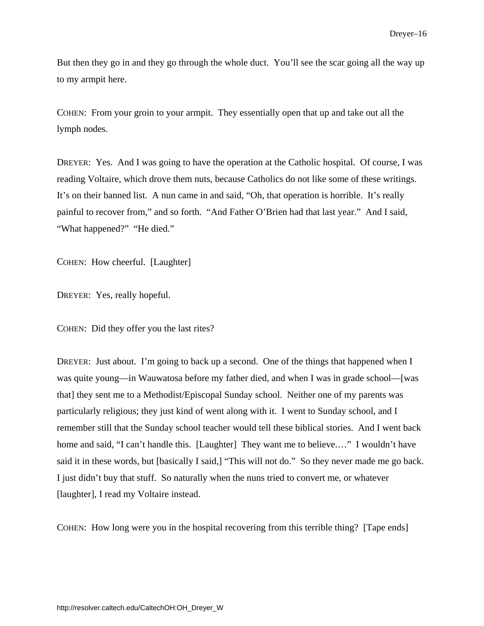But then they go in and they go through the whole duct. You'll see the scar going all the way up to my armpit here.

COHEN: From your groin to your armpit. They essentially open that up and take out all the lymph nodes.

DREYER: Yes. And I was going to have the operation at the Catholic hospital. Of course, I was reading Voltaire, which drove them nuts, because Catholics do not like some of these writings. It's on their banned list. A nun came in and said, "Oh, that operation is horrible. It's really painful to recover from," and so forth. "And Father O'Brien had that last year." And I said, "What happened?" "He died."

COHEN: How cheerful. [Laughter]

DREYER: Yes, really hopeful.

COHEN: Did they offer you the last rites?

DREYER: Just about. I'm going to back up a second. One of the things that happened when I was quite young—in Wauwatosa before my father died, and when I was in grade school—[was that] they sent me to a Methodist/Episcopal Sunday school. Neither one of my parents was particularly religious; they just kind of went along with it. I went to Sunday school, and I remember still that the Sunday school teacher would tell these biblical stories. And I went back home and said, "I can't handle this. [Laughter] They want me to believe...." I wouldn't have said it in these words, but [basically I said,] "This will not do." So they never made me go back. I just didn't buy that stuff. So naturally when the nuns tried to convert me, or whatever [laughter], I read my Voltaire instead.

COHEN: How long were you in the hospital recovering from this terrible thing? [Tape ends]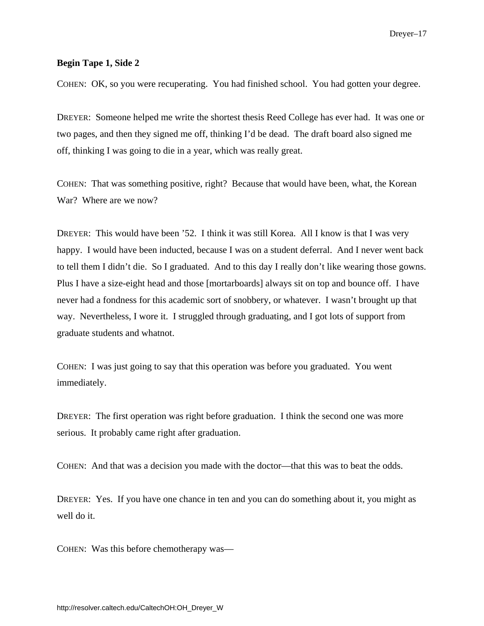## **Begin Tape 1, Side 2**

COHEN: OK, so you were recuperating. You had finished school. You had gotten your degree.

DREYER: Someone helped me write the shortest thesis Reed College has ever had. It was one or two pages, and then they signed me off, thinking I'd be dead. The draft board also signed me off, thinking I was going to die in a year, which was really great.

COHEN: That was something positive, right? Because that would have been, what, the Korean War? Where are we now?

DREYER: This would have been '52. I think it was still Korea. All I know is that I was very happy. I would have been inducted, because I was on a student deferral. And I never went back to tell them I didn't die. So I graduated. And to this day I really don't like wearing those gowns. Plus I have a size-eight head and those [mortarboards] always sit on top and bounce off. I have never had a fondness for this academic sort of snobbery, or whatever. I wasn't brought up that way. Nevertheless, I wore it. I struggled through graduating, and I got lots of support from graduate students and whatnot.

COHEN: I was just going to say that this operation was before you graduated. You went immediately.

DREYER: The first operation was right before graduation. I think the second one was more serious. It probably came right after graduation.

COHEN: And that was a decision you made with the doctor—that this was to beat the odds.

DREYER: Yes. If you have one chance in ten and you can do something about it, you might as well do it.

COHEN: Was this before chemotherapy was—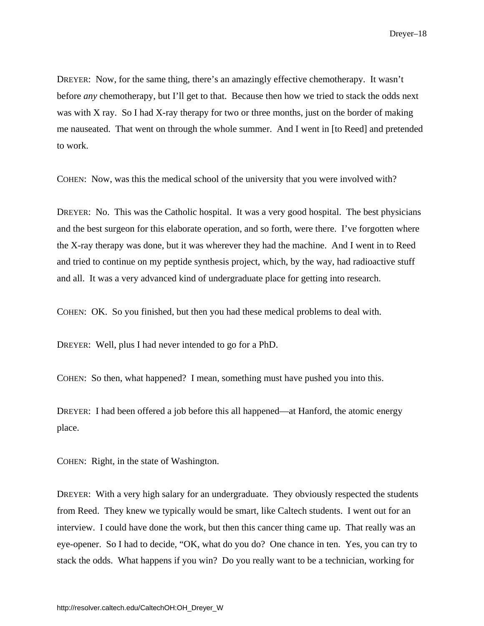DREYER: Now, for the same thing, there's an amazingly effective chemotherapy. It wasn't before *any* chemotherapy, but I'll get to that. Because then how we tried to stack the odds next was with X ray. So I had X-ray therapy for two or three months, just on the border of making me nauseated. That went on through the whole summer. And I went in [to Reed] and pretended to work.

COHEN: Now, was this the medical school of the university that you were involved with?

DREYER: No. This was the Catholic hospital. It was a very good hospital. The best physicians and the best surgeon for this elaborate operation, and so forth, were there. I've forgotten where the X-ray therapy was done, but it was wherever they had the machine. And I went in to Reed and tried to continue on my peptide synthesis project, which, by the way, had radioactive stuff and all. It was a very advanced kind of undergraduate place for getting into research.

COHEN: OK. So you finished, but then you had these medical problems to deal with.

DREYER: Well, plus I had never intended to go for a PhD.

COHEN: So then, what happened? I mean, something must have pushed you into this.

DREYER: I had been offered a job before this all happened—at Hanford, the atomic energy place.

COHEN: Right, in the state of Washington.

DREYER: With a very high salary for an undergraduate. They obviously respected the students from Reed. They knew we typically would be smart, like Caltech students. I went out for an interview. I could have done the work, but then this cancer thing came up. That really was an eye-opener. So I had to decide, "OK, what do you do? One chance in ten. Yes, you can try to stack the odds. What happens if you win? Do you really want to be a technician, working for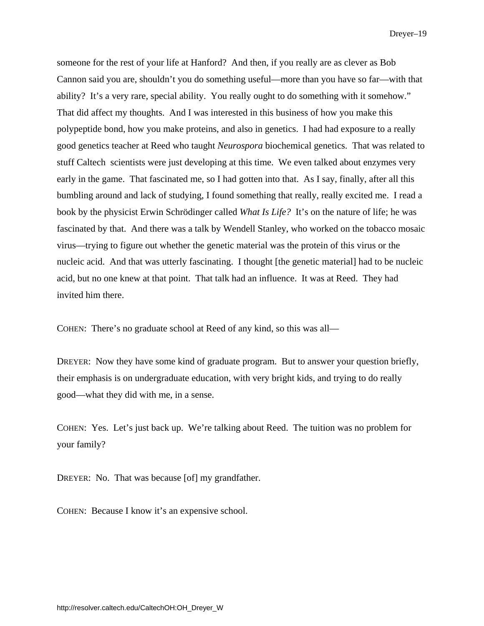Dreyer–19

someone for the rest of your life at Hanford? And then, if you really are as clever as Bob Cannon said you are, shouldn't you do something useful—more than you have so far—with that ability? It's a very rare, special ability. You really ought to do something with it somehow." That did affect my thoughts. And I was interested in this business of how you make this polypeptide bond, how you make proteins, and also in genetics. I had had exposure to a really good genetics teacher at Reed who taught *Neurospora* biochemical genetics. That was related to stuff Caltech scientists were just developing at this time. We even talked about enzymes very early in the game. That fascinated me, so I had gotten into that. As I say, finally, after all this bumbling around and lack of studying, I found something that really, really excited me. I read a book by the physicist Erwin Schrödinger called *What Is Life?* It's on the nature of life; he was fascinated by that. And there was a talk by Wendell Stanley, who worked on the tobacco mosaic virus—trying to figure out whether the genetic material was the protein of this virus or the nucleic acid. And that was utterly fascinating. I thought [the genetic material] had to be nucleic acid, but no one knew at that point. That talk had an influence. It was at Reed. They had invited him there.

COHEN: There's no graduate school at Reed of any kind, so this was all—

DREYER: Now they have some kind of graduate program. But to answer your question briefly, their emphasis is on undergraduate education, with very bright kids, and trying to do really good—what they did with me, in a sense.

COHEN: Yes. Let's just back up. We're talking about Reed. The tuition was no problem for your family?

DREYER: No. That was because [of] my grandfather.

COHEN: Because I know it's an expensive school.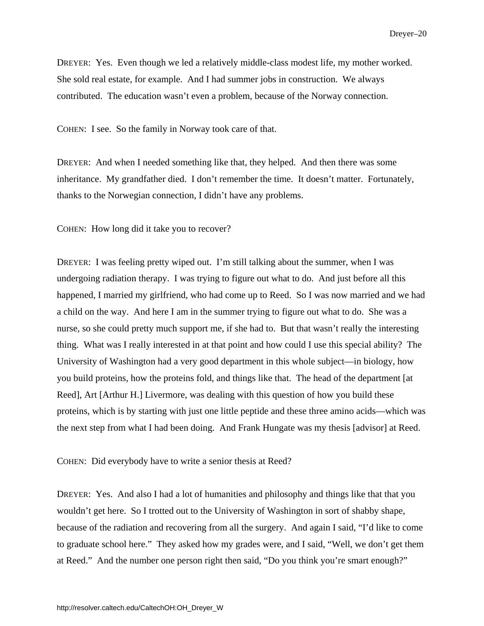DREYER: Yes. Even though we led a relatively middle-class modest life, my mother worked. She sold real estate, for example. And I had summer jobs in construction. We always contributed. The education wasn't even a problem, because of the Norway connection.

COHEN: I see. So the family in Norway took care of that.

DREYER: And when I needed something like that, they helped. And then there was some inheritance. My grandfather died. I don't remember the time. It doesn't matter. Fortunately, thanks to the Norwegian connection, I didn't have any problems.

COHEN: How long did it take you to recover?

DREYER: I was feeling pretty wiped out. I'm still talking about the summer, when I was undergoing radiation therapy. I was trying to figure out what to do. And just before all this happened, I married my girlfriend, who had come up to Reed. So I was now married and we had a child on the way. And here I am in the summer trying to figure out what to do. She was a nurse, so she could pretty much support me, if she had to. But that wasn't really the interesting thing. What was I really interested in at that point and how could I use this special ability? The University of Washington had a very good department in this whole subject—in biology, how you build proteins, how the proteins fold, and things like that. The head of the department [at Reed], Art [Arthur H.] Livermore, was dealing with this question of how you build these proteins, which is by starting with just one little peptide and these three amino acids—which was the next step from what I had been doing. And Frank Hungate was my thesis [advisor] at Reed.

COHEN: Did everybody have to write a senior thesis at Reed?

DREYER: Yes. And also I had a lot of humanities and philosophy and things like that that you wouldn't get here. So I trotted out to the University of Washington in sort of shabby shape, because of the radiation and recovering from all the surgery. And again I said, "I'd like to come to graduate school here." They asked how my grades were, and I said, "Well, we don't get them at Reed." And the number one person right then said, "Do you think you're smart enough?"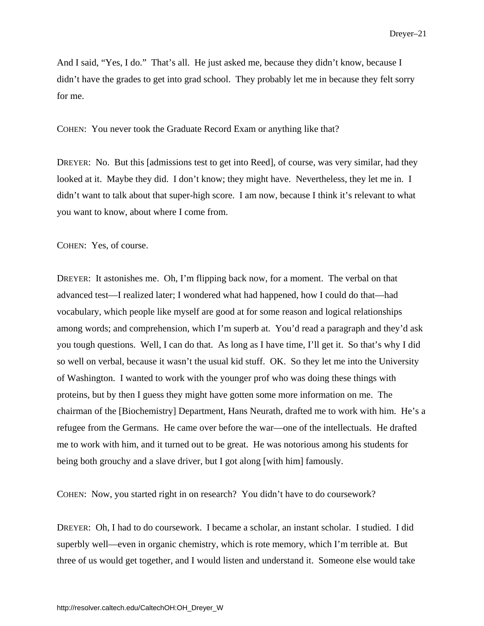Dreyer–21

And I said, "Yes, I do." That's all. He just asked me, because they didn't know, because I didn't have the grades to get into grad school. They probably let me in because they felt sorry for me.

COHEN: You never took the Graduate Record Exam or anything like that?

DREYER: No. But this [admissions test to get into Reed], of course, was very similar, had they looked at it. Maybe they did. I don't know; they might have. Nevertheless, they let me in. I didn't want to talk about that super-high score. I am now, because I think it's relevant to what you want to know, about where I come from.

COHEN: Yes, of course.

DREYER: It astonishes me. Oh, I'm flipping back now, for a moment. The verbal on that advanced test—I realized later; I wondered what had happened, how I could do that—had vocabulary, which people like myself are good at for some reason and logical relationships among words; and comprehension, which I'm superb at. You'd read a paragraph and they'd ask you tough questions. Well, I can do that. As long as I have time, I'll get it. So that's why I did so well on verbal, because it wasn't the usual kid stuff. OK. So they let me into the University of Washington. I wanted to work with the younger prof who was doing these things with proteins, but by then I guess they might have gotten some more information on me. The chairman of the [Biochemistry] Department, Hans Neurath, drafted me to work with him. He's a refugee from the Germans. He came over before the war—one of the intellectuals. He drafted me to work with him, and it turned out to be great. He was notorious among his students for being both grouchy and a slave driver, but I got along [with him] famously.

COHEN: Now, you started right in on research? You didn't have to do coursework?

DREYER: Oh, I had to do coursework. I became a scholar, an instant scholar. I studied. I did superbly well—even in organic chemistry, which is rote memory, which I'm terrible at. But three of us would get together, and I would listen and understand it. Someone else would take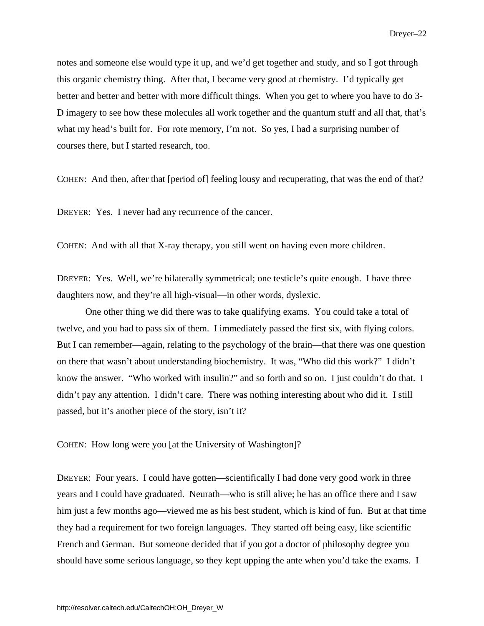notes and someone else would type it up, and we'd get together and study, and so I got through this organic chemistry thing. After that, I became very good at chemistry. I'd typically get better and better and better with more difficult things. When you get to where you have to do 3- D imagery to see how these molecules all work together and the quantum stuff and all that, that's what my head's built for. For rote memory, I'm not. So yes, I had a surprising number of courses there, but I started research, too.

COHEN: And then, after that [period of] feeling lousy and recuperating, that was the end of that?

DREYER: Yes. I never had any recurrence of the cancer.

COHEN: And with all that X-ray therapy, you still went on having even more children.

DREYER: Yes. Well, we're bilaterally symmetrical; one testicle's quite enough. I have three daughters now, and they're all high-visual—in other words, dyslexic.

One other thing we did there was to take qualifying exams. You could take a total of twelve, and you had to pass six of them. I immediately passed the first six, with flying colors. But I can remember—again, relating to the psychology of the brain—that there was one question on there that wasn't about understanding biochemistry. It was, "Who did this work?" I didn't know the answer. "Who worked with insulin?" and so forth and so on. I just couldn't do that. I didn't pay any attention. I didn't care. There was nothing interesting about who did it. I still passed, but it's another piece of the story, isn't it?

COHEN: How long were you [at the University of Washington]?

DREYER: Four years. I could have gotten—scientifically I had done very good work in three years and I could have graduated. Neurath—who is still alive; he has an office there and I saw him just a few months ago—viewed me as his best student, which is kind of fun. But at that time they had a requirement for two foreign languages. They started off being easy, like scientific French and German. But someone decided that if you got a doctor of philosophy degree you should have some serious language, so they kept upping the ante when you'd take the exams. I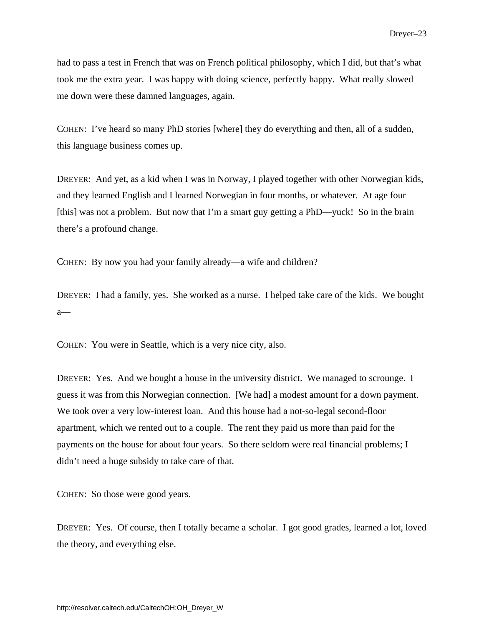had to pass a test in French that was on French political philosophy, which I did, but that's what took me the extra year. I was happy with doing science, perfectly happy. What really slowed me down were these damned languages, again.

COHEN: I've heard so many PhD stories [where] they do everything and then, all of a sudden, this language business comes up.

DREYER: And yet, as a kid when I was in Norway, I played together with other Norwegian kids, and they learned English and I learned Norwegian in four months, or whatever. At age four [this] was not a problem. But now that I'm a smart guy getting a PhD—yuck! So in the brain there's a profound change.

COHEN: By now you had your family already—a wife and children?

DREYER: I had a family, yes. She worked as a nurse. I helped take care of the kids. We bought  $a$ —

COHEN: You were in Seattle, which is a very nice city, also.

DREYER: Yes. And we bought a house in the university district. We managed to scrounge. I guess it was from this Norwegian connection. [We had] a modest amount for a down payment. We took over a very low-interest loan. And this house had a not-so-legal second-floor apartment, which we rented out to a couple. The rent they paid us more than paid for the payments on the house for about four years. So there seldom were real financial problems; I didn't need a huge subsidy to take care of that.

COHEN: So those were good years.

DREYER: Yes. Of course, then I totally became a scholar. I got good grades, learned a lot, loved the theory, and everything else.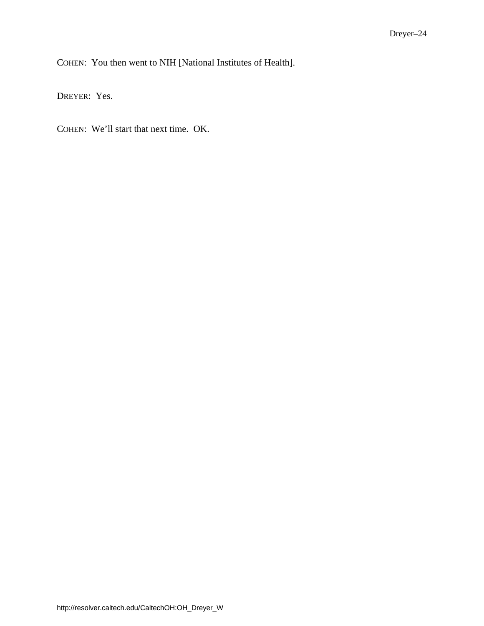COHEN: You then went to NIH [National Institutes of Health].

DREYER: Yes.

COHEN: We'll start that next time. OK.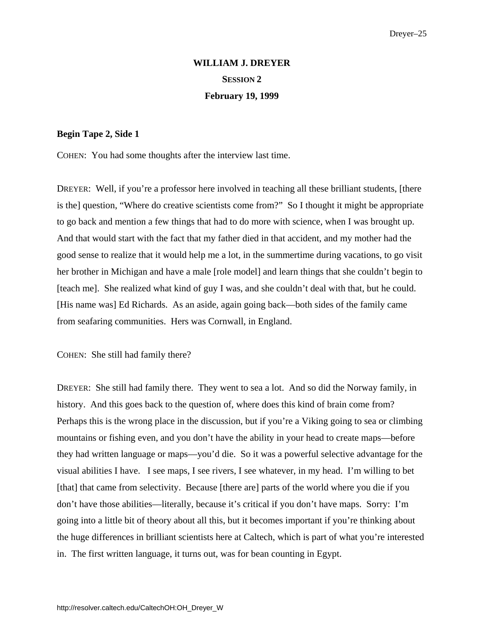# **WILLIAM J. DREYER SESSION 2 February 19, 1999**

### <span id="page-32-0"></span>**Begin Tape 2, Side 1**

COHEN: You had some thoughts after the interview last time.

DREYER: Well, if you're a professor here involved in teaching all these brilliant students, [there is the] question, "Where do creative scientists come from?" So I thought it might be appropriate to go back and mention a few things that had to do more with science, when I was brought up. And that would start with the fact that my father died in that accident, and my mother had the good sense to realize that it would help me a lot, in the summertime during vacations, to go visit her brother in Michigan and have a male [role model] and learn things that she couldn't begin to [teach me]. She realized what kind of guy I was, and she couldn't deal with that, but he could. [His name was] Ed Richards. As an aside, again going back—both sides of the family came from seafaring communities. Hers was Cornwall, in England.

COHEN: She still had family there?

DREYER: She still had family there. They went to sea a lot. And so did the Norway family, in history. And this goes back to the question of, where does this kind of brain come from? Perhaps this is the wrong place in the discussion, but if you're a Viking going to sea or climbing mountains or fishing even, and you don't have the ability in your head to create maps—before they had written language or maps—you'd die. So it was a powerful selective advantage for the visual abilities I have. I see maps, I see rivers, I see whatever, in my head. I'm willing to bet [that] that came from selectivity. Because [there are] parts of the world where you die if you don't have those abilities—literally, because it's critical if you don't have maps. Sorry: I'm going into a little bit of theory about all this, but it becomes important if you're thinking about the huge differences in brilliant scientists here at Caltech, which is part of what you're interested in. The first written language, it turns out, was for bean counting in Egypt.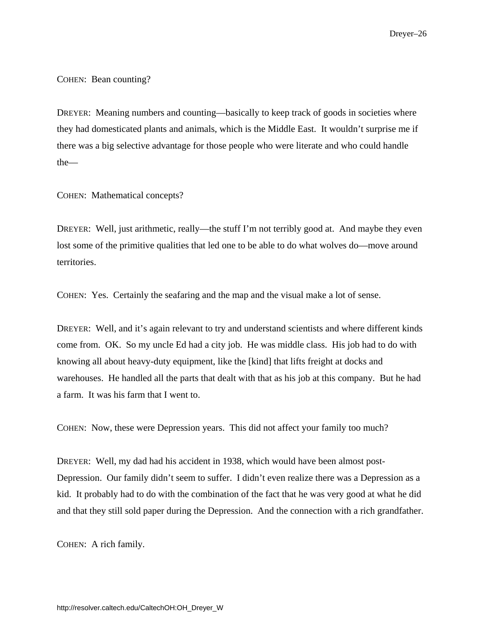Dreyer–26

COHEN: Bean counting?

DREYER: Meaning numbers and counting—basically to keep track of goods in societies where they had domesticated plants and animals, which is the Middle East. It wouldn't surprise me if there was a big selective advantage for those people who were literate and who could handle the—

COHEN: Mathematical concepts?

DREYER: Well, just arithmetic, really—the stuff I'm not terribly good at. And maybe they even lost some of the primitive qualities that led one to be able to do what wolves do—move around territories.

COHEN: Yes. Certainly the seafaring and the map and the visual make a lot of sense.

DREYER: Well, and it's again relevant to try and understand scientists and where different kinds come from. OK. So my uncle Ed had a city job. He was middle class. His job had to do with knowing all about heavy-duty equipment, like the [kind] that lifts freight at docks and warehouses. He handled all the parts that dealt with that as his job at this company. But he had a farm. It was his farm that I went to.

COHEN: Now, these were Depression years. This did not affect your family too much?

DREYER: Well, my dad had his accident in 1938, which would have been almost post-Depression. Our family didn't seem to suffer. I didn't even realize there was a Depression as a kid. It probably had to do with the combination of the fact that he was very good at what he did and that they still sold paper during the Depression. And the connection with a rich grandfather.

COHEN: A rich family.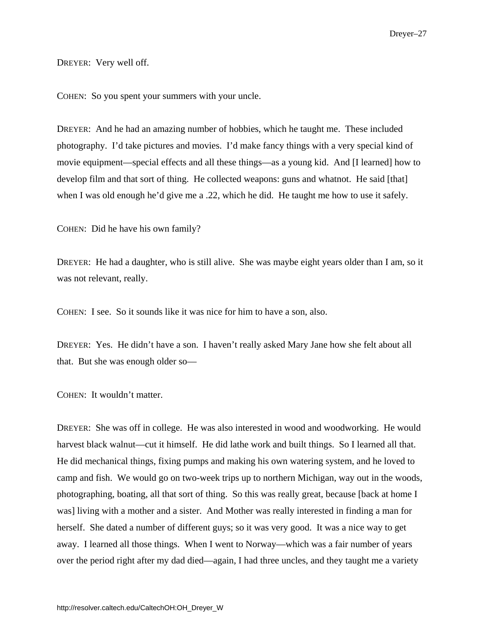DREYER: Very well off.

COHEN: So you spent your summers with your uncle.

DREYER: And he had an amazing number of hobbies, which he taught me. These included photography. I'd take pictures and movies. I'd make fancy things with a very special kind of movie equipment—special effects and all these things—as a young kid. And [I learned] how to develop film and that sort of thing. He collected weapons: guns and whatnot. He said [that] when I was old enough he'd give me a .22, which he did. He taught me how to use it safely.

COHEN: Did he have his own family?

DREYER: He had a daughter, who is still alive. She was maybe eight years older than I am, so it was not relevant, really.

COHEN: I see. So it sounds like it was nice for him to have a son, also.

DREYER: Yes. He didn't have a son. I haven't really asked Mary Jane how she felt about all that. But she was enough older so—

COHEN: It wouldn't matter.

DREYER: She was off in college. He was also interested in wood and woodworking. He would harvest black walnut—cut it himself. He did lathe work and built things. So I learned all that. He did mechanical things, fixing pumps and making his own watering system, and he loved to camp and fish. We would go on two-week trips up to northern Michigan, way out in the woods, photographing, boating, all that sort of thing. So this was really great, because [back at home I was] living with a mother and a sister. And Mother was really interested in finding a man for herself. She dated a number of different guys; so it was very good. It was a nice way to get away. I learned all those things. When I went to Norway—which was a fair number of years over the period right after my dad died—again, I had three uncles, and they taught me a variety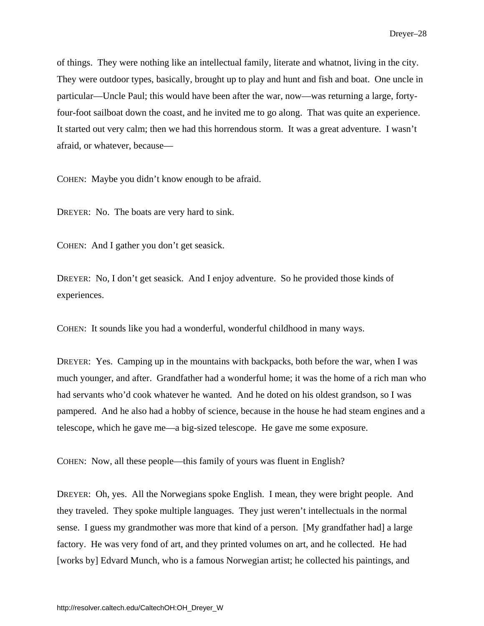of things. They were nothing like an intellectual family, literate and whatnot, living in the city. They were outdoor types, basically, brought up to play and hunt and fish and boat. One uncle in particular—Uncle Paul; this would have been after the war, now—was returning a large, fortyfour-foot sailboat down the coast, and he invited me to go along. That was quite an experience. It started out very calm; then we had this horrendous storm. It was a great adventure. I wasn't afraid, or whatever, because—

COHEN: Maybe you didn't know enough to be afraid.

DREYER: No. The boats are very hard to sink.

COHEN: And I gather you don't get seasick.

DREYER: No, I don't get seasick. And I enjoy adventure. So he provided those kinds of experiences.

COHEN: It sounds like you had a wonderful, wonderful childhood in many ways.

DREYER: Yes. Camping up in the mountains with backpacks, both before the war, when I was much younger, and after. Grandfather had a wonderful home; it was the home of a rich man who had servants who'd cook whatever he wanted. And he doted on his oldest grandson, so I was pampered. And he also had a hobby of science, because in the house he had steam engines and a telescope, which he gave me—a big-sized telescope. He gave me some exposure.

COHEN: Now, all these people—this family of yours was fluent in English?

DREYER: Oh, yes. All the Norwegians spoke English. I mean, they were bright people. And they traveled. They spoke multiple languages. They just weren't intellectuals in the normal sense. I guess my grandmother was more that kind of a person. [My grandfather had] a large factory. He was very fond of art, and they printed volumes on art, and he collected. He had [works by] Edvard Munch, who is a famous Norwegian artist; he collected his paintings, and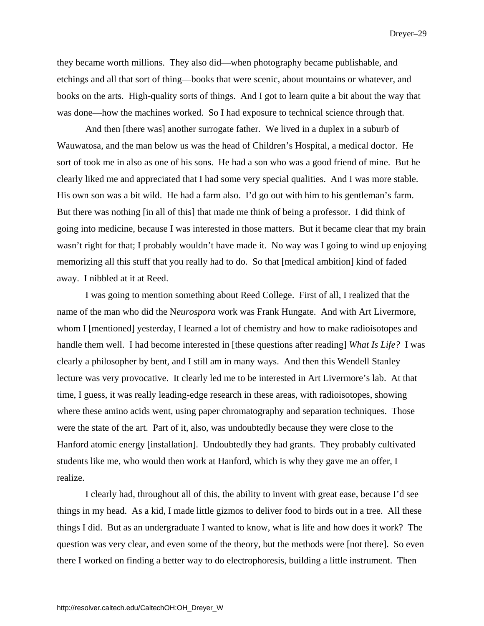they became worth millions. They also did—when photography became publishable, and etchings and all that sort of thing—books that were scenic, about mountains or whatever, and books on the arts. High-quality sorts of things. And I got to learn quite a bit about the way that was done—how the machines worked. So I had exposure to technical science through that.

And then [there was] another surrogate father. We lived in a duplex in a suburb of Wauwatosa, and the man below us was the head of Children's Hospital, a medical doctor. He sort of took me in also as one of his sons. He had a son who was a good friend of mine. But he clearly liked me and appreciated that I had some very special qualities. And I was more stable. His own son was a bit wild. He had a farm also. I'd go out with him to his gentleman's farm. But there was nothing [in all of this] that made me think of being a professor. I did think of going into medicine, because I was interested in those matters. But it became clear that my brain wasn't right for that; I probably wouldn't have made it. No way was I going to wind up enjoying memorizing all this stuff that you really had to do. So that [medical ambition] kind of faded away. I nibbled at it at Reed.

I was going to mention something about Reed College. First of all, I realized that the name of the man who did the N*eurospora* work was Frank Hungate. And with Art Livermore, whom I [mentioned] yesterday, I learned a lot of chemistry and how to make radioisotopes and handle them well. I had become interested in [these questions after reading] *What Is Life?* I was clearly a philosopher by bent, and I still am in many ways. And then this Wendell Stanley lecture was very provocative. It clearly led me to be interested in Art Livermore's lab. At that time, I guess, it was really leading-edge research in these areas, with radioisotopes, showing where these amino acids went, using paper chromatography and separation techniques. Those were the state of the art. Part of it, also, was undoubtedly because they were close to the Hanford atomic energy [installation]. Undoubtedly they had grants. They probably cultivated students like me, who would then work at Hanford, which is why they gave me an offer, I realize.

I clearly had, throughout all of this, the ability to invent with great ease, because I'd see things in my head. As a kid, I made little gizmos to deliver food to birds out in a tree. All these things I did. But as an undergraduate I wanted to know, what is life and how does it work? The question was very clear, and even some of the theory, but the methods were [not there]. So even there I worked on finding a better way to do electrophoresis, building a little instrument. Then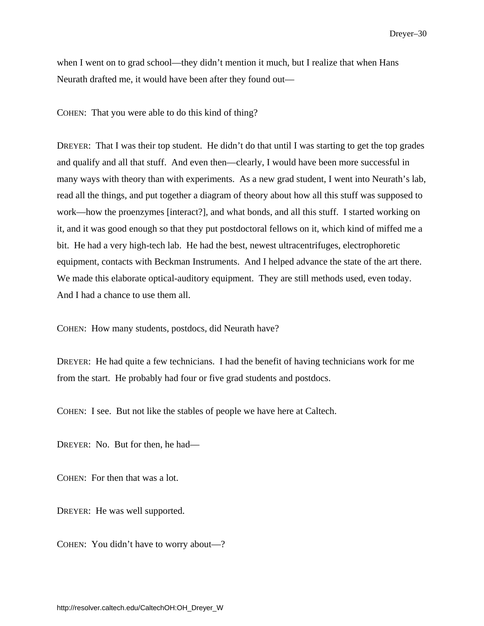when I went on to grad school—they didn't mention it much, but I realize that when Hans Neurath drafted me, it would have been after they found out—

COHEN: That you were able to do this kind of thing?

DREYER: That I was their top student. He didn't do that until I was starting to get the top grades and qualify and all that stuff. And even then—clearly, I would have been more successful in many ways with theory than with experiments. As a new grad student, I went into Neurath's lab, read all the things, and put together a diagram of theory about how all this stuff was supposed to work—how the proenzymes [interact?], and what bonds, and all this stuff. I started working on it, and it was good enough so that they put postdoctoral fellows on it, which kind of miffed me a bit. He had a very high-tech lab. He had the best, newest ultracentrifuges, electrophoretic equipment, contacts with Beckman Instruments. And I helped advance the state of the art there. We made this elaborate optical-auditory equipment. They are still methods used, even today. And I had a chance to use them all.

COHEN: How many students, postdocs, did Neurath have?

DREYER: He had quite a few technicians. I had the benefit of having technicians work for me from the start. He probably had four or five grad students and postdocs.

COHEN: I see. But not like the stables of people we have here at Caltech.

DREYER: No. But for then, he had—

COHEN: For then that was a lot.

DREYER: He was well supported.

COHEN: You didn't have to worry about—?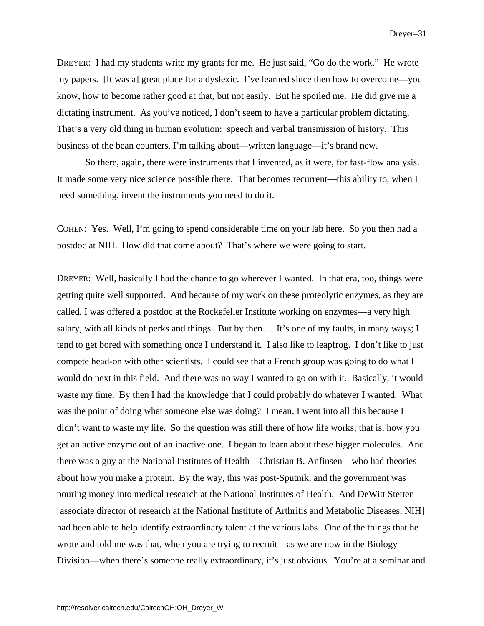DREYER: I had my students write my grants for me. He just said, "Go do the work." He wrote my papers. [It was a] great place for a dyslexic. I've learned since then how to overcome—you know, how to become rather good at that, but not easily. But he spoiled me. He did give me a dictating instrument. As you've noticed, I don't seem to have a particular problem dictating. That's a very old thing in human evolution: speech and verbal transmission of history. This business of the bean counters, I'm talking about—written language—it's brand new.

So there, again, there were instruments that I invented, as it were, for fast-flow analysis. It made some very nice science possible there. That becomes recurrent—this ability to, when I need something, invent the instruments you need to do it.

COHEN: Yes. Well, I'm going to spend considerable time on your lab here. So you then had a postdoc at NIH. How did that come about? That's where we were going to start.

DREYER: Well, basically I had the chance to go wherever I wanted. In that era, too, things were getting quite well supported. And because of my work on these proteolytic enzymes, as they are called, I was offered a postdoc at the Rockefeller Institute working on enzymes—a very high salary, with all kinds of perks and things. But by then… It's one of my faults, in many ways; I tend to get bored with something once I understand it. I also like to leapfrog. I don't like to just compete head-on with other scientists. I could see that a French group was going to do what I would do next in this field. And there was no way I wanted to go on with it. Basically, it would waste my time. By then I had the knowledge that I could probably do whatever I wanted. What was the point of doing what someone else was doing? I mean, I went into all this because I didn't want to waste my life. So the question was still there of how life works; that is, how you get an active enzyme out of an inactive one. I began to learn about these bigger molecules. And there was a guy at the National Institutes of Health—Christian B. Anfinsen—who had theories about how you make a protein. By the way, this was post-Sputnik, and the government was pouring money into medical research at the National Institutes of Health. And DeWitt Stetten [associate director of research at the National Institute of Arthritis and Metabolic Diseases, NIH] had been able to help identify extraordinary talent at the various labs. One of the things that he wrote and told me was that, when you are trying to recruit—as we are now in the Biology Division—when there's someone really extraordinary, it's just obvious. You're at a seminar and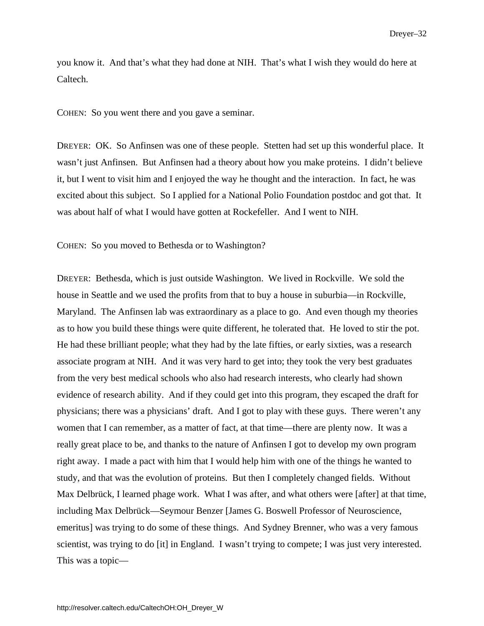you know it. And that's what they had done at NIH. That's what I wish they would do here at Caltech.

COHEN: So you went there and you gave a seminar.

DREYER: OK. So Anfinsen was one of these people. Stetten had set up this wonderful place. It wasn't just Anfinsen. But Anfinsen had a theory about how you make proteins. I didn't believe it, but I went to visit him and I enjoyed the way he thought and the interaction. In fact, he was excited about this subject. So I applied for a National Polio Foundation postdoc and got that. It was about half of what I would have gotten at Rockefeller. And I went to NIH.

COHEN: So you moved to Bethesda or to Washington?

DREYER: Bethesda, which is just outside Washington. We lived in Rockville. We sold the house in Seattle and we used the profits from that to buy a house in suburbia—in Rockville, Maryland. The Anfinsen lab was extraordinary as a place to go. And even though my theories as to how you build these things were quite different, he tolerated that. He loved to stir the pot. He had these brilliant people; what they had by the late fifties, or early sixties, was a research associate program at NIH. And it was very hard to get into; they took the very best graduates from the very best medical schools who also had research interests, who clearly had shown evidence of research ability. And if they could get into this program, they escaped the draft for physicians; there was a physicians' draft. And I got to play with these guys. There weren't any women that I can remember, as a matter of fact, at that time—there are plenty now. It was a really great place to be, and thanks to the nature of Anfinsen I got to develop my own program right away. I made a pact with him that I would help him with one of the things he wanted to study, and that was the evolution of proteins. But then I completely changed fields. Without Max Delbrück, I learned phage work. What I was after, and what others were [after] at that time, including Max Delbrück—Seymour Benzer [James G. Boswell Professor of Neuroscience, emeritus] was trying to do some of these things. And Sydney Brenner, who was a very famous scientist, was trying to do [it] in England. I wasn't trying to compete; I was just very interested. This was a topic—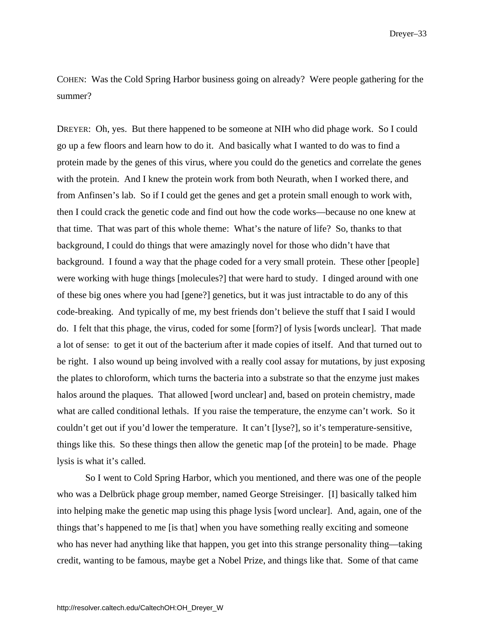COHEN: Was the Cold Spring Harbor business going on already? Were people gathering for the summer?

DREYER: Oh, yes. But there happened to be someone at NIH who did phage work. So I could go up a few floors and learn how to do it. And basically what I wanted to do was to find a protein made by the genes of this virus, where you could do the genetics and correlate the genes with the protein. And I knew the protein work from both Neurath, when I worked there, and from Anfinsen's lab. So if I could get the genes and get a protein small enough to work with, then I could crack the genetic code and find out how the code works—because no one knew at that time. That was part of this whole theme: What's the nature of life? So, thanks to that background, I could do things that were amazingly novel for those who didn't have that background. I found a way that the phage coded for a very small protein. These other [people] were working with huge things [molecules?] that were hard to study. I dinged around with one of these big ones where you had [gene?] genetics, but it was just intractable to do any of this code-breaking. And typically of me, my best friends don't believe the stuff that I said I would do. I felt that this phage, the virus, coded for some [form?] of lysis [words unclear]. That made a lot of sense: to get it out of the bacterium after it made copies of itself. And that turned out to be right. I also wound up being involved with a really cool assay for mutations, by just exposing the plates to chloroform, which turns the bacteria into a substrate so that the enzyme just makes halos around the plaques. That allowed [word unclear] and, based on protein chemistry, made what are called conditional lethals. If you raise the temperature, the enzyme can't work. So it couldn't get out if you'd lower the temperature. It can't [lyse?], so it's temperature-sensitive, things like this. So these things then allow the genetic map [of the protein] to be made. Phage lysis is what it's called.

So I went to Cold Spring Harbor, which you mentioned, and there was one of the people who was a Delbrück phage group member, named George Streisinger. [I] basically talked him into helping make the genetic map using this phage lysis [word unclear]. And, again, one of the things that's happened to me [is that] when you have something really exciting and someone who has never had anything like that happen, you get into this strange personality thing—taking credit, wanting to be famous, maybe get a Nobel Prize, and things like that. Some of that came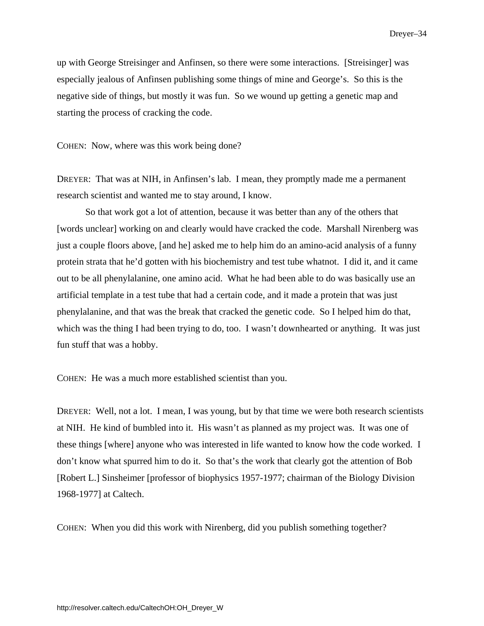up with George Streisinger and Anfinsen, so there were some interactions. [Streisinger] was especially jealous of Anfinsen publishing some things of mine and George's. So this is the negative side of things, but mostly it was fun. So we wound up getting a genetic map and starting the process of cracking the code.

COHEN: Now, where was this work being done?

DREYER: That was at NIH, in Anfinsen's lab. I mean, they promptly made me a permanent research scientist and wanted me to stay around, I know.

So that work got a lot of attention, because it was better than any of the others that [words unclear] working on and clearly would have cracked the code. Marshall Nirenberg was just a couple floors above, [and he] asked me to help him do an amino-acid analysis of a funny protein strata that he'd gotten with his biochemistry and test tube whatnot. I did it, and it came out to be all phenylalanine, one amino acid. What he had been able to do was basically use an artificial template in a test tube that had a certain code, and it made a protein that was just phenylalanine, and that was the break that cracked the genetic code. So I helped him do that, which was the thing I had been trying to do, too. I wasn't downhearted or anything. It was just fun stuff that was a hobby.

COHEN: He was a much more established scientist than you.

DREYER: Well, not a lot. I mean, I was young, but by that time we were both research scientists at NIH. He kind of bumbled into it. His wasn't as planned as my project was. It was one of these things [where] anyone who was interested in life wanted to know how the code worked. I don't know what spurred him to do it. So that's the work that clearly got the attention of Bob [Robert L.] Sinsheimer [professor of biophysics 1957-1977; chairman of the Biology Division 1968-1977] at Caltech.

COHEN: When you did this work with Nirenberg, did you publish something together?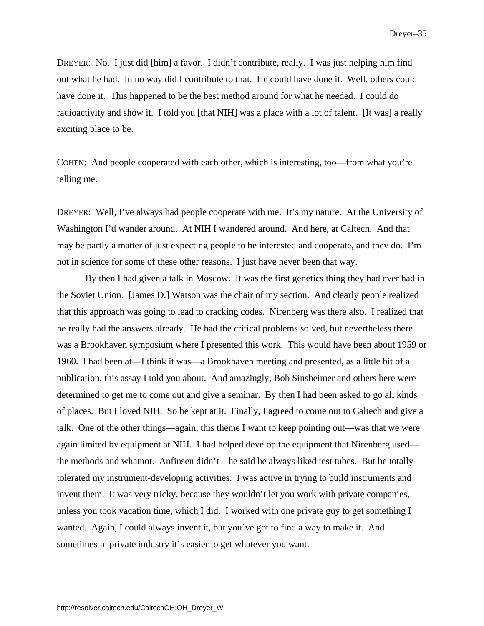DREYER: No. I just did [him] a favor. I didn't contribute, really. I was just helping him find out what he had. In no way did I contribute to that. He could have done it. Well, others could have done it. This happened to be the best method around for what he needed. I could do radioactivity and show it. I told you [that NIH] was a place with a lot of talent. [It was] a really exciting place to be.

COHEN: And people cooperated with each other, which is interesting, too—from what you're telling me.

DREYER: Well, I've always had people cooperate with me. It's my nature. At the University of Washington I'd wander around. At NIH I wandered around. And here, at Caltech. And that may be partly a matter of just expecting people to be interested and cooperate, and they do. I'm not in science for some of these other reasons. I just have never been that way.

By then I had given a talk in Moscow. It was the first genetics thing they had ever had in the Soviet Union. [James D.] Watson was the chair of my section. And clearly people realized that this approach was going to lead to cracking codes. Nirenberg was there also. I realized that he really had the answers already. He had the critical problems solved, but nevertheless there was a Brookhaven symposium where I presented this work. This would have been about 1959 or 1960. I had been at—I think it was—a Brookhaven meeting and presented, as a little bit of a publication, this assay I told you about. And amazingly, Bob Sinsheimer and others here were determined to get me to come out and give a seminar. By then I had been asked to go all kinds of places. But I loved NIH. So he kept at it. Finally, I agreed to come out to Caltech and give a talk. One of the other things—again, this theme I want to keep pointing out—was that we were again limited by equipment at NIH. I had helped develop the equipment that Nirenberg used the methods and whatnot. Anfinsen didn't—he said he always liked test tubes. But he totally tolerated my instrument-developing activities. I was active in trying to build instruments and invent them. It was very tricky, because they wouldn't let you work with private companies, unless you took vacation time, which I did. I worked with one private guy to get something I wanted. Again, I could always invent it, but you've got to find a way to make it. And sometimes in private industry it's easier to get whatever you want.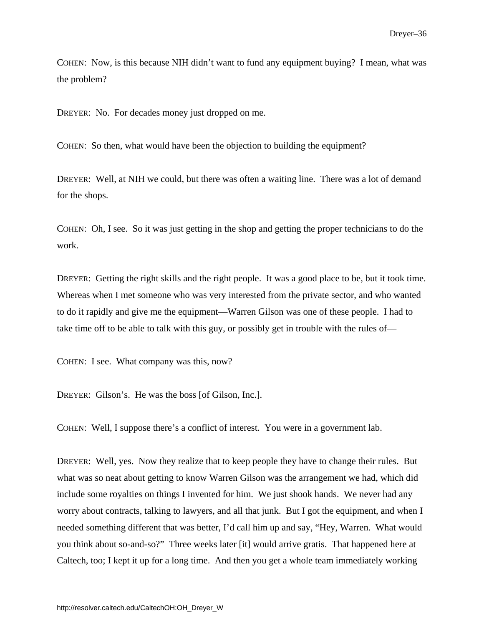COHEN: Now, is this because NIH didn't want to fund any equipment buying? I mean, what was the problem?

DREYER: No. For decades money just dropped on me.

COHEN: So then, what would have been the objection to building the equipment?

DREYER: Well, at NIH we could, but there was often a waiting line. There was a lot of demand for the shops.

COHEN: Oh, I see. So it was just getting in the shop and getting the proper technicians to do the work.

DREYER: Getting the right skills and the right people. It was a good place to be, but it took time. Whereas when I met someone who was very interested from the private sector, and who wanted to do it rapidly and give me the equipment—Warren Gilson was one of these people. I had to take time off to be able to talk with this guy, or possibly get in trouble with the rules of—

COHEN: I see. What company was this, now?

DREYER: Gilson's. He was the boss [of Gilson, Inc.].

COHEN: Well, I suppose there's a conflict of interest. You were in a government lab.

DREYER: Well, yes. Now they realize that to keep people they have to change their rules. But what was so neat about getting to know Warren Gilson was the arrangement we had, which did include some royalties on things I invented for him. We just shook hands. We never had any worry about contracts, talking to lawyers, and all that junk. But I got the equipment, and when I needed something different that was better, I'd call him up and say, "Hey, Warren. What would you think about so-and-so?" Three weeks later [it] would arrive gratis. That happened here at Caltech, too; I kept it up for a long time. And then you get a whole team immediately working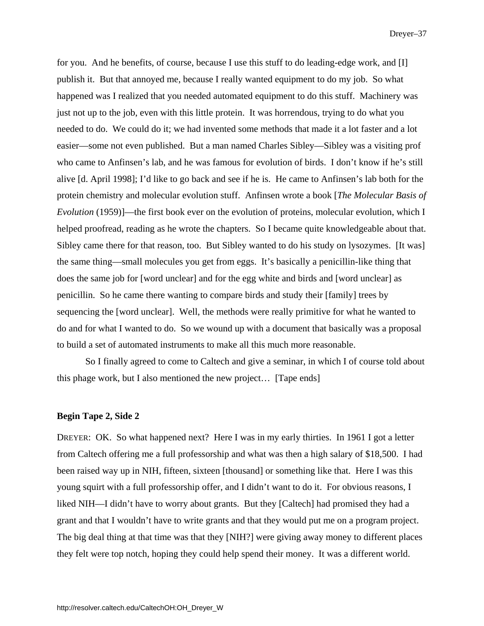for you. And he benefits, of course, because I use this stuff to do leading-edge work, and [I] publish it. But that annoyed me, because I really wanted equipment to do my job. So what happened was I realized that you needed automated equipment to do this stuff. Machinery was just not up to the job, even with this little protein. It was horrendous, trying to do what you needed to do. We could do it; we had invented some methods that made it a lot faster and a lot easier—some not even published. But a man named Charles Sibley—Sibley was a visiting prof who came to Anfinsen's lab, and he was famous for evolution of birds. I don't know if he's still alive [d. April 1998]; I'd like to go back and see if he is. He came to Anfinsen's lab both for the protein chemistry and molecular evolution stuff. Anfinsen wrote a book [*The Molecular Basis of Evolution* (1959)]—the first book ever on the evolution of proteins, molecular evolution, which I helped proofread, reading as he wrote the chapters. So I became quite knowledgeable about that. Sibley came there for that reason, too. But Sibley wanted to do his study on lysozymes. [It was] the same thing—small molecules you get from eggs. It's basically a penicillin-like thing that does the same job for [word unclear] and for the egg white and birds and [word unclear] as penicillin. So he came there wanting to compare birds and study their [family] trees by sequencing the [word unclear]. Well, the methods were really primitive for what he wanted to do and for what I wanted to do. So we wound up with a document that basically was a proposal to build a set of automated instruments to make all this much more reasonable.

So I finally agreed to come to Caltech and give a seminar, in which I of course told about this phage work, but I also mentioned the new project… [Tape ends]

#### **Begin Tape 2, Side 2**

DREYER: OK. So what happened next? Here I was in my early thirties. In 1961 I got a letter from Caltech offering me a full professorship and what was then a high salary of \$18,500. I had been raised way up in NIH, fifteen, sixteen [thousand] or something like that. Here I was this young squirt with a full professorship offer, and I didn't want to do it. For obvious reasons, I liked NIH—I didn't have to worry about grants. But they [Caltech] had promised they had a grant and that I wouldn't have to write grants and that they would put me on a program project. The big deal thing at that time was that they [NIH?] were giving away money to different places they felt were top notch, hoping they could help spend their money. It was a different world.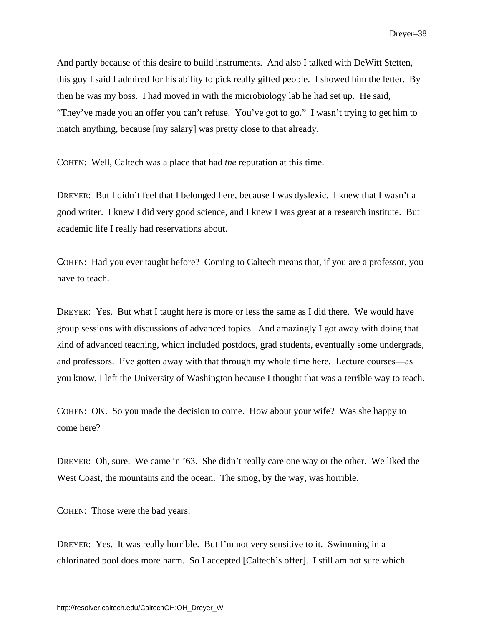And partly because of this desire to build instruments. And also I talked with DeWitt Stetten, this guy I said I admired for his ability to pick really gifted people. I showed him the letter. By then he was my boss. I had moved in with the microbiology lab he had set up. He said, "They've made you an offer you can't refuse. You've got to go." I wasn't trying to get him to match anything, because [my salary] was pretty close to that already.

COHEN: Well, Caltech was a place that had *the* reputation at this time.

DREYER: But I didn't feel that I belonged here, because I was dyslexic. I knew that I wasn't a good writer. I knew I did very good science, and I knew I was great at a research institute. But academic life I really had reservations about.

COHEN: Had you ever taught before? Coming to Caltech means that, if you are a professor, you have to teach.

DREYER: Yes. But what I taught here is more or less the same as I did there. We would have group sessions with discussions of advanced topics. And amazingly I got away with doing that kind of advanced teaching, which included postdocs, grad students, eventually some undergrads, and professors. I've gotten away with that through my whole time here. Lecture courses—as you know, I left the University of Washington because I thought that was a terrible way to teach.

COHEN: OK. So you made the decision to come. How about your wife? Was she happy to come here?

DREYER: Oh, sure. We came in '63. She didn't really care one way or the other. We liked the West Coast, the mountains and the ocean. The smog, by the way, was horrible.

COHEN: Those were the bad years.

DREYER: Yes. It was really horrible. But I'm not very sensitive to it. Swimming in a chlorinated pool does more harm. So I accepted [Caltech's offer]. I still am not sure which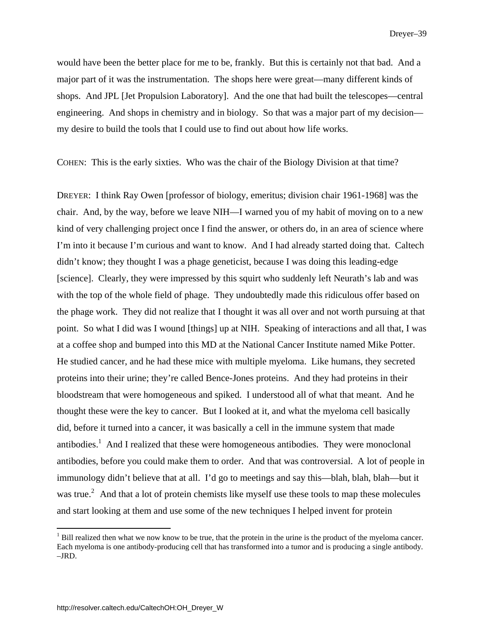would have been the better place for me to be, frankly. But this is certainly not that bad. And a major part of it was the instrumentation. The shops here were great—many different kinds of shops. And JPL [Jet Propulsion Laboratory]. And the one that had built the telescopes—central engineering. And shops in chemistry and in biology. So that was a major part of my decision my desire to build the tools that I could use to find out about how life works.

COHEN: This is the early sixties. Who was the chair of the Biology Division at that time?

DREYER: I think Ray Owen [professor of biology, emeritus; division chair 1961-1968] was the chair. And, by the way, before we leave NIH—I warned you of my habit of moving on to a new kind of very challenging project once I find the answer, or others do, in an area of science where I'm into it because I'm curious and want to know. And I had already started doing that. Caltech didn't know; they thought I was a phage geneticist, because I was doing this leading-edge [science]. Clearly, they were impressed by this squirt who suddenly left Neurath's lab and was with the top of the whole field of phage. They undoubtedly made this ridiculous offer based on the phage work. They did not realize that I thought it was all over and not worth pursuing at that point. So what I did was I wound [things] up at NIH. Speaking of interactions and all that, I was at a coffee shop and bumped into this MD at the National Cancer Institute named Mike Potter. He studied cancer, and he had these mice with multiple myeloma. Like humans, they secreted proteins into their urine; they're called Bence-Jones proteins. And they had proteins in their bloodstream that were homogeneous and spiked. I understood all of what that meant. And he thought these were the key to cancer. But I looked at it, and what the myeloma cell basically did, before it turned into a cancer, it was basically a cell in the immune system that made antibodies.<sup>1</sup> And I realized that these were homogeneous antibodies. They were monoclonal antibodies, before you could make them to order. And that was controversial. A lot of people in immunology didn't believe that at all. I'd go to meetings and say this—blah, blah, blah—but it was true.<sup>2</sup> And that a lot of protein chemists like myself use these tools to map these molecules and start looking at them and use some of the new techniques I helped invent for protein

 $\overline{a}$ 

 $<sup>1</sup>$  Bill realized then what we now know to be true, that the protein in the urine is the product of the myeloma cancer.</sup> Each myeloma is one antibody-producing cell that has transformed into a tumor and is producing a single antibody. –JRD.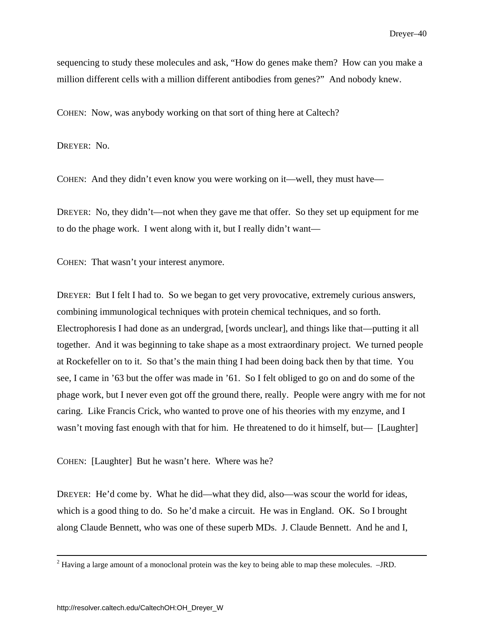sequencing to study these molecules and ask, "How do genes make them? How can you make a million different cells with a million different antibodies from genes?" And nobody knew.

COHEN: Now, was anybody working on that sort of thing here at Caltech?

DREYER: No.

COHEN: And they didn't even know you were working on it—well, they must have—

DREYER: No, they didn't—not when they gave me that offer. So they set up equipment for me to do the phage work. I went along with it, but I really didn't want—

COHEN: That wasn't your interest anymore.

DREYER: But I felt I had to. So we began to get very provocative, extremely curious answers, combining immunological techniques with protein chemical techniques, and so forth. Electrophoresis I had done as an undergrad, [words unclear], and things like that—putting it all together. And it was beginning to take shape as a most extraordinary project. We turned people at Rockefeller on to it. So that's the main thing I had been doing back then by that time. You see, I came in '63 but the offer was made in '61. So I felt obliged to go on and do some of the phage work, but I never even got off the ground there, really. People were angry with me for not caring. Like Francis Crick, who wanted to prove one of his theories with my enzyme, and I wasn't moving fast enough with that for him. He threatened to do it himself, but— [Laughter]

COHEN: [Laughter] But he wasn't here. Where was he?

DREYER: He'd come by. What he did—what they did, also—was scour the world for ideas, which is a good thing to do. So he'd make a circuit. He was in England. OK. So I brought along Claude Bennett, who was one of these superb MDs. J. Claude Bennett. And he and I,

 $\frac{1}{2}$  $2$  Having a large amount of a monoclonal protein was the key to being able to map these molecules.  $-JRD$ .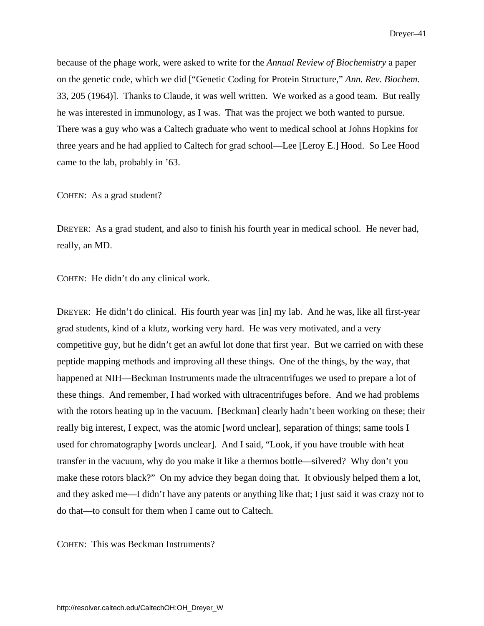because of the phage work, were asked to write for the *Annual Review of Biochemistry* a paper on the genetic code, which we did ["Genetic Coding for Protein Structure," *Ann. Rev. Biochem.* 33, 205 (1964)]. Thanks to Claude, it was well written. We worked as a good team. But really he was interested in immunology, as I was. That was the project we both wanted to pursue. There was a guy who was a Caltech graduate who went to medical school at Johns Hopkins for three years and he had applied to Caltech for grad school—Lee [Leroy E.] Hood. So Lee Hood came to the lab, probably in '63.

### COHEN: As a grad student?

DREYER: As a grad student, and also to finish his fourth year in medical school. He never had, really, an MD.

COHEN: He didn't do any clinical work.

DREYER: He didn't do clinical. His fourth year was [in] my lab. And he was, like all first-year grad students, kind of a klutz, working very hard. He was very motivated, and a very competitive guy, but he didn't get an awful lot done that first year. But we carried on with these peptide mapping methods and improving all these things. One of the things, by the way, that happened at NIH—Beckman Instruments made the ultracentrifuges we used to prepare a lot of these things. And remember, I had worked with ultracentrifuges before. And we had problems with the rotors heating up in the vacuum. [Beckman] clearly hadn't been working on these; their really big interest, I expect, was the atomic [word unclear], separation of things; same tools I used for chromatography [words unclear]. And I said, "Look, if you have trouble with heat transfer in the vacuum, why do you make it like a thermos bottle—silvered? Why don't you make these rotors black?" On my advice they began doing that. It obviously helped them a lot, and they asked me—I didn't have any patents or anything like that; I just said it was crazy not to do that—to consult for them when I came out to Caltech.

COHEN: This was Beckman Instruments?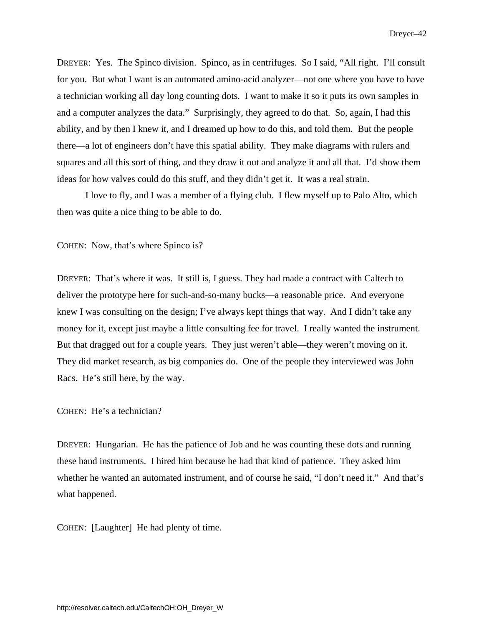DREYER: Yes. The Spinco division. Spinco, as in centrifuges. So I said, "All right. I'll consult for you. But what I want is an automated amino-acid analyzer—not one where you have to have a technician working all day long counting dots. I want to make it so it puts its own samples in and a computer analyzes the data." Surprisingly, they agreed to do that. So, again, I had this ability, and by then I knew it, and I dreamed up how to do this, and told them. But the people there—a lot of engineers don't have this spatial ability. They make diagrams with rulers and squares and all this sort of thing, and they draw it out and analyze it and all that. I'd show them ideas for how valves could do this stuff, and they didn't get it. It was a real strain.

 I love to fly, and I was a member of a flying club. I flew myself up to Palo Alto, which then was quite a nice thing to be able to do.

COHEN: Now, that's where Spinco is?

DREYER: That's where it was. It still is, I guess. They had made a contract with Caltech to deliver the prototype here for such-and-so-many bucks—a reasonable price. And everyone knew I was consulting on the design; I've always kept things that way. And I didn't take any money for it, except just maybe a little consulting fee for travel. I really wanted the instrument. But that dragged out for a couple years. They just weren't able—they weren't moving on it. They did market research, as big companies do. One of the people they interviewed was John Racs. He's still here, by the way.

COHEN: He's a technician?

DREYER: Hungarian. He has the patience of Job and he was counting these dots and running these hand instruments. I hired him because he had that kind of patience. They asked him whether he wanted an automated instrument, and of course he said, "I don't need it." And that's what happened.

COHEN: [Laughter] He had plenty of time.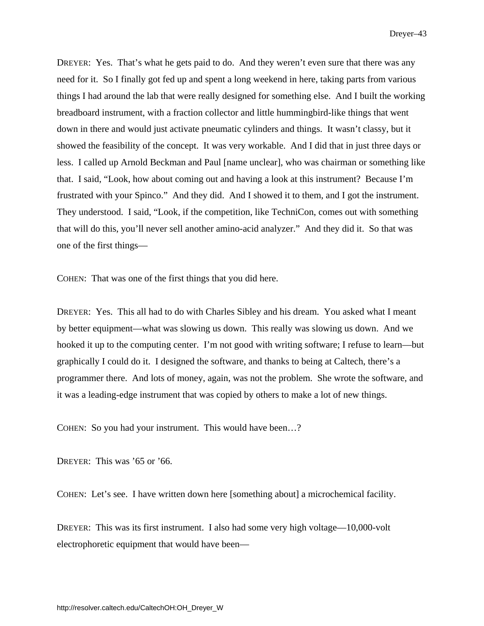DREYER: Yes. That's what he gets paid to do. And they weren't even sure that there was any need for it. So I finally got fed up and spent a long weekend in here, taking parts from various things I had around the lab that were really designed for something else. And I built the working breadboard instrument, with a fraction collector and little hummingbird-like things that went down in there and would just activate pneumatic cylinders and things. It wasn't classy, but it showed the feasibility of the concept. It was very workable. And I did that in just three days or less. I called up Arnold Beckman and Paul [name unclear], who was chairman or something like that. I said, "Look, how about coming out and having a look at this instrument? Because I'm frustrated with your Spinco." And they did. And I showed it to them, and I got the instrument. They understood. I said, "Look, if the competition, like TechniCon, comes out with something that will do this, you'll never sell another amino-acid analyzer." And they did it. So that was one of the first things—

COHEN: That was one of the first things that you did here.

DREYER: Yes. This all had to do with Charles Sibley and his dream. You asked what I meant by better equipment—what was slowing us down. This really was slowing us down. And we hooked it up to the computing center. I'm not good with writing software; I refuse to learn—but graphically I could do it. I designed the software, and thanks to being at Caltech, there's a programmer there. And lots of money, again, was not the problem. She wrote the software, and it was a leading-edge instrument that was copied by others to make a lot of new things.

COHEN: So you had your instrument. This would have been…?

DREYER: This was '65 or '66.

COHEN: Let's see. I have written down here [something about] a microchemical facility.

DREYER: This was its first instrument. I also had some very high voltage—10,000-volt electrophoretic equipment that would have been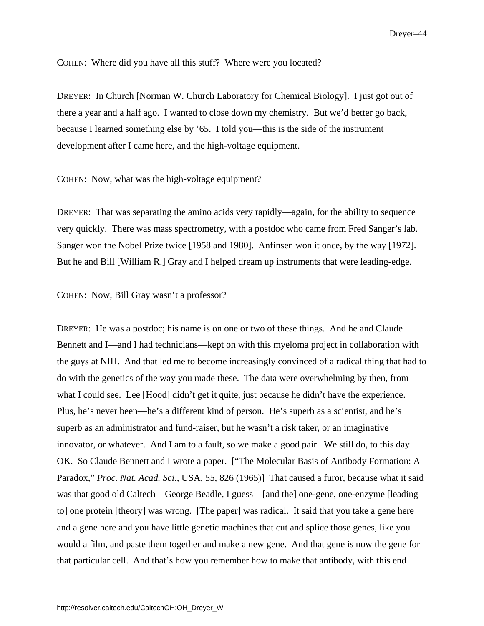COHEN: Where did you have all this stuff? Where were you located?

DREYER: In Church [Norman W. Church Laboratory for Chemical Biology]. I just got out of there a year and a half ago. I wanted to close down my chemistry. But we'd better go back, because I learned something else by '65. I told you—this is the side of the instrument development after I came here, and the high-voltage equipment.

COHEN: Now, what was the high-voltage equipment?

DREYER: That was separating the amino acids very rapidly—again, for the ability to sequence very quickly. There was mass spectrometry, with a postdoc who came from Fred Sanger's lab. Sanger won the Nobel Prize twice [1958 and 1980]. Anfinsen won it once, by the way [1972]. But he and Bill [William R.] Gray and I helped dream up instruments that were leading-edge.

COHEN: Now, Bill Gray wasn't a professor?

DREYER: He was a postdoc; his name is on one or two of these things. And he and Claude Bennett and I—and I had technicians—kept on with this myeloma project in collaboration with the guys at NIH. And that led me to become increasingly convinced of a radical thing that had to do with the genetics of the way you made these. The data were overwhelming by then, from what I could see. Lee [Hood] didn't get it quite, just because he didn't have the experience. Plus, he's never been—he's a different kind of person. He's superb as a scientist, and he's superb as an administrator and fund-raiser, but he wasn't a risk taker, or an imaginative innovator, or whatever. And I am to a fault, so we make a good pair. We still do, to this day. OK. So Claude Bennett and I wrote a paper. ["The Molecular Basis of Antibody Formation: A Paradox," *Proc. Nat. Acad. Sci.*, USA, 55, 826 (1965)] That caused a furor, because what it said was that good old Caltech—George Beadle, I guess—[and the] one-gene, one-enzyme [leading to] one protein [theory] was wrong. [The paper] was radical. It said that you take a gene here and a gene here and you have little genetic machines that cut and splice those genes, like you would a film, and paste them together and make a new gene. And that gene is now the gene for that particular cell. And that's how you remember how to make that antibody, with this end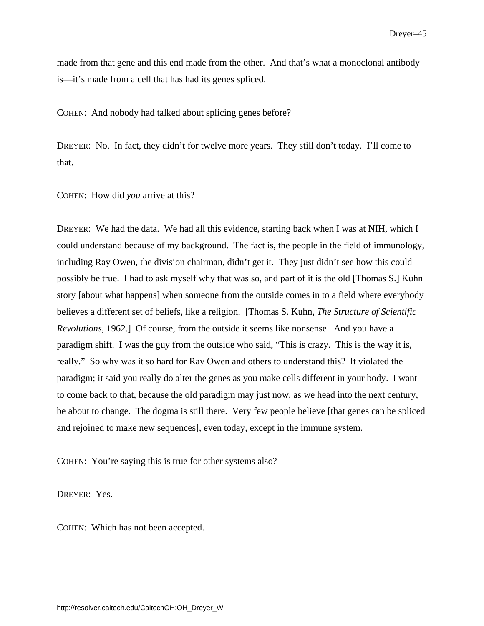made from that gene and this end made from the other. And that's what a monoclonal antibody is—it's made from a cell that has had its genes spliced.

COHEN: And nobody had talked about splicing genes before?

DREYER: No. In fact, they didn't for twelve more years. They still don't today. I'll come to that.

COHEN: How did *you* arrive at this?

DREYER: We had the data. We had all this evidence, starting back when I was at NIH, which I could understand because of my background. The fact is, the people in the field of immunology, including Ray Owen, the division chairman, didn't get it. They just didn't see how this could possibly be true. I had to ask myself why that was so, and part of it is the old [Thomas S.] Kuhn story [about what happens] when someone from the outside comes in to a field where everybody believes a different set of beliefs, like a religion. [Thomas S. Kuhn, *The Structure of Scientific Revolutions*, 1962.] Of course, from the outside it seems like nonsense. And you have a paradigm shift. I was the guy from the outside who said, "This is crazy. This is the way it is, really." So why was it so hard for Ray Owen and others to understand this? It violated the paradigm; it said you really do alter the genes as you make cells different in your body. I want to come back to that, because the old paradigm may just now, as we head into the next century, be about to change. The dogma is still there. Very few people believe [that genes can be spliced and rejoined to make new sequences], even today, except in the immune system.

COHEN: You're saying this is true for other systems also?

DREYER: Yes.

COHEN: Which has not been accepted.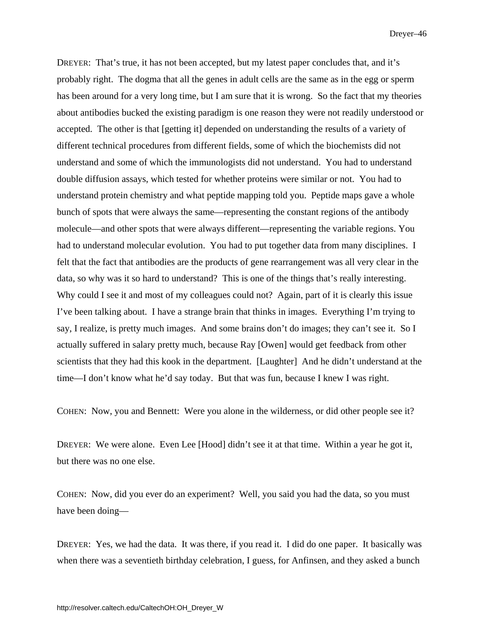DREYER: That's true, it has not been accepted, but my latest paper concludes that, and it's probably right. The dogma that all the genes in adult cells are the same as in the egg or sperm has been around for a very long time, but I am sure that it is wrong. So the fact that my theories about antibodies bucked the existing paradigm is one reason they were not readily understood or accepted. The other is that [getting it] depended on understanding the results of a variety of different technical procedures from different fields, some of which the biochemists did not understand and some of which the immunologists did not understand. You had to understand double diffusion assays, which tested for whether proteins were similar or not. You had to understand protein chemistry and what peptide mapping told you. Peptide maps gave a whole bunch of spots that were always the same—representing the constant regions of the antibody molecule—and other spots that were always different—representing the variable regions. You had to understand molecular evolution. You had to put together data from many disciplines. I felt that the fact that antibodies are the products of gene rearrangement was all very clear in the data, so why was it so hard to understand? This is one of the things that's really interesting. Why could I see it and most of my colleagues could not? Again, part of it is clearly this issue I've been talking about. I have a strange brain that thinks in images. Everything I'm trying to say, I realize, is pretty much images. And some brains don't do images; they can't see it. So I actually suffered in salary pretty much, because Ray [Owen] would get feedback from other scientists that they had this kook in the department. [Laughter] And he didn't understand at the time—I don't know what he'd say today. But that was fun, because I knew I was right.

COHEN: Now, you and Bennett: Were you alone in the wilderness, or did other people see it?

DREYER: We were alone. Even Lee [Hood] didn't see it at that time. Within a year he got it, but there was no one else.

COHEN: Now, did you ever do an experiment? Well, you said you had the data, so you must have been doing—

DREYER: Yes, we had the data. It was there, if you read it. I did do one paper. It basically was when there was a seventieth birthday celebration, I guess, for Anfinsen, and they asked a bunch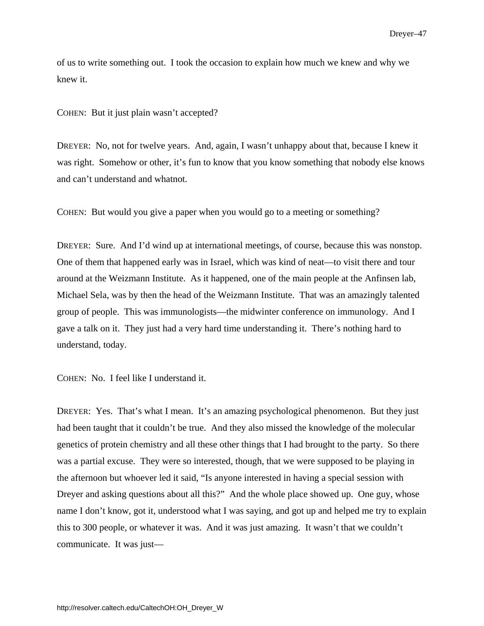of us to write something out. I took the occasion to explain how much we knew and why we knew it.

COHEN: But it just plain wasn't accepted?

DREYER: No, not for twelve years. And, again, I wasn't unhappy about that, because I knew it was right. Somehow or other, it's fun to know that you know something that nobody else knows and can't understand and whatnot.

COHEN: But would you give a paper when you would go to a meeting or something?

DREYER: Sure. And I'd wind up at international meetings, of course, because this was nonstop. One of them that happened early was in Israel, which was kind of neat—to visit there and tour around at the Weizmann Institute. As it happened, one of the main people at the Anfinsen lab, Michael Sela, was by then the head of the Weizmann Institute. That was an amazingly talented group of people. This was immunologists—the midwinter conference on immunology. And I gave a talk on it. They just had a very hard time understanding it. There's nothing hard to understand, today.

COHEN: No. I feel like I understand it.

DREYER: Yes. That's what I mean. It's an amazing psychological phenomenon. But they just had been taught that it couldn't be true. And they also missed the knowledge of the molecular genetics of protein chemistry and all these other things that I had brought to the party. So there was a partial excuse. They were so interested, though, that we were supposed to be playing in the afternoon but whoever led it said, "Is anyone interested in having a special session with Dreyer and asking questions about all this?" And the whole place showed up. One guy, whose name I don't know, got it, understood what I was saying, and got up and helped me try to explain this to 300 people, or whatever it was. And it was just amazing. It wasn't that we couldn't communicate. It was just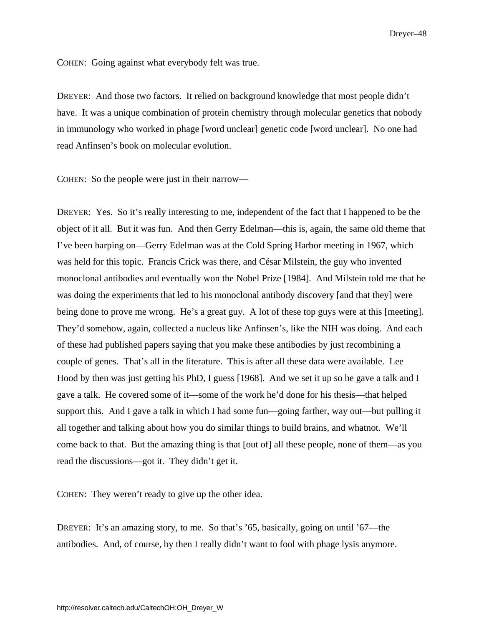COHEN: Going against what everybody felt was true.

DREYER: And those two factors. It relied on background knowledge that most people didn't have. It was a unique combination of protein chemistry through molecular genetics that nobody in immunology who worked in phage [word unclear] genetic code [word unclear]. No one had read Anfinsen's book on molecular evolution.

COHEN: So the people were just in their narrow—

DREYER: Yes. So it's really interesting to me, independent of the fact that I happened to be the object of it all. But it was fun. And then Gerry Edelman—this is, again, the same old theme that I've been harping on—Gerry Edelman was at the Cold Spring Harbor meeting in 1967, which was held for this topic. Francis Crick was there, and César Milstein, the guy who invented monoclonal antibodies and eventually won the Nobel Prize [1984]. And Milstein told me that he was doing the experiments that led to his monoclonal antibody discovery [and that they] were being done to prove me wrong. He's a great guy. A lot of these top guys were at this [meeting]. They'd somehow, again, collected a nucleus like Anfinsen's, like the NIH was doing. And each of these had published papers saying that you make these antibodies by just recombining a couple of genes. That's all in the literature. This is after all these data were available. Lee Hood by then was just getting his PhD, I guess [1968]. And we set it up so he gave a talk and I gave a talk. He covered some of it—some of the work he'd done for his thesis—that helped support this. And I gave a talk in which I had some fun—going farther, way out—but pulling it all together and talking about how you do similar things to build brains, and whatnot. We'll come back to that. But the amazing thing is that [out of] all these people, none of them—as you read the discussions—got it. They didn't get it.

COHEN: They weren't ready to give up the other idea.

DREYER: It's an amazing story, to me. So that's '65, basically, going on until '67—the antibodies. And, of course, by then I really didn't want to fool with phage lysis anymore.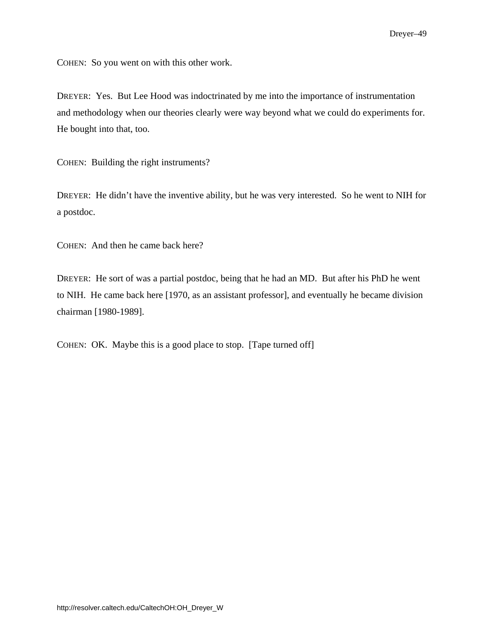COHEN: So you went on with this other work.

DREYER: Yes. But Lee Hood was indoctrinated by me into the importance of instrumentation and methodology when our theories clearly were way beyond what we could do experiments for. He bought into that, too.

COHEN: Building the right instruments?

DREYER: He didn't have the inventive ability, but he was very interested. So he went to NIH for a postdoc.

COHEN: And then he came back here?

DREYER: He sort of was a partial postdoc, being that he had an MD. But after his PhD he went to NIH. He came back here [1970, as an assistant professor], and eventually he became division chairman [1980-1989].

COHEN: OK. Maybe this is a good place to stop. [Tape turned off]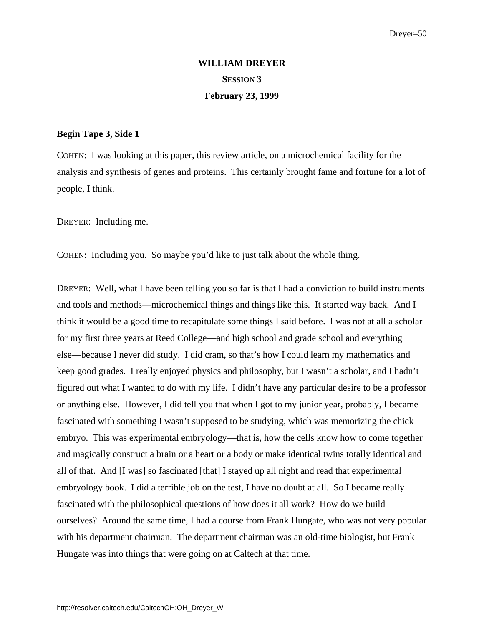# **WILLIAM DREYER SESSION 3 February 23, 1999**

## **Begin Tape 3, Side 1**

COHEN: I was looking at this paper, this review article, on a microchemical facility for the analysis and synthesis of genes and proteins. This certainly brought fame and fortune for a lot of people, I think.

DREYER: Including me.

COHEN: Including you. So maybe you'd like to just talk about the whole thing.

DREYER: Well, what I have been telling you so far is that I had a conviction to build instruments and tools and methods—microchemical things and things like this. It started way back. And I think it would be a good time to recapitulate some things I said before. I was not at all a scholar for my first three years at Reed College—and high school and grade school and everything else—because I never did study. I did cram, so that's how I could learn my mathematics and keep good grades. I really enjoyed physics and philosophy, but I wasn't a scholar, and I hadn't figured out what I wanted to do with my life. I didn't have any particular desire to be a professor or anything else. However, I did tell you that when I got to my junior year, probably, I became fascinated with something I wasn't supposed to be studying, which was memorizing the chick embryo. This was experimental embryology—that is, how the cells know how to come together and magically construct a brain or a heart or a body or make identical twins totally identical and all of that. And [I was] so fascinated [that] I stayed up all night and read that experimental embryology book. I did a terrible job on the test, I have no doubt at all. So I became really fascinated with the philosophical questions of how does it all work? How do we build ourselves? Around the same time, I had a course from Frank Hungate, who was not very popular with his department chairman. The department chairman was an old-time biologist, but Frank Hungate was into things that were going on at Caltech at that time.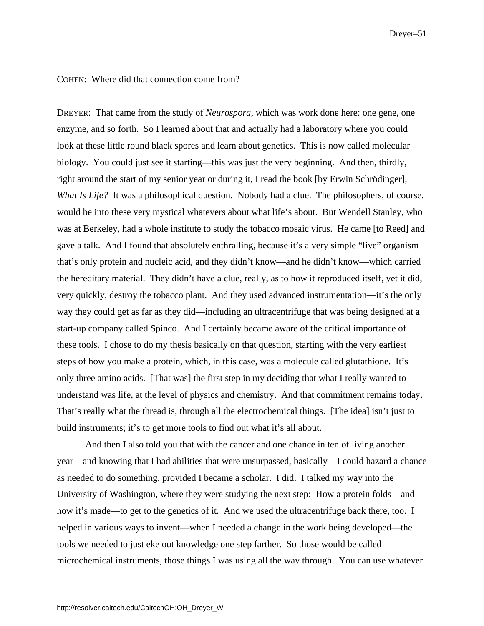#### COHEN: Where did that connection come from?

DREYER: That came from the study of *Neurospora*, which was work done here: one gene, one enzyme, and so forth. So I learned about that and actually had a laboratory where you could look at these little round black spores and learn about genetics. This is now called molecular biology. You could just see it starting—this was just the very beginning. And then, thirdly, right around the start of my senior year or during it, I read the book [by Erwin Schrödinger], *What Is Life?* It was a philosophical question. Nobody had a clue. The philosophers, of course, would be into these very mystical whatevers about what life's about. But Wendell Stanley, who was at Berkeley, had a whole institute to study the tobacco mosaic virus. He came [to Reed] and gave a talk. And I found that absolutely enthralling, because it's a very simple "live" organism that's only protein and nucleic acid, and they didn't know—and he didn't know—which carried the hereditary material. They didn't have a clue, really, as to how it reproduced itself, yet it did, very quickly, destroy the tobacco plant. And they used advanced instrumentation—it's the only way they could get as far as they did—including an ultracentrifuge that was being designed at a start-up company called Spinco. And I certainly became aware of the critical importance of these tools. I chose to do my thesis basically on that question, starting with the very earliest steps of how you make a protein, which, in this case, was a molecule called glutathione. It's only three amino acids. [That was] the first step in my deciding that what I really wanted to understand was life, at the level of physics and chemistry. And that commitment remains today. That's really what the thread is, through all the electrochemical things. [The idea] isn't just to build instruments; it's to get more tools to find out what it's all about.

And then I also told you that with the cancer and one chance in ten of living another year—and knowing that I had abilities that were unsurpassed, basically—I could hazard a chance as needed to do something, provided I became a scholar. I did. I talked my way into the University of Washington, where they were studying the next step: How a protein folds—and how it's made—to get to the genetics of it. And we used the ultracentrifuge back there, too. I helped in various ways to invent—when I needed a change in the work being developed—the tools we needed to just eke out knowledge one step farther. So those would be called microchemical instruments, those things I was using all the way through. You can use whatever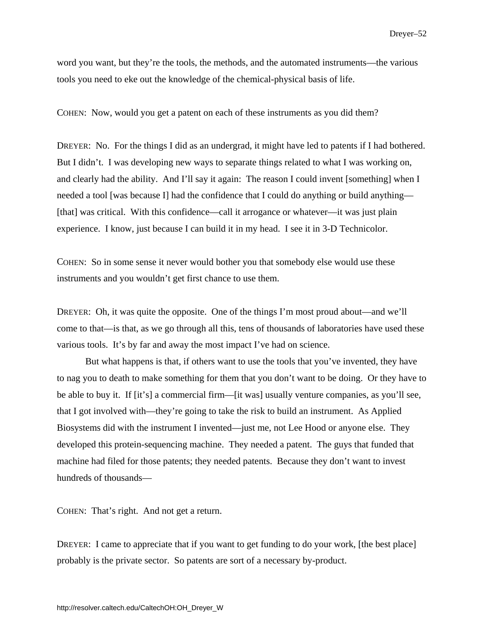word you want, but they're the tools, the methods, and the automated instruments—the various tools you need to eke out the knowledge of the chemical-physical basis of life.

COHEN: Now, would you get a patent on each of these instruments as you did them?

DREYER: No. For the things I did as an undergrad, it might have led to patents if I had bothered. But I didn't. I was developing new ways to separate things related to what I was working on, and clearly had the ability. And I'll say it again: The reason I could invent [something] when I needed a tool [was because I] had the confidence that I could do anything or build anything— [that] was critical. With this confidence—call it arrogance or whatever—it was just plain experience. I know, just because I can build it in my head. I see it in 3-D Technicolor.

COHEN: So in some sense it never would bother you that somebody else would use these instruments and you wouldn't get first chance to use them.

DREYER: Oh, it was quite the opposite. One of the things I'm most proud about—and we'll come to that—is that, as we go through all this, tens of thousands of laboratories have used these various tools. It's by far and away the most impact I've had on science.

But what happens is that, if others want to use the tools that you've invented, they have to nag you to death to make something for them that you don't want to be doing. Or they have to be able to buy it. If [it's] a commercial firm—[it was] usually venture companies, as you'll see, that I got involved with—they're going to take the risk to build an instrument. As Applied Biosystems did with the instrument I invented—just me, not Lee Hood or anyone else. They developed this protein-sequencing machine. They needed a patent. The guys that funded that machine had filed for those patents; they needed patents. Because they don't want to invest hundreds of thousands—

COHEN: That's right. And not get a return.

DREYER: I came to appreciate that if you want to get funding to do your work, [the best place] probably is the private sector. So patents are sort of a necessary by-product.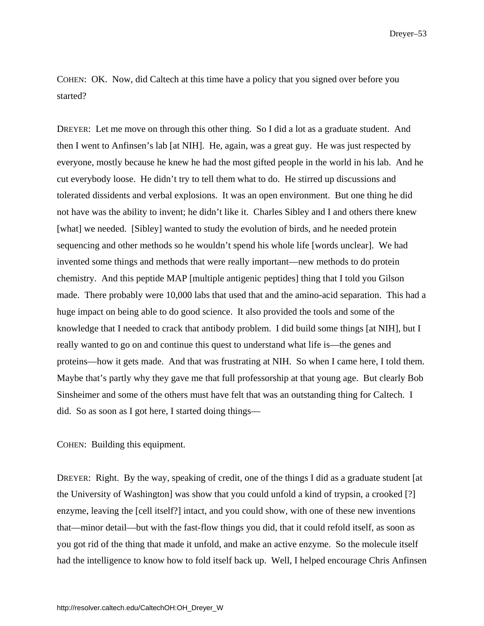COHEN: OK. Now, did Caltech at this time have a policy that you signed over before you started?

DREYER: Let me move on through this other thing. So I did a lot as a graduate student. And then I went to Anfinsen's lab [at NIH]. He, again, was a great guy. He was just respected by everyone, mostly because he knew he had the most gifted people in the world in his lab. And he cut everybody loose. He didn't try to tell them what to do. He stirred up discussions and tolerated dissidents and verbal explosions. It was an open environment. But one thing he did not have was the ability to invent; he didn't like it. Charles Sibley and I and others there knew [what] we needed. [Sibley] wanted to study the evolution of birds, and he needed protein sequencing and other methods so he wouldn't spend his whole life [words unclear]. We had invented some things and methods that were really important—new methods to do protein chemistry. And this peptide MAP [multiple antigenic peptides] thing that I told you Gilson made. There probably were 10,000 labs that used that and the amino-acid separation. This had a huge impact on being able to do good science. It also provided the tools and some of the knowledge that I needed to crack that antibody problem. I did build some things [at NIH], but I really wanted to go on and continue this quest to understand what life is—the genes and proteins—how it gets made. And that was frustrating at NIH. So when I came here, I told them. Maybe that's partly why they gave me that full professorship at that young age. But clearly Bob Sinsheimer and some of the others must have felt that was an outstanding thing for Caltech. I did. So as soon as I got here, I started doing things—

COHEN: Building this equipment.

DREYER: Right. By the way, speaking of credit, one of the things I did as a graduate student [at the University of Washington] was show that you could unfold a kind of trypsin, a crooked [?] enzyme, leaving the [cell itself?] intact, and you could show, with one of these new inventions that—minor detail—but with the fast-flow things you did, that it could refold itself, as soon as you got rid of the thing that made it unfold, and make an active enzyme. So the molecule itself had the intelligence to know how to fold itself back up. Well, I helped encourage Chris Anfinsen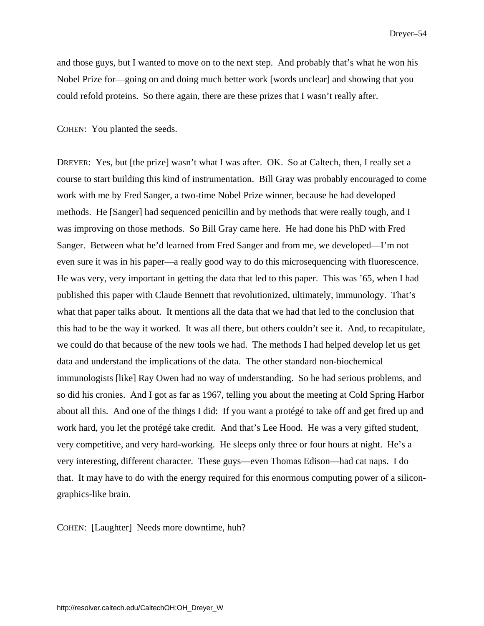and those guys, but I wanted to move on to the next step. And probably that's what he won his Nobel Prize for—going on and doing much better work [words unclear] and showing that you could refold proteins. So there again, there are these prizes that I wasn't really after.

COHEN: You planted the seeds.

DREYER: Yes, but [the prize] wasn't what I was after. OK. So at Caltech, then, I really set a course to start building this kind of instrumentation. Bill Gray was probably encouraged to come work with me by Fred Sanger, a two-time Nobel Prize winner, because he had developed methods. He [Sanger] had sequenced penicillin and by methods that were really tough, and I was improving on those methods. So Bill Gray came here. He had done his PhD with Fred Sanger. Between what he'd learned from Fred Sanger and from me, we developed—I'm not even sure it was in his paper—a really good way to do this microsequencing with fluorescence. He was very, very important in getting the data that led to this paper. This was '65, when I had published this paper with Claude Bennett that revolutionized, ultimately, immunology. That's what that paper talks about. It mentions all the data that we had that led to the conclusion that this had to be the way it worked. It was all there, but others couldn't see it. And, to recapitulate, we could do that because of the new tools we had. The methods I had helped develop let us get data and understand the implications of the data. The other standard non-biochemical immunologists [like] Ray Owen had no way of understanding. So he had serious problems, and so did his cronies. And I got as far as 1967, telling you about the meeting at Cold Spring Harbor about all this. And one of the things I did: If you want a protégé to take off and get fired up and work hard, you let the protégé take credit. And that's Lee Hood. He was a very gifted student, very competitive, and very hard-working. He sleeps only three or four hours at night. He's a very interesting, different character. These guys—even Thomas Edison—had cat naps. I do that. It may have to do with the energy required for this enormous computing power of a silicongraphics-like brain.

COHEN: [Laughter] Needs more downtime, huh?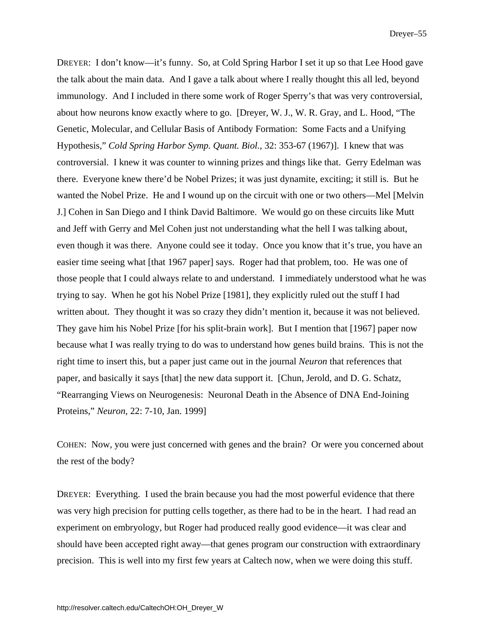DREYER: I don't know—it's funny. So, at Cold Spring Harbor I set it up so that Lee Hood gave the talk about the main data. And I gave a talk about where I really thought this all led, beyond immunology. And I included in there some work of Roger Sperry's that was very controversial, about how neurons know exactly where to go. [Dreyer, W. J., W. R. Gray, and L. Hood, "The Genetic, Molecular, and Cellular Basis of Antibody Formation: Some Facts and a Unifying Hypothesis," *Cold Spring Harbor Symp. Quant. Biol.*, 32: 353-67 (1967)]. I knew that was controversial. I knew it was counter to winning prizes and things like that. Gerry Edelman was there. Everyone knew there'd be Nobel Prizes; it was just dynamite, exciting; it still is. But he wanted the Nobel Prize. He and I wound up on the circuit with one or two others—Mel [Melvin J.] Cohen in San Diego and I think David Baltimore. We would go on these circuits like Mutt and Jeff with Gerry and Mel Cohen just not understanding what the hell I was talking about, even though it was there. Anyone could see it today. Once you know that it's true, you have an easier time seeing what [that 1967 paper] says. Roger had that problem, too. He was one of those people that I could always relate to and understand. I immediately understood what he was trying to say. When he got his Nobel Prize [1981], they explicitly ruled out the stuff I had written about. They thought it was so crazy they didn't mention it, because it was not believed. They gave him his Nobel Prize [for his split-brain work]. But I mention that [1967] paper now because what I was really trying to do was to understand how genes build brains. This is not the right time to insert this, but a paper just came out in the journal *Neuron* that references that paper, and basically it says [that] the new data support it. [Chun, Jerold, and D. G. Schatz, "Rearranging Views on Neurogenesis: Neuronal Death in the Absence of DNA End-Joining Proteins," *Neuron*, 22: 7-10, Jan. 1999]

COHEN: Now, you were just concerned with genes and the brain? Or were you concerned about the rest of the body?

DREYER: Everything. I used the brain because you had the most powerful evidence that there was very high precision for putting cells together, as there had to be in the heart. I had read an experiment on embryology, but Roger had produced really good evidence—it was clear and should have been accepted right away—that genes program our construction with extraordinary precision. This is well into my first few years at Caltech now, when we were doing this stuff.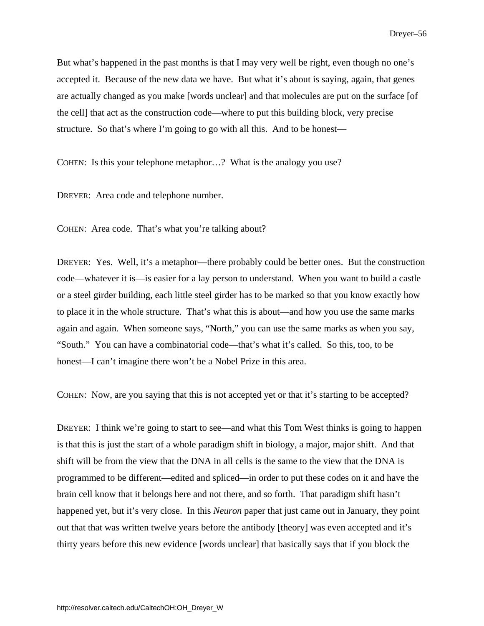But what's happened in the past months is that I may very well be right, even though no one's accepted it. Because of the new data we have. But what it's about is saying, again, that genes are actually changed as you make [words unclear] and that molecules are put on the surface [of the cell] that act as the construction code—where to put this building block, very precise structure. So that's where I'm going to go with all this. And to be honest—

COHEN: Is this your telephone metaphor…? What is the analogy you use?

DREYER: Area code and telephone number.

COHEN: Area code. That's what you're talking about?

DREYER: Yes. Well, it's a metaphor—there probably could be better ones. But the construction code—whatever it is—is easier for a lay person to understand. When you want to build a castle or a steel girder building, each little steel girder has to be marked so that you know exactly how to place it in the whole structure. That's what this is about—and how you use the same marks again and again. When someone says, "North," you can use the same marks as when you say, "South." You can have a combinatorial code—that's what it's called. So this, too, to be honest—I can't imagine there won't be a Nobel Prize in this area.

COHEN: Now, are you saying that this is not accepted yet or that it's starting to be accepted?

DREYER: I think we're going to start to see—and what this Tom West thinks is going to happen is that this is just the start of a whole paradigm shift in biology, a major, major shift. And that shift will be from the view that the DNA in all cells is the same to the view that the DNA is programmed to be different—edited and spliced—in order to put these codes on it and have the brain cell know that it belongs here and not there, and so forth. That paradigm shift hasn't happened yet, but it's very close. In this *Neuron* paper that just came out in January, they point out that that was written twelve years before the antibody [theory] was even accepted and it's thirty years before this new evidence [words unclear] that basically says that if you block the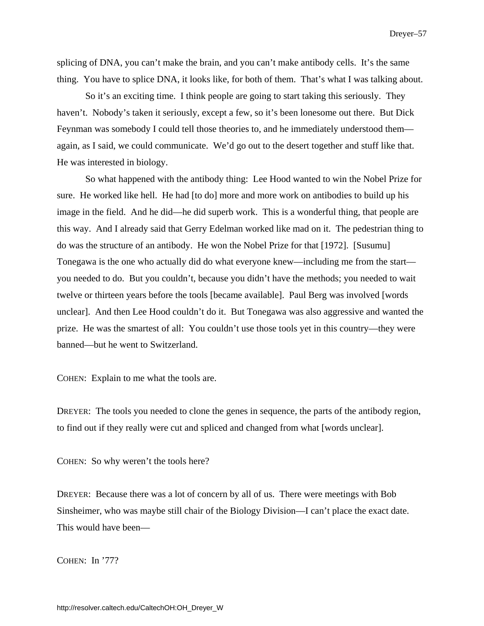splicing of DNA, you can't make the brain, and you can't make antibody cells. It's the same thing. You have to splice DNA, it looks like, for both of them. That's what I was talking about.

So it's an exciting time. I think people are going to start taking this seriously. They haven't. Nobody's taken it seriously, except a few, so it's been lonesome out there. But Dick Feynman was somebody I could tell those theories to, and he immediately understood them again, as I said, we could communicate. We'd go out to the desert together and stuff like that. He was interested in biology.

So what happened with the antibody thing: Lee Hood wanted to win the Nobel Prize for sure. He worked like hell. He had [to do] more and more work on antibodies to build up his image in the field. And he did—he did superb work. This is a wonderful thing, that people are this way. And I already said that Gerry Edelman worked like mad on it. The pedestrian thing to do was the structure of an antibody. He won the Nobel Prize for that [1972]. [Susumu] Tonegawa is the one who actually did do what everyone knew—including me from the start you needed to do. But you couldn't, because you didn't have the methods; you needed to wait twelve or thirteen years before the tools [became available]. Paul Berg was involved [words unclear]. And then Lee Hood couldn't do it. But Tonegawa was also aggressive and wanted the prize. He was the smartest of all: You couldn't use those tools yet in this country—they were banned—but he went to Switzerland.

COHEN: Explain to me what the tools are.

DREYER: The tools you needed to clone the genes in sequence, the parts of the antibody region, to find out if they really were cut and spliced and changed from what [words unclear].

COHEN: So why weren't the tools here?

DREYER: Because there was a lot of concern by all of us. There were meetings with Bob Sinsheimer, who was maybe still chair of the Biology Division—I can't place the exact date. This would have been—

COHEN: In '77?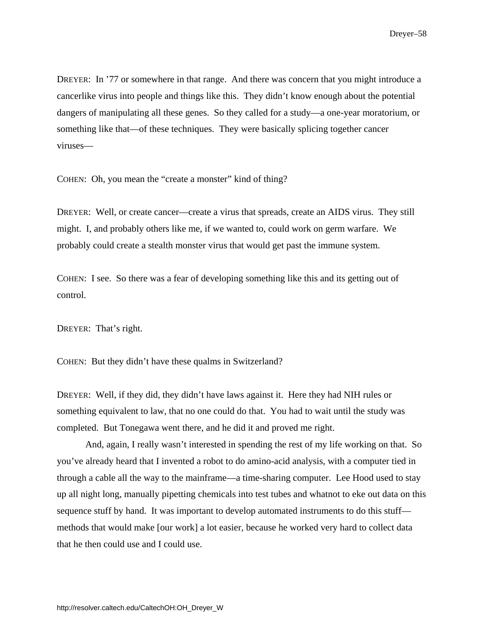DREYER: In '77 or somewhere in that range. And there was concern that you might introduce a cancerlike virus into people and things like this. They didn't know enough about the potential dangers of manipulating all these genes. So they called for a study—a one-year moratorium, or something like that—of these techniques. They were basically splicing together cancer viruses—

COHEN: Oh, you mean the "create a monster" kind of thing?

DREYER: Well, or create cancer—create a virus that spreads, create an AIDS virus. They still might. I, and probably others like me, if we wanted to, could work on germ warfare. We probably could create a stealth monster virus that would get past the immune system.

COHEN: I see. So there was a fear of developing something like this and its getting out of control.

DREYER: That's right.

COHEN: But they didn't have these qualms in Switzerland?

DREYER: Well, if they did, they didn't have laws against it. Here they had NIH rules or something equivalent to law, that no one could do that. You had to wait until the study was completed. But Tonegawa went there, and he did it and proved me right.

And, again, I really wasn't interested in spending the rest of my life working on that. So you've already heard that I invented a robot to do amino-acid analysis, with a computer tied in through a cable all the way to the mainframe—a time-sharing computer. Lee Hood used to stay up all night long, manually pipetting chemicals into test tubes and whatnot to eke out data on this sequence stuff by hand. It was important to develop automated instruments to do this stuff methods that would make [our work] a lot easier, because he worked very hard to collect data that he then could use and I could use.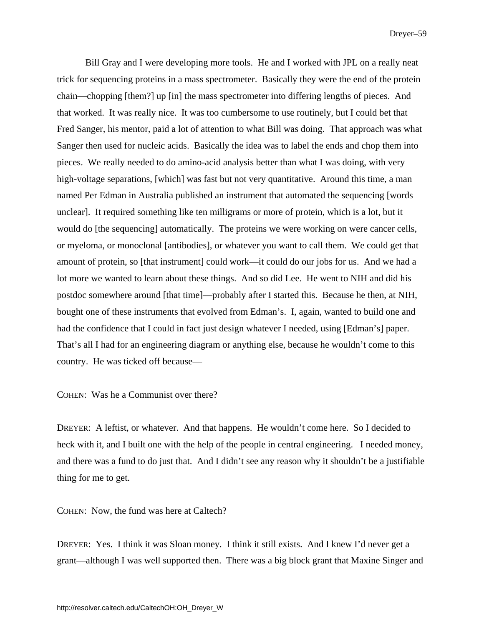Bill Gray and I were developing more tools. He and I worked with JPL on a really neat trick for sequencing proteins in a mass spectrometer. Basically they were the end of the protein chain—chopping [them?] up [in] the mass spectrometer into differing lengths of pieces. And that worked. It was really nice. It was too cumbersome to use routinely, but I could bet that Fred Sanger, his mentor, paid a lot of attention to what Bill was doing. That approach was what Sanger then used for nucleic acids. Basically the idea was to label the ends and chop them into pieces. We really needed to do amino-acid analysis better than what I was doing, with very high-voltage separations, [which] was fast but not very quantitative. Around this time, a man named Per Edman in Australia published an instrument that automated the sequencing [words unclear]. It required something like ten milligrams or more of protein, which is a lot, but it would do [the sequencing] automatically. The proteins we were working on were cancer cells, or myeloma, or monoclonal [antibodies], or whatever you want to call them. We could get that amount of protein, so [that instrument] could work—it could do our jobs for us. And we had a lot more we wanted to learn about these things. And so did Lee. He went to NIH and did his postdoc somewhere around [that time]—probably after I started this. Because he then, at NIH, bought one of these instruments that evolved from Edman's. I, again, wanted to build one and had the confidence that I could in fact just design whatever I needed, using [Edman's] paper. That's all I had for an engineering diagram or anything else, because he wouldn't come to this country. He was ticked off because—

COHEN: Was he a Communist over there?

DREYER: A leftist, or whatever. And that happens. He wouldn't come here. So I decided to heck with it, and I built one with the help of the people in central engineering. I needed money, and there was a fund to do just that. And I didn't see any reason why it shouldn't be a justifiable thing for me to get.

COHEN: Now, the fund was here at Caltech?

DREYER: Yes. I think it was Sloan money. I think it still exists. And I knew I'd never get a grant—although I was well supported then. There was a big block grant that Maxine Singer and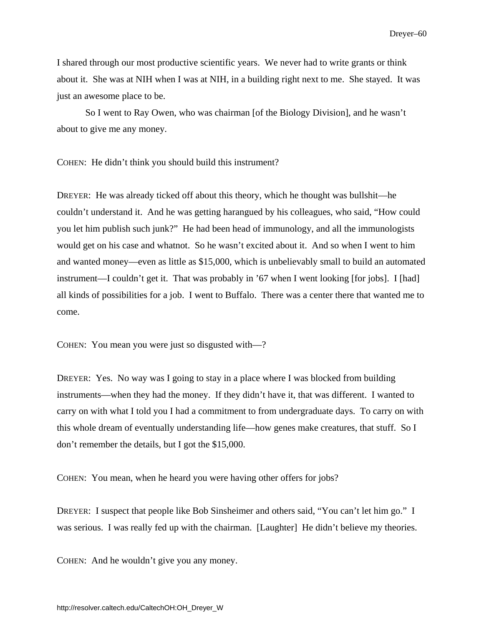I shared through our most productive scientific years. We never had to write grants or think about it. She was at NIH when I was at NIH, in a building right next to me. She stayed. It was just an awesome place to be.

So I went to Ray Owen, who was chairman [of the Biology Division], and he wasn't about to give me any money.

COHEN: He didn't think you should build this instrument?

DREYER: He was already ticked off about this theory, which he thought was bullshit—he couldn't understand it. And he was getting harangued by his colleagues, who said, "How could you let him publish such junk?" He had been head of immunology, and all the immunologists would get on his case and whatnot. So he wasn't excited about it. And so when I went to him and wanted money—even as little as \$15,000, which is unbelievably small to build an automated instrument—I couldn't get it. That was probably in '67 when I went looking [for jobs]. I [had] all kinds of possibilities for a job. I went to Buffalo. There was a center there that wanted me to come.

COHEN: You mean you were just so disgusted with—?

DREYER: Yes. No way was I going to stay in a place where I was blocked from building instruments—when they had the money. If they didn't have it, that was different. I wanted to carry on with what I told you I had a commitment to from undergraduate days. To carry on with this whole dream of eventually understanding life—how genes make creatures, that stuff. So I don't remember the details, but I got the \$15,000.

COHEN: You mean, when he heard you were having other offers for jobs?

DREYER: I suspect that people like Bob Sinsheimer and others said, "You can't let him go." I was serious. I was really fed up with the chairman. [Laughter] He didn't believe my theories.

COHEN: And he wouldn't give you any money.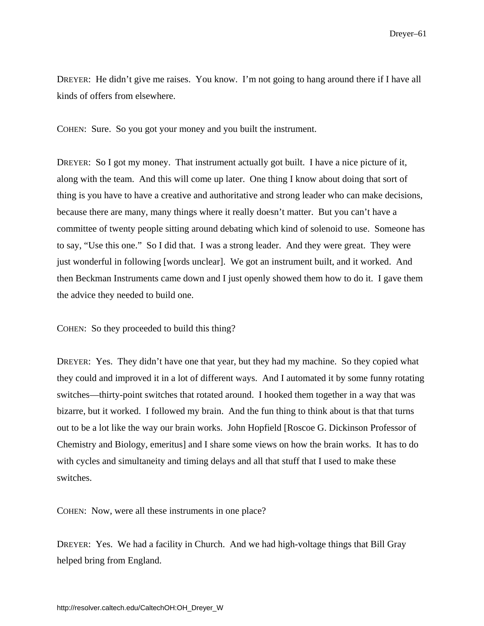DREYER: He didn't give me raises. You know. I'm not going to hang around there if I have all kinds of offers from elsewhere.

COHEN: Sure. So you got your money and you built the instrument.

DREYER: So I got my money. That instrument actually got built. I have a nice picture of it, along with the team. And this will come up later. One thing I know about doing that sort of thing is you have to have a creative and authoritative and strong leader who can make decisions, because there are many, many things where it really doesn't matter. But you can't have a committee of twenty people sitting around debating which kind of solenoid to use. Someone has to say, "Use this one." So I did that. I was a strong leader. And they were great. They were just wonderful in following [words unclear]. We got an instrument built, and it worked. And then Beckman Instruments came down and I just openly showed them how to do it. I gave them the advice they needed to build one.

COHEN: So they proceeded to build this thing?

DREYER: Yes. They didn't have one that year, but they had my machine. So they copied what they could and improved it in a lot of different ways. And I automated it by some funny rotating switches—thirty-point switches that rotated around. I hooked them together in a way that was bizarre, but it worked. I followed my brain. And the fun thing to think about is that that turns out to be a lot like the way our brain works. John Hopfield [Roscoe G. Dickinson Professor of Chemistry and Biology, emeritus] and I share some views on how the brain works. It has to do with cycles and simultaneity and timing delays and all that stuff that I used to make these switches.

COHEN: Now, were all these instruments in one place?

DREYER: Yes. We had a facility in Church. And we had high-voltage things that Bill Gray helped bring from England.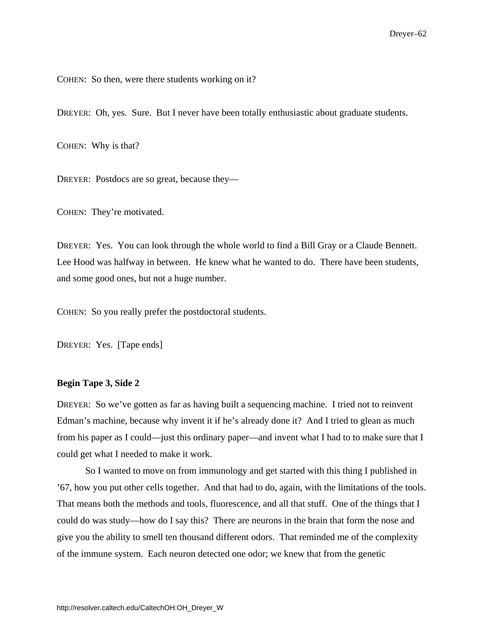COHEN: So then, were there students working on it?

DREYER: Oh, yes. Sure. But I never have been totally enthusiastic about graduate students.

COHEN: Why is that?

DREYER: Postdocs are so great, because they—

COHEN: They're motivated.

DREYER: Yes. You can look through the whole world to find a Bill Gray or a Claude Bennett. Lee Hood was halfway in between. He knew what he wanted to do. There have been students, and some good ones, but not a huge number.

COHEN: So you really prefer the postdoctoral students.

DREYER: Yes. [Tape ends]

## **Begin Tape 3, Side 2**

DREYER: So we've gotten as far as having built a sequencing machine. I tried not to reinvent Edman's machine, because why invent it if he's already done it? And I tried to glean as much from his paper as I could—just this ordinary paper—and invent what I had to to make sure that I could get what I needed to make it work.

So I wanted to move on from immunology and get started with this thing I published in '67, how you put other cells together. And that had to do, again, with the limitations of the tools. That means both the methods and tools, fluorescence, and all that stuff. One of the things that I could do was study—how do I say this? There are neurons in the brain that form the nose and give you the ability to smell ten thousand different odors. That reminded me of the complexity of the immune system. Each neuron detected one odor; we knew that from the genetic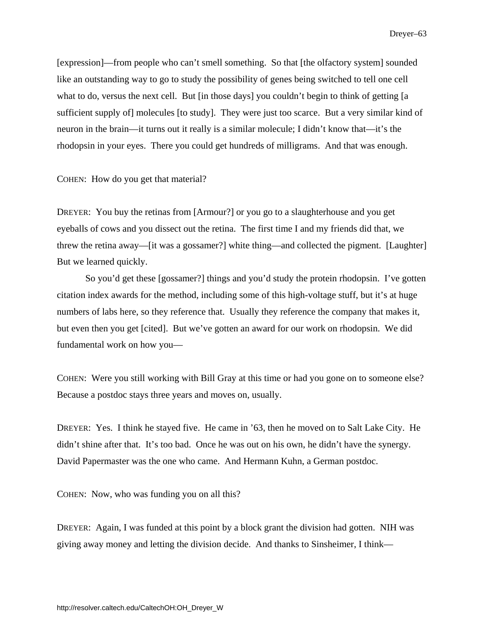[expression]—from people who can't smell something. So that [the olfactory system] sounded like an outstanding way to go to study the possibility of genes being switched to tell one cell what to do, versus the next cell. But [in those days] you couldn't begin to think of getting [a sufficient supply of] molecules [to study]. They were just too scarce. But a very similar kind of neuron in the brain—it turns out it really is a similar molecule; I didn't know that—it's the rhodopsin in your eyes. There you could get hundreds of milligrams. And that was enough.

COHEN: How do you get that material?

DREYER: You buy the retinas from [Armour?] or you go to a slaughterhouse and you get eyeballs of cows and you dissect out the retina. The first time I and my friends did that, we threw the retina away—[it was a gossamer?] white thing—and collected the pigment. [Laughter] But we learned quickly.

So you'd get these [gossamer?] things and you'd study the protein rhodopsin. I've gotten citation index awards for the method, including some of this high-voltage stuff, but it's at huge numbers of labs here, so they reference that. Usually they reference the company that makes it, but even then you get [cited]. But we've gotten an award for our work on rhodopsin. We did fundamental work on how you—

COHEN: Were you still working with Bill Gray at this time or had you gone on to someone else? Because a postdoc stays three years and moves on, usually.

DREYER: Yes. I think he stayed five. He came in '63, then he moved on to Salt Lake City. He didn't shine after that. It's too bad. Once he was out on his own, he didn't have the synergy. David Papermaster was the one who came. And Hermann Kuhn, a German postdoc.

COHEN: Now, who was funding you on all this?

DREYER: Again, I was funded at this point by a block grant the division had gotten. NIH was giving away money and letting the division decide. And thanks to Sinsheimer, I think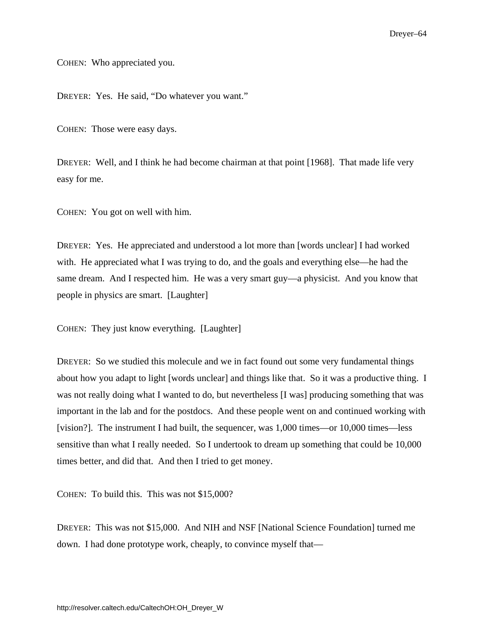COHEN: Who appreciated you.

DREYER: Yes. He said, "Do whatever you want."

COHEN: Those were easy days.

DREYER: Well, and I think he had become chairman at that point [1968]. That made life very easy for me.

COHEN: You got on well with him.

DREYER: Yes. He appreciated and understood a lot more than [words unclear] I had worked with. He appreciated what I was trying to do, and the goals and everything else—he had the same dream. And I respected him. He was a very smart guy—a physicist. And you know that people in physics are smart. [Laughter]

COHEN: They just know everything. [Laughter]

DREYER: So we studied this molecule and we in fact found out some very fundamental things about how you adapt to light [words unclear] and things like that. So it was a productive thing. I was not really doing what I wanted to do, but nevertheless [I was] producing something that was important in the lab and for the postdocs. And these people went on and continued working with [vision?]. The instrument I had built, the sequencer, was 1,000 times—or 10,000 times—less sensitive than what I really needed. So I undertook to dream up something that could be 10,000 times better, and did that. And then I tried to get money.

COHEN: To build this. This was not \$15,000?

DREYER: This was not \$15,000. And NIH and NSF [National Science Foundation] turned me down. I had done prototype work, cheaply, to convince myself that—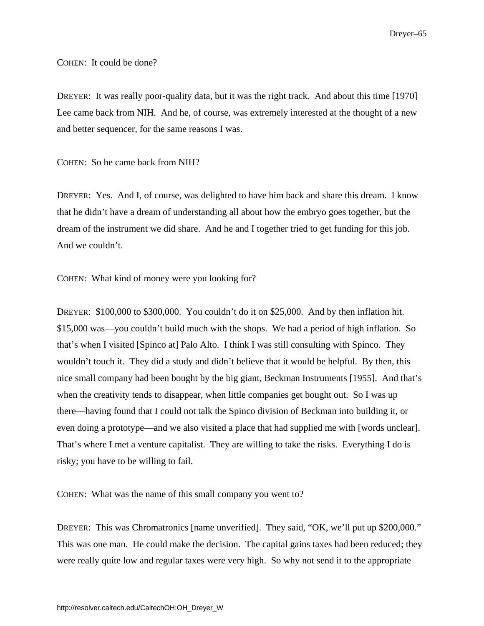COHEN: It could be done?

DREYER: It was really poor-quality data, but it was the right track. And about this time [1970] Lee came back from NIH. And he, of course, was extremely interested at the thought of a new and better sequencer, for the same reasons I was.

COHEN: So he came back from NIH?

DREYER: Yes. And I, of course, was delighted to have him back and share this dream. I know that he didn't have a dream of understanding all about how the embryo goes together, but the dream of the instrument we did share. And he and I together tried to get funding for this job. And we couldn't.

COHEN: What kind of money were you looking for?

DREYER: \$100,000 to \$300,000. You couldn't do it on \$25,000. And by then inflation hit. \$15,000 was—you couldn't build much with the shops. We had a period of high inflation. So that's when I visited [Spinco at] Palo Alto. I think I was still consulting with Spinco. They wouldn't touch it. They did a study and didn't believe that it would be helpful. By then, this nice small company had been bought by the big giant, Beckman Instruments [1955]. And that's when the creativity tends to disappear, when little companies get bought out. So I was up there—having found that I could not talk the Spinco division of Beckman into building it, or even doing a prototype—and we also visited a place that had supplied me with [words unclear]. That's where I met a venture capitalist. They are willing to take the risks. Everything I do is risky; you have to be willing to fail.

COHEN: What was the name of this small company you went to?

DREYER: This was Chromatronics [name unverified]. They said, "OK, we'll put up \$200,000." This was one man. He could make the decision. The capital gains taxes had been reduced; they were really quite low and regular taxes were very high. So why not send it to the appropriate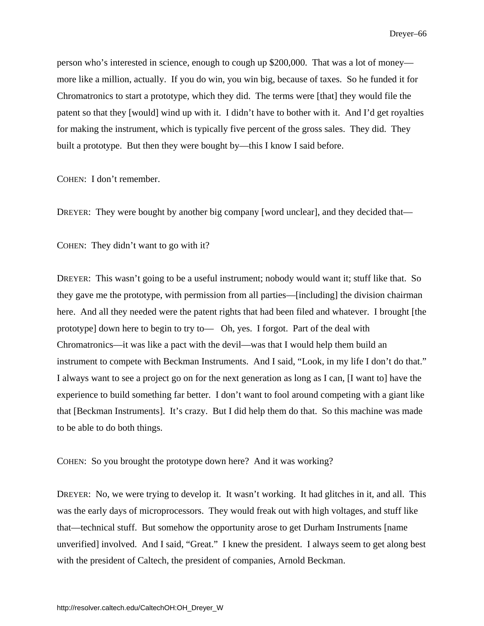person who's interested in science, enough to cough up \$200,000. That was a lot of money more like a million, actually. If you do win, you win big, because of taxes. So he funded it for Chromatronics to start a prototype, which they did. The terms were [that] they would file the patent so that they [would] wind up with it. I didn't have to bother with it. And I'd get royalties for making the instrument, which is typically five percent of the gross sales. They did. They built a prototype. But then they were bought by—this I know I said before.

COHEN: I don't remember.

DREYER: They were bought by another big company [word unclear], and they decided that—

COHEN: They didn't want to go with it?

DREYER: This wasn't going to be a useful instrument; nobody would want it; stuff like that. So they gave me the prototype, with permission from all parties—[including] the division chairman here. And all they needed were the patent rights that had been filed and whatever. I brought [the prototype] down here to begin to try to— Oh, yes. I forgot. Part of the deal with Chromatronics—it was like a pact with the devil—was that I would help them build an instrument to compete with Beckman Instruments. And I said, "Look, in my life I don't do that." I always want to see a project go on for the next generation as long as I can, [I want to] have the experience to build something far better. I don't want to fool around competing with a giant like that [Beckman Instruments]. It's crazy. But I did help them do that. So this machine was made to be able to do both things.

COHEN: So you brought the prototype down here? And it was working?

DREYER: No, we were trying to develop it. It wasn't working. It had glitches in it, and all. This was the early days of microprocessors. They would freak out with high voltages, and stuff like that—technical stuff. But somehow the opportunity arose to get Durham Instruments [name unverified] involved. And I said, "Great." I knew the president. I always seem to get along best with the president of Caltech, the president of companies, Arnold Beckman.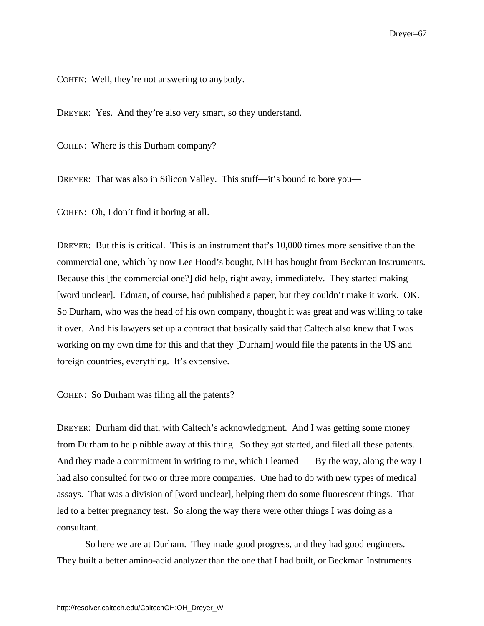COHEN: Well, they're not answering to anybody.

DREYER: Yes. And they're also very smart, so they understand.

COHEN: Where is this Durham company?

DREYER: That was also in Silicon Valley. This stuff—it's bound to bore you—

COHEN: Oh, I don't find it boring at all.

DREYER: But this is critical. This is an instrument that's 10,000 times more sensitive than the commercial one, which by now Lee Hood's bought, NIH has bought from Beckman Instruments. Because this [the commercial one?] did help, right away, immediately. They started making [word unclear]. Edman, of course, had published a paper, but they couldn't make it work. OK. So Durham, who was the head of his own company, thought it was great and was willing to take it over. And his lawyers set up a contract that basically said that Caltech also knew that I was working on my own time for this and that they [Durham] would file the patents in the US and foreign countries, everything. It's expensive.

COHEN: So Durham was filing all the patents?

DREYER: Durham did that, with Caltech's acknowledgment. And I was getting some money from Durham to help nibble away at this thing. So they got started, and filed all these patents. And they made a commitment in writing to me, which I learned— By the way, along the way I had also consulted for two or three more companies. One had to do with new types of medical assays. That was a division of [word unclear], helping them do some fluorescent things. That led to a better pregnancy test. So along the way there were other things I was doing as a consultant.

So here we are at Durham. They made good progress, and they had good engineers. They built a better amino-acid analyzer than the one that I had built, or Beckman Instruments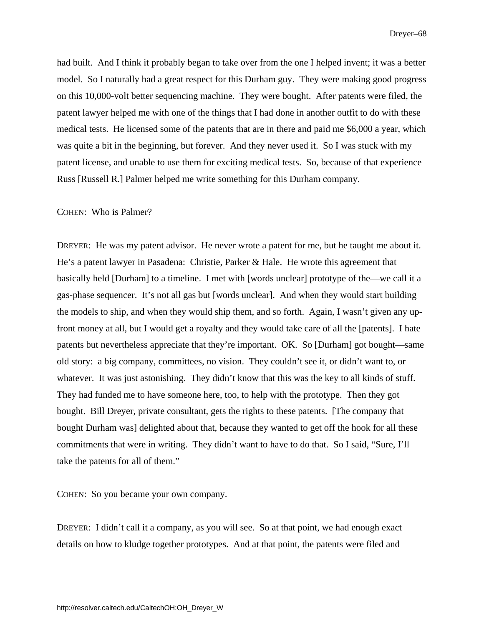had built. And I think it probably began to take over from the one I helped invent; it was a better model. So I naturally had a great respect for this Durham guy. They were making good progress on this 10,000-volt better sequencing machine. They were bought. After patents were filed, the patent lawyer helped me with one of the things that I had done in another outfit to do with these medical tests. He licensed some of the patents that are in there and paid me \$6,000 a year, which was quite a bit in the beginning, but forever. And they never used it. So I was stuck with my patent license, and unable to use them for exciting medical tests. So, because of that experience Russ [Russell R.] Palmer helped me write something for this Durham company.

#### COHEN: Who is Palmer?

DREYER: He was my patent advisor. He never wrote a patent for me, but he taught me about it. He's a patent lawyer in Pasadena: Christie, Parker & Hale. He wrote this agreement that basically held [Durham] to a timeline. I met with [words unclear] prototype of the—we call it a gas-phase sequencer. It's not all gas but [words unclear]. And when they would start building the models to ship, and when they would ship them, and so forth. Again, I wasn't given any upfront money at all, but I would get a royalty and they would take care of all the [patents]. I hate patents but nevertheless appreciate that they're important. OK. So [Durham] got bought—same old story: a big company, committees, no vision. They couldn't see it, or didn't want to, or whatever. It was just astonishing. They didn't know that this was the key to all kinds of stuff. They had funded me to have someone here, too, to help with the prototype. Then they got bought. Bill Dreyer, private consultant, gets the rights to these patents. [The company that bought Durham was] delighted about that, because they wanted to get off the hook for all these commitments that were in writing. They didn't want to have to do that. So I said, "Sure, I'll take the patents for all of them."

COHEN: So you became your own company.

DREYER: I didn't call it a company, as you will see. So at that point, we had enough exact details on how to kludge together prototypes. And at that point, the patents were filed and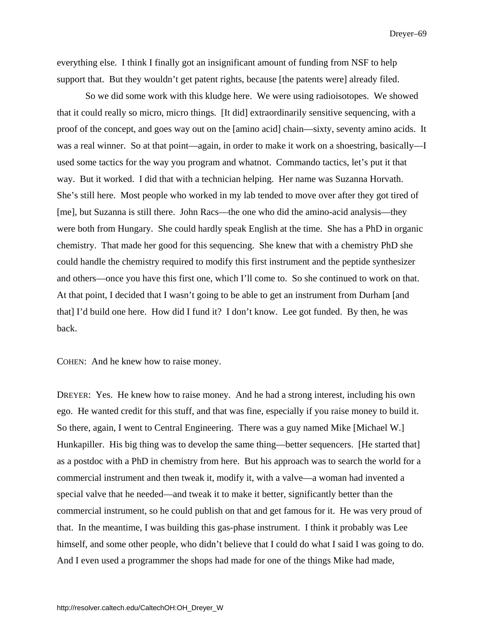everything else. I think I finally got an insignificant amount of funding from NSF to help support that. But they wouldn't get patent rights, because [the patents were] already filed.

So we did some work with this kludge here. We were using radioisotopes. We showed that it could really so micro, micro things. [It did] extraordinarily sensitive sequencing, with a proof of the concept, and goes way out on the [amino acid] chain—sixty, seventy amino acids. It was a real winner. So at that point—again, in order to make it work on a shoestring, basically—I used some tactics for the way you program and whatnot. Commando tactics, let's put it that way. But it worked. I did that with a technician helping. Her name was Suzanna Horvath. She's still here. Most people who worked in my lab tended to move over after they got tired of [me], but Suzanna is still there. John Racs—the one who did the amino-acid analysis—they were both from Hungary. She could hardly speak English at the time. She has a PhD in organic chemistry. That made her good for this sequencing. She knew that with a chemistry PhD she could handle the chemistry required to modify this first instrument and the peptide synthesizer and others—once you have this first one, which I'll come to. So she continued to work on that. At that point, I decided that I wasn't going to be able to get an instrument from Durham [and that] I'd build one here. How did I fund it? I don't know. Lee got funded. By then, he was back.

COHEN: And he knew how to raise money.

DREYER: Yes. He knew how to raise money. And he had a strong interest, including his own ego. He wanted credit for this stuff, and that was fine, especially if you raise money to build it. So there, again, I went to Central Engineering. There was a guy named Mike [Michael W.] Hunkapiller. His big thing was to develop the same thing—better sequencers. [He started that] as a postdoc with a PhD in chemistry from here. But his approach was to search the world for a commercial instrument and then tweak it, modify it, with a valve—a woman had invented a special valve that he needed—and tweak it to make it better, significantly better than the commercial instrument, so he could publish on that and get famous for it. He was very proud of that. In the meantime, I was building this gas-phase instrument. I think it probably was Lee himself, and some other people, who didn't believe that I could do what I said I was going to do. And I even used a programmer the shops had made for one of the things Mike had made,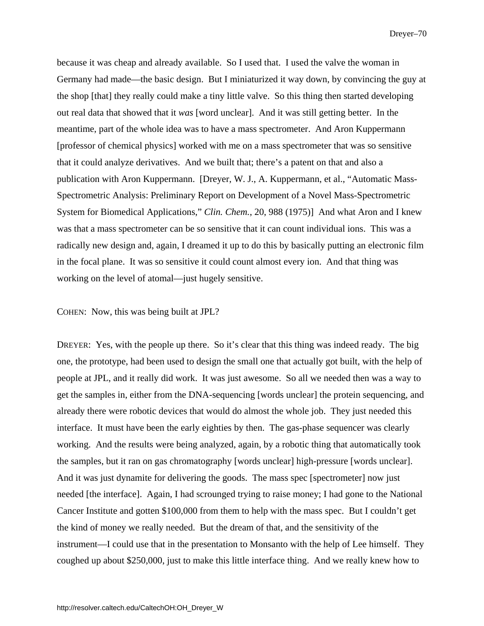because it was cheap and already available. So I used that. I used the valve the woman in Germany had made—the basic design. But I miniaturized it way down, by convincing the guy at the shop [that] they really could make a tiny little valve. So this thing then started developing out real data that showed that it *was* [word unclear]. And it was still getting better. In the meantime, part of the whole idea was to have a mass spectrometer. And Aron Kuppermann [professor of chemical physics] worked with me on a mass spectrometer that was so sensitive that it could analyze derivatives. And we built that; there's a patent on that and also a publication with Aron Kuppermann. [Dreyer, W. J., A. Kuppermann, et al., "Automatic Mass-Spectrometric Analysis: Preliminary Report on Development of a Novel Mass-Spectrometric System for Biomedical Applications," *Clin. Chem.*, 20, 988 (1975)] And what Aron and I knew was that a mass spectrometer can be so sensitive that it can count individual ions. This was a radically new design and, again, I dreamed it up to do this by basically putting an electronic film in the focal plane. It was so sensitive it could count almost every ion. And that thing was working on the level of atomal—just hugely sensitive.

COHEN: Now, this was being built at JPL?

DREYER: Yes, with the people up there. So it's clear that this thing was indeed ready. The big one, the prototype, had been used to design the small one that actually got built, with the help of people at JPL, and it really did work. It was just awesome. So all we needed then was a way to get the samples in, either from the DNA-sequencing [words unclear] the protein sequencing, and already there were robotic devices that would do almost the whole job. They just needed this interface. It must have been the early eighties by then. The gas-phase sequencer was clearly working. And the results were being analyzed, again, by a robotic thing that automatically took the samples, but it ran on gas chromatography [words unclear] high-pressure [words unclear]. And it was just dynamite for delivering the goods. The mass spec [spectrometer] now just needed [the interface]. Again, I had scrounged trying to raise money; I had gone to the National Cancer Institute and gotten \$100,000 from them to help with the mass spec. But I couldn't get the kind of money we really needed. But the dream of that, and the sensitivity of the instrument—I could use that in the presentation to Monsanto with the help of Lee himself. They coughed up about \$250,000, just to make this little interface thing. And we really knew how to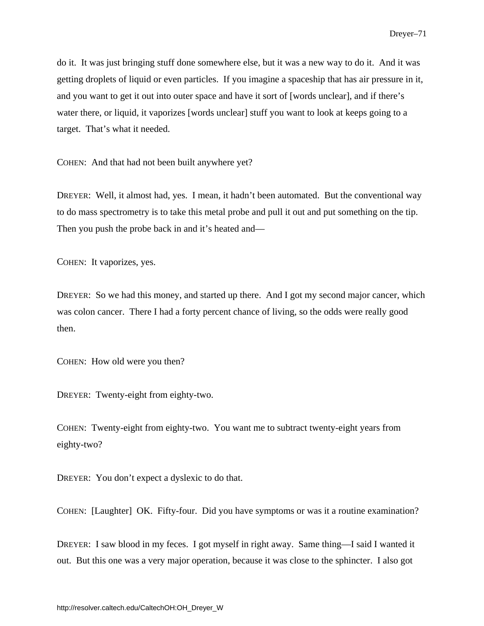do it. It was just bringing stuff done somewhere else, but it was a new way to do it. And it was getting droplets of liquid or even particles. If you imagine a spaceship that has air pressure in it, and you want to get it out into outer space and have it sort of [words unclear], and if there's water there, or liquid, it vaporizes [words unclear] stuff you want to look at keeps going to a target. That's what it needed.

COHEN: And that had not been built anywhere yet?

DREYER: Well, it almost had, yes. I mean, it hadn't been automated. But the conventional way to do mass spectrometry is to take this metal probe and pull it out and put something on the tip. Then you push the probe back in and it's heated and—

COHEN: It vaporizes, yes.

DREYER: So we had this money, and started up there. And I got my second major cancer, which was colon cancer. There I had a forty percent chance of living, so the odds were really good then.

COHEN: How old were you then?

DREYER: Twenty-eight from eighty-two.

COHEN: Twenty-eight from eighty-two. You want me to subtract twenty-eight years from eighty-two?

DREYER: You don't expect a dyslexic to do that.

COHEN: [Laughter] OK. Fifty-four. Did you have symptoms or was it a routine examination?

DREYER: I saw blood in my feces. I got myself in right away. Same thing—I said I wanted it out. But this one was a very major operation, because it was close to the sphincter. I also got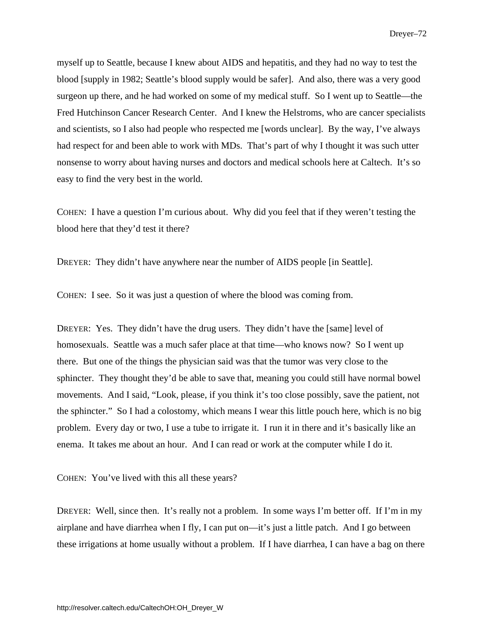myself up to Seattle, because I knew about AIDS and hepatitis, and they had no way to test the blood [supply in 1982; Seattle's blood supply would be safer]. And also, there was a very good surgeon up there, and he had worked on some of my medical stuff. So I went up to Seattle—the Fred Hutchinson Cancer Research Center. And I knew the Helstroms, who are cancer specialists and scientists, so I also had people who respected me [words unclear]. By the way, I've always had respect for and been able to work with MDs. That's part of why I thought it was such utter nonsense to worry about having nurses and doctors and medical schools here at Caltech. It's so easy to find the very best in the world.

COHEN: I have a question I'm curious about. Why did you feel that if they weren't testing the blood here that they'd test it there?

DREYER: They didn't have anywhere near the number of AIDS people [in Seattle].

COHEN: I see. So it was just a question of where the blood was coming from.

DREYER: Yes. They didn't have the drug users. They didn't have the [same] level of homosexuals. Seattle was a much safer place at that time—who knows now? So I went up there. But one of the things the physician said was that the tumor was very close to the sphincter. They thought they'd be able to save that, meaning you could still have normal bowel movements. And I said, "Look, please, if you think it's too close possibly, save the patient, not the sphincter." So I had a colostomy, which means I wear this little pouch here, which is no big problem. Every day or two, I use a tube to irrigate it. I run it in there and it's basically like an enema. It takes me about an hour. And I can read or work at the computer while I do it.

COHEN: You've lived with this all these years?

DREYER: Well, since then. It's really not a problem. In some ways I'm better off. If I'm in my airplane and have diarrhea when I fly, I can put on—it's just a little patch. And I go between these irrigations at home usually without a problem. If I have diarrhea, I can have a bag on there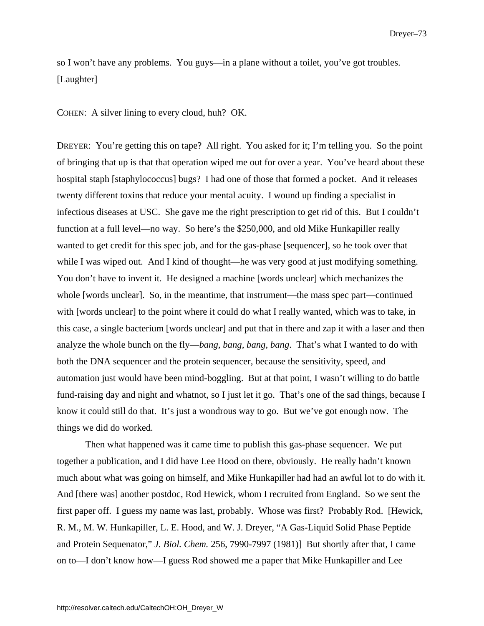so I won't have any problems. You guys—in a plane without a toilet, you've got troubles. [Laughter]

COHEN: A silver lining to every cloud, huh? OK.

DREYER: You're getting this on tape? All right. You asked for it; I'm telling you. So the point of bringing that up is that that operation wiped me out for over a year. You've heard about these hospital staph [staphylococcus] bugs? I had one of those that formed a pocket. And it releases twenty different toxins that reduce your mental acuity. I wound up finding a specialist in infectious diseases at USC. She gave me the right prescription to get rid of this. But I couldn't function at a full level—no way. So here's the \$250,000, and old Mike Hunkapiller really wanted to get credit for this spec job, and for the gas-phase [sequencer], so he took over that while I was wiped out. And I kind of thought—he was very good at just modifying something. You don't have to invent it. He designed a machine [words unclear] which mechanizes the whole [words unclear]. So, in the meantime, that instrument—the mass spec part—continued with [words unclear] to the point where it could do what I really wanted, which was to take, in this case, a single bacterium [words unclear] and put that in there and zap it with a laser and then analyze the whole bunch on the fly—*bang, bang, bang, bang*. That's what I wanted to do with both the DNA sequencer and the protein sequencer, because the sensitivity, speed, and automation just would have been mind-boggling. But at that point, I wasn't willing to do battle fund-raising day and night and whatnot, so I just let it go. That's one of the sad things, because I know it could still do that. It's just a wondrous way to go. But we've got enough now. The things we did do worked.

Then what happened was it came time to publish this gas-phase sequencer. We put together a publication, and I did have Lee Hood on there, obviously. He really hadn't known much about what was going on himself, and Mike Hunkapiller had had an awful lot to do with it. And [there was] another postdoc, Rod Hewick, whom I recruited from England. So we sent the first paper off. I guess my name was last, probably. Whose was first? Probably Rod. [Hewick, R. M., M. W. Hunkapiller, L. E. Hood, and W. J. Dreyer, "A Gas-Liquid Solid Phase Peptide and Protein Sequenator," *J. Biol. Chem.* 256, 7990-7997 (1981)] But shortly after that, I came on to—I don't know how—I guess Rod showed me a paper that Mike Hunkapiller and Lee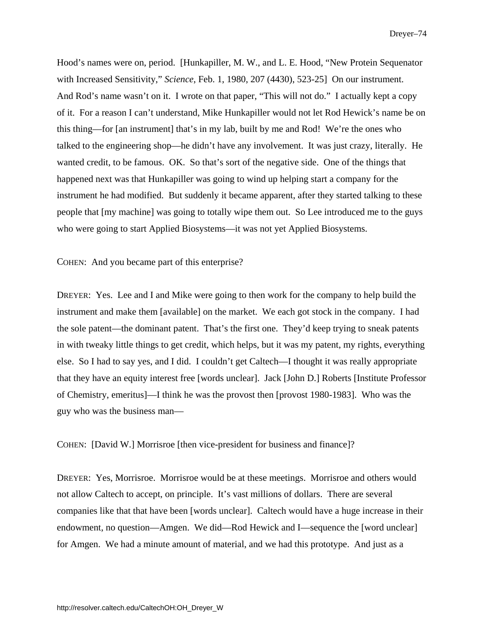Hood's names were on, period. [Hunkapiller, M. W., and L. E. Hood, "New Protein Sequenator with Increased Sensitivity," *Science*, Feb. 1, 1980, 207 (4430), 523-25] On our instrument. And Rod's name wasn't on it. I wrote on that paper, "This will not do." I actually kept a copy of it. For a reason I can't understand, Mike Hunkapiller would not let Rod Hewick's name be on this thing—for [an instrument] that's in my lab, built by me and Rod! We're the ones who talked to the engineering shop—he didn't have any involvement. It was just crazy, literally. He wanted credit, to be famous. OK. So that's sort of the negative side. One of the things that happened next was that Hunkapiller was going to wind up helping start a company for the instrument he had modified. But suddenly it became apparent, after they started talking to these people that [my machine] was going to totally wipe them out. So Lee introduced me to the guys who were going to start Applied Biosystems—it was not yet Applied Biosystems.

COHEN: And you became part of this enterprise?

DREYER: Yes. Lee and I and Mike were going to then work for the company to help build the instrument and make them [available] on the market. We each got stock in the company. I had the sole patent—the dominant patent. That's the first one. They'd keep trying to sneak patents in with tweaky little things to get credit, which helps, but it was my patent, my rights, everything else. So I had to say yes, and I did. I couldn't get Caltech—I thought it was really appropriate that they have an equity interest free [words unclear]. Jack [John D.] Roberts [Institute Professor of Chemistry, emeritus]—I think he was the provost then [provost 1980-1983]. Who was the guy who was the business man—

COHEN: [David W.] Morrisroe [then vice-president for business and finance]?

DREYER: Yes, Morrisroe. Morrisroe would be at these meetings. Morrisroe and others would not allow Caltech to accept, on principle. It's vast millions of dollars. There are several companies like that that have been [words unclear]. Caltech would have a huge increase in their endowment, no question—Amgen. We did—Rod Hewick and I—sequence the [word unclear] for Amgen. We had a minute amount of material, and we had this prototype. And just as a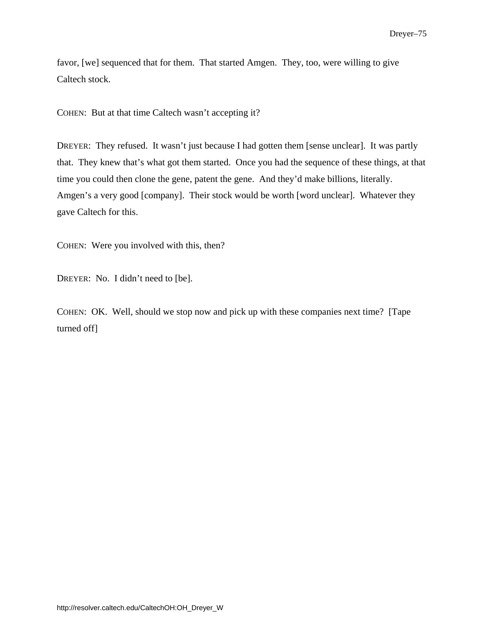favor, [we] sequenced that for them. That started Amgen. They, too, were willing to give Caltech stock.

COHEN: But at that time Caltech wasn't accepting it?

DREYER: They refused. It wasn't just because I had gotten them [sense unclear]. It was partly that. They knew that's what got them started. Once you had the sequence of these things, at that time you could then clone the gene, patent the gene. And they'd make billions, literally. Amgen's a very good [company]. Their stock would be worth [word unclear]. Whatever they gave Caltech for this.

COHEN: Were you involved with this, then?

DREYER: No. I didn't need to [be].

COHEN: OK. Well, should we stop now and pick up with these companies next time? [Tape turned off]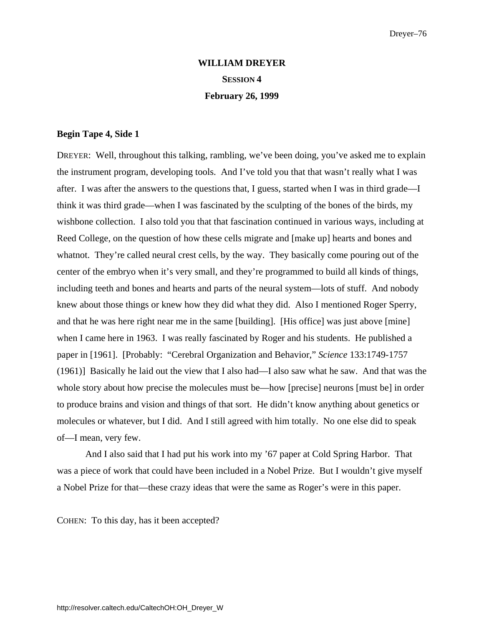# **WILLIAM DREYER SESSION 4 February 26, 1999**

## **Begin Tape 4, Side 1**

DREYER: Well, throughout this talking, rambling, we've been doing, you've asked me to explain the instrument program, developing tools. And I've told you that that wasn't really what I was after. I was after the answers to the questions that, I guess, started when I was in third grade—I think it was third grade—when I was fascinated by the sculpting of the bones of the birds, my wishbone collection. I also told you that that fascination continued in various ways, including at Reed College, on the question of how these cells migrate and [make up] hearts and bones and whatnot. They're called neural crest cells, by the way. They basically come pouring out of the center of the embryo when it's very small, and they're programmed to build all kinds of things, including teeth and bones and hearts and parts of the neural system—lots of stuff. And nobody knew about those things or knew how they did what they did. Also I mentioned Roger Sperry, and that he was here right near me in the same [building]. [His office] was just above [mine] when I came here in 1963. I was really fascinated by Roger and his students. He published a paper in [1961]. [Probably: "Cerebral Organization and Behavior," *Science* 133:1749-1757 (1961)] Basically he laid out the view that I also had—I also saw what he saw. And that was the whole story about how precise the molecules must be—how [precise] neurons [must be] in order to produce brains and vision and things of that sort. He didn't know anything about genetics or molecules or whatever, but I did. And I still agreed with him totally. No one else did to speak of—I mean, very few.

 And I also said that I had put his work into my '67 paper at Cold Spring Harbor. That was a piece of work that could have been included in a Nobel Prize. But I wouldn't give myself a Nobel Prize for that—these crazy ideas that were the same as Roger's were in this paper.

COHEN: To this day, has it been accepted?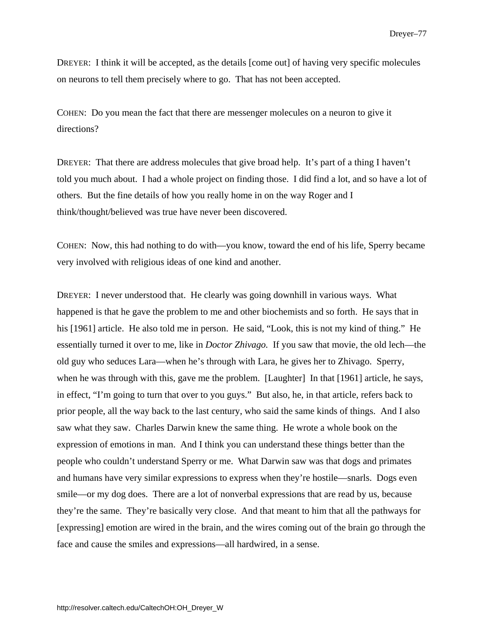DREYER: I think it will be accepted, as the details [come out] of having very specific molecules on neurons to tell them precisely where to go. That has not been accepted.

COHEN: Do you mean the fact that there are messenger molecules on a neuron to give it directions?

DREYER: That there are address molecules that give broad help. It's part of a thing I haven't told you much about. I had a whole project on finding those. I did find a lot, and so have a lot of others. But the fine details of how you really home in on the way Roger and I think/thought/believed was true have never been discovered.

COHEN: Now, this had nothing to do with—you know, toward the end of his life, Sperry became very involved with religious ideas of one kind and another.

DREYER: I never understood that. He clearly was going downhill in various ways. What happened is that he gave the problem to me and other biochemists and so forth. He says that in his [1961] article. He also told me in person. He said, "Look, this is not my kind of thing." He essentially turned it over to me, like in *Doctor Zhivago.* If you saw that movie, the old lech—the old guy who seduces Lara—when he's through with Lara, he gives her to Zhivago. Sperry, when he was through with this, gave me the problem. [Laughter] In that [1961] article, he says, in effect, "I'm going to turn that over to you guys." But also, he, in that article, refers back to prior people, all the way back to the last century, who said the same kinds of things. And I also saw what they saw. Charles Darwin knew the same thing. He wrote a whole book on the expression of emotions in man. And I think you can understand these things better than the people who couldn't understand Sperry or me. What Darwin saw was that dogs and primates and humans have very similar expressions to express when they're hostile—snarls. Dogs even smile—or my dog does. There are a lot of nonverbal expressions that are read by us, because they're the same. They're basically very close. And that meant to him that all the pathways for [expressing] emotion are wired in the brain, and the wires coming out of the brain go through the face and cause the smiles and expressions—all hardwired, in a sense.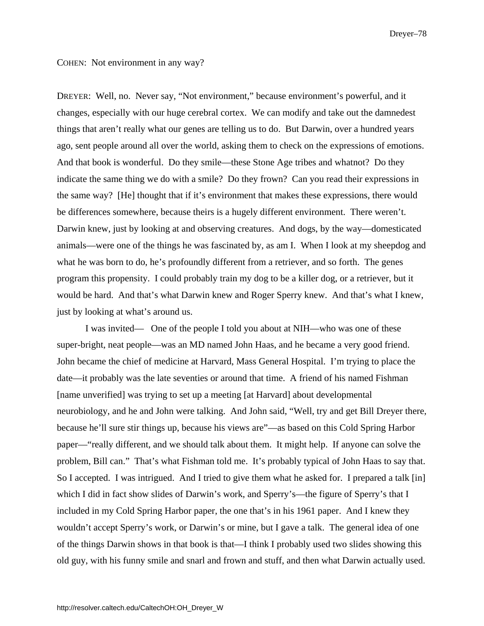COHEN: Not environment in any way?

DREYER: Well, no. Never say, "Not environment," because environment's powerful, and it changes, especially with our huge cerebral cortex. We can modify and take out the damnedest things that aren't really what our genes are telling us to do. But Darwin, over a hundred years ago, sent people around all over the world, asking them to check on the expressions of emotions. And that book is wonderful. Do they smile—these Stone Age tribes and whatnot? Do they indicate the same thing we do with a smile? Do they frown? Can you read their expressions in the same way? [He] thought that if it's environment that makes these expressions, there would be differences somewhere, because theirs is a hugely different environment. There weren't. Darwin knew, just by looking at and observing creatures. And dogs, by the way—domesticated animals—were one of the things he was fascinated by, as am I. When I look at my sheepdog and what he was born to do, he's profoundly different from a retriever, and so forth. The genes program this propensity. I could probably train my dog to be a killer dog, or a retriever, but it would be hard. And that's what Darwin knew and Roger Sperry knew. And that's what I knew, just by looking at what's around us.

I was invited— One of the people I told you about at NIH—who was one of these super-bright, neat people—was an MD named John Haas, and he became a very good friend. John became the chief of medicine at Harvard, Mass General Hospital. I'm trying to place the date—it probably was the late seventies or around that time. A friend of his named Fishman [name unverified] was trying to set up a meeting [at Harvard] about developmental neurobiology, and he and John were talking. And John said, "Well, try and get Bill Dreyer there, because he'll sure stir things up, because his views are"—as based on this Cold Spring Harbor paper—"really different, and we should talk about them. It might help. If anyone can solve the problem, Bill can." That's what Fishman told me. It's probably typical of John Haas to say that. So I accepted. I was intrigued. And I tried to give them what he asked for. I prepared a talk [in] which I did in fact show slides of Darwin's work, and Sperry's—the figure of Sperry's that I included in my Cold Spring Harbor paper, the one that's in his 1961 paper. And I knew they wouldn't accept Sperry's work, or Darwin's or mine, but I gave a talk. The general idea of one of the things Darwin shows in that book is that—I think I probably used two slides showing this old guy, with his funny smile and snarl and frown and stuff, and then what Darwin actually used.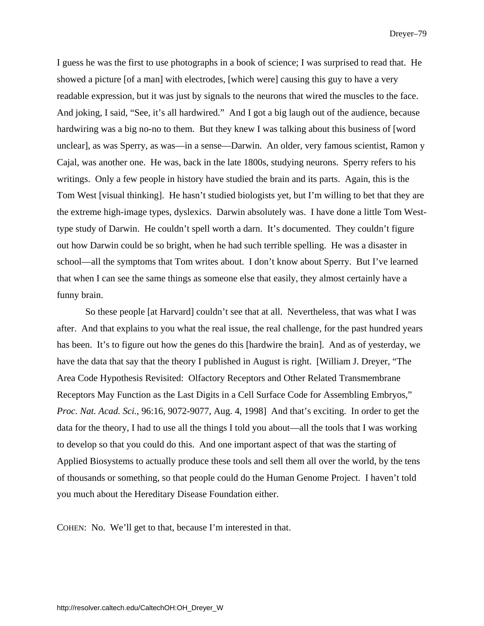I guess he was the first to use photographs in a book of science; I was surprised to read that. He showed a picture [of a man] with electrodes, [which were] causing this guy to have a very readable expression, but it was just by signals to the neurons that wired the muscles to the face. And joking, I said, "See, it's all hardwired." And I got a big laugh out of the audience, because hardwiring was a big no-no to them. But they knew I was talking about this business of [word unclear], as was Sperry, as was—in a sense—Darwin. An older, very famous scientist, Ramon y Cajal, was another one. He was, back in the late 1800s, studying neurons. Sperry refers to his writings. Only a few people in history have studied the brain and its parts. Again, this is the Tom West [visual thinking]. He hasn't studied biologists yet, but I'm willing to bet that they are the extreme high-image types, dyslexics. Darwin absolutely was. I have done a little Tom Westtype study of Darwin. He couldn't spell worth a darn. It's documented. They couldn't figure out how Darwin could be so bright, when he had such terrible spelling. He was a disaster in school—all the symptoms that Tom writes about. I don't know about Sperry. But I've learned that when I can see the same things as someone else that easily, they almost certainly have a funny brain.

So these people [at Harvard] couldn't see that at all. Nevertheless, that was what I was after. And that explains to you what the real issue, the real challenge, for the past hundred years has been. It's to figure out how the genes do this [hardwire the brain]. And as of yesterday, we have the data that say that the theory I published in August is right. [William J. Dreyer, "The Area Code Hypothesis Revisited: Olfactory Receptors and Other Related Transmembrane Receptors May Function as the Last Digits in a Cell Surface Code for Assembling Embryos," *Proc. Nat. Acad. Sci.*, 96:16, 9072-9077, Aug. 4, 1998] And that's exciting. In order to get the data for the theory, I had to use all the things I told you about—all the tools that I was working to develop so that you could do this. And one important aspect of that was the starting of Applied Biosystems to actually produce these tools and sell them all over the world, by the tens of thousands or something, so that people could do the Human Genome Project. I haven't told you much about the Hereditary Disease Foundation either.

COHEN: No. We'll get to that, because I'm interested in that.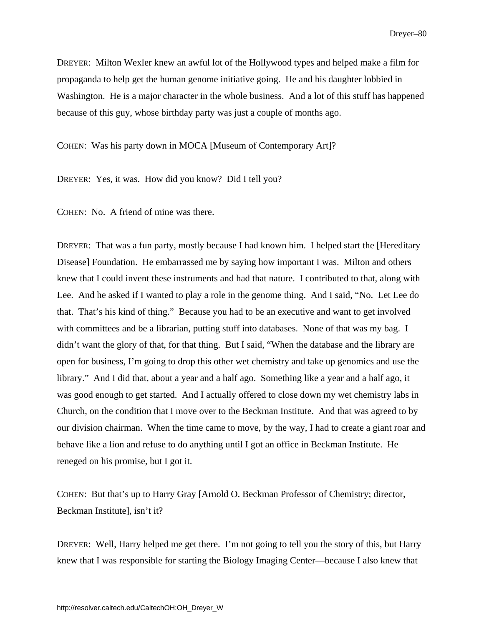DREYER: Milton Wexler knew an awful lot of the Hollywood types and helped make a film for propaganda to help get the human genome initiative going. He and his daughter lobbied in Washington. He is a major character in the whole business. And a lot of this stuff has happened because of this guy, whose birthday party was just a couple of months ago.

COHEN: Was his party down in MOCA [Museum of Contemporary Art]?

DREYER: Yes, it was. How did you know? Did I tell you?

COHEN: No. A friend of mine was there.

DREYER: That was a fun party, mostly because I had known him. I helped start the [Hereditary Disease] Foundation. He embarrassed me by saying how important I was. Milton and others knew that I could invent these instruments and had that nature. I contributed to that, along with Lee. And he asked if I wanted to play a role in the genome thing. And I said, "No. Let Lee do that. That's his kind of thing." Because you had to be an executive and want to get involved with committees and be a librarian, putting stuff into databases. None of that was my bag. I didn't want the glory of that, for that thing. But I said, "When the database and the library are open for business, I'm going to drop this other wet chemistry and take up genomics and use the library." And I did that, about a year and a half ago. Something like a year and a half ago, it was good enough to get started. And I actually offered to close down my wet chemistry labs in Church, on the condition that I move over to the Beckman Institute. And that was agreed to by our division chairman. When the time came to move, by the way, I had to create a giant roar and behave like a lion and refuse to do anything until I got an office in Beckman Institute. He reneged on his promise, but I got it.

COHEN: But that's up to Harry Gray [Arnold O. Beckman Professor of Chemistry; director, Beckman Institute], isn't it?

DREYER: Well, Harry helped me get there. I'm not going to tell you the story of this, but Harry knew that I was responsible for starting the Biology Imaging Center—because I also knew that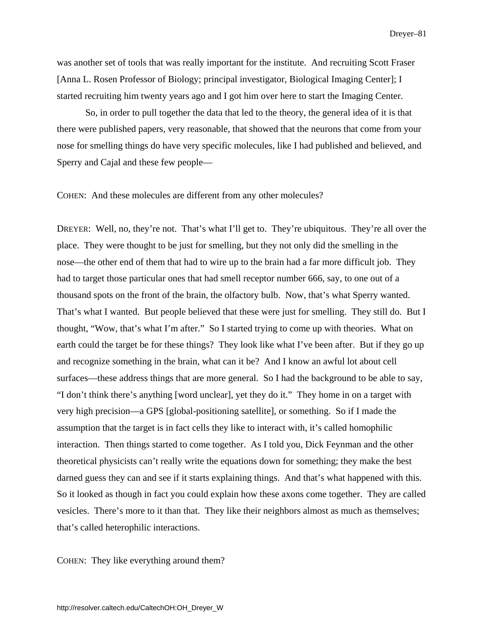was another set of tools that was really important for the institute. And recruiting Scott Fraser [Anna L. Rosen Professor of Biology; principal investigator, Biological Imaging Center]; I started recruiting him twenty years ago and I got him over here to start the Imaging Center.

So, in order to pull together the data that led to the theory, the general idea of it is that there were published papers, very reasonable, that showed that the neurons that come from your nose for smelling things do have very specific molecules, like I had published and believed, and Sperry and Cajal and these few people—

COHEN: And these molecules are different from any other molecules?

DREYER: Well, no, they're not. That's what I'll get to. They're ubiquitous. They're all over the place. They were thought to be just for smelling, but they not only did the smelling in the nose—the other end of them that had to wire up to the brain had a far more difficult job. They had to target those particular ones that had smell receptor number 666, say, to one out of a thousand spots on the front of the brain, the olfactory bulb. Now, that's what Sperry wanted. That's what I wanted. But people believed that these were just for smelling. They still do. But I thought, "Wow, that's what I'm after." So I started trying to come up with theories. What on earth could the target be for these things? They look like what I've been after. But if they go up and recognize something in the brain, what can it be? And I know an awful lot about cell surfaces—these address things that are more general. So I had the background to be able to say, "I don't think there's anything [word unclear], yet they do it." They home in on a target with very high precision—a GPS [global-positioning satellite], or something. So if I made the assumption that the target is in fact cells they like to interact with, it's called homophilic interaction. Then things started to come together. As I told you, Dick Feynman and the other theoretical physicists can't really write the equations down for something; they make the best darned guess they can and see if it starts explaining things. And that's what happened with this. So it looked as though in fact you could explain how these axons come together. They are called vesicles. There's more to it than that. They like their neighbors almost as much as themselves; that's called heterophilic interactions.

COHEN: They like everything around them?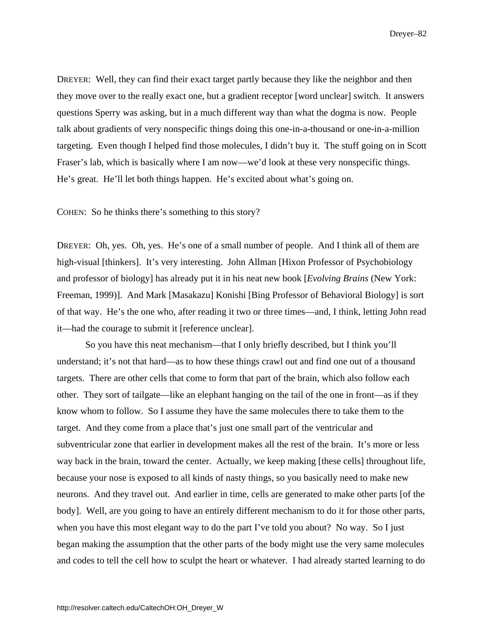DREYER: Well, they can find their exact target partly because they like the neighbor and then they move over to the really exact one, but a gradient receptor [word unclear] switch. It answers questions Sperry was asking, but in a much different way than what the dogma is now. People talk about gradients of very nonspecific things doing this one-in-a-thousand or one-in-a-million targeting. Even though I helped find those molecules, I didn't buy it. The stuff going on in Scott Fraser's lab, which is basically where I am now—we'd look at these very nonspecific things. He's great. He'll let both things happen. He's excited about what's going on.

COHEN: So he thinks there's something to this story?

DREYER: Oh, yes. Oh, yes. He's one of a small number of people. And I think all of them are high-visual [thinkers]. It's very interesting. John Allman [Hixon Professor of Psychobiology and professor of biology] has already put it in his neat new book [*Evolving Brains* (New York: Freeman, 1999)]. And Mark [Masakazu] Konishi [Bing Professor of Behavioral Biology] is sort of that way. He's the one who, after reading it two or three times—and, I think, letting John read it—had the courage to submit it [reference unclear].

So you have this neat mechanism—that I only briefly described, but I think you'll understand; it's not that hard—as to how these things crawl out and find one out of a thousand targets. There are other cells that come to form that part of the brain, which also follow each other. They sort of tailgate—like an elephant hanging on the tail of the one in front—as if they know whom to follow. So I assume they have the same molecules there to take them to the target. And they come from a place that's just one small part of the ventricular and subventricular zone that earlier in development makes all the rest of the brain. It's more or less way back in the brain, toward the center. Actually, we keep making [these cells] throughout life, because your nose is exposed to all kinds of nasty things, so you basically need to make new neurons. And they travel out. And earlier in time, cells are generated to make other parts [of the body]. Well, are you going to have an entirely different mechanism to do it for those other parts, when you have this most elegant way to do the part I've told you about? No way. So I just began making the assumption that the other parts of the body might use the very same molecules and codes to tell the cell how to sculpt the heart or whatever. I had already started learning to do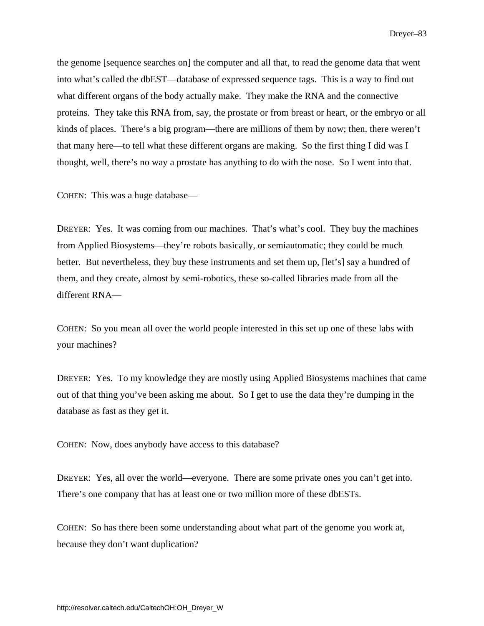the genome [sequence searches on] the computer and all that, to read the genome data that went into what's called the dbEST—database of expressed sequence tags. This is a way to find out what different organs of the body actually make. They make the RNA and the connective proteins. They take this RNA from, say, the prostate or from breast or heart, or the embryo or all kinds of places. There's a big program—there are millions of them by now; then, there weren't that many here—to tell what these different organs are making. So the first thing I did was I thought, well, there's no way a prostate has anything to do with the nose. So I went into that.

COHEN: This was a huge database—

DREYER: Yes. It was coming from our machines. That's what's cool. They buy the machines from Applied Biosystems—they're robots basically, or semiautomatic; they could be much better. But nevertheless, they buy these instruments and set them up, [let's] say a hundred of them, and they create, almost by semi-robotics, these so-called libraries made from all the different RNA—

COHEN: So you mean all over the world people interested in this set up one of these labs with your machines?

DREYER: Yes. To my knowledge they are mostly using Applied Biosystems machines that came out of that thing you've been asking me about. So I get to use the data they're dumping in the database as fast as they get it.

COHEN: Now, does anybody have access to this database?

DREYER: Yes, all over the world—everyone. There are some private ones you can't get into. There's one company that has at least one or two million more of these dbESTs.

COHEN: So has there been some understanding about what part of the genome you work at, because they don't want duplication?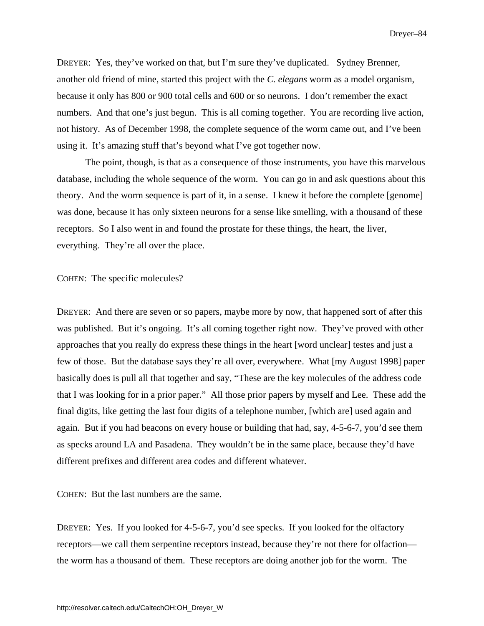DREYER: Yes, they've worked on that, but I'm sure they've duplicated. Sydney Brenner, another old friend of mine, started this project with the *C. elegans* worm as a model organism, because it only has 800 or 900 total cells and 600 or so neurons. I don't remember the exact numbers. And that one's just begun. This is all coming together. You are recording live action, not history. As of December 1998, the complete sequence of the worm came out, and I've been using it. It's amazing stuff that's beyond what I've got together now.

The point, though, is that as a consequence of those instruments, you have this marvelous database, including the whole sequence of the worm. You can go in and ask questions about this theory. And the worm sequence is part of it, in a sense. I knew it before the complete [genome] was done, because it has only sixteen neurons for a sense like smelling, with a thousand of these receptors. So I also went in and found the prostate for these things, the heart, the liver, everything. They're all over the place.

COHEN: The specific molecules?

DREYER: And there are seven or so papers, maybe more by now, that happened sort of after this was published. But it's ongoing. It's all coming together right now. They've proved with other approaches that you really do express these things in the heart [word unclear] testes and just a few of those. But the database says they're all over, everywhere. What [my August 1998] paper basically does is pull all that together and say, "These are the key molecules of the address code that I was looking for in a prior paper." All those prior papers by myself and Lee. These add the final digits, like getting the last four digits of a telephone number, [which are] used again and again. But if you had beacons on every house or building that had, say, 4-5-6-7, you'd see them as specks around LA and Pasadena. They wouldn't be in the same place, because they'd have different prefixes and different area codes and different whatever.

COHEN: But the last numbers are the same.

DREYER: Yes. If you looked for 4-5-6-7, you'd see specks. If you looked for the olfactory receptors—we call them serpentine receptors instead, because they're not there for olfaction the worm has a thousand of them. These receptors are doing another job for the worm. The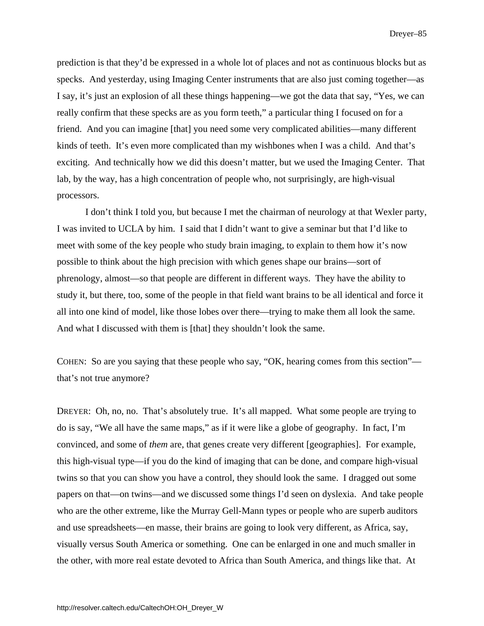prediction is that they'd be expressed in a whole lot of places and not as continuous blocks but as specks. And yesterday, using Imaging Center instruments that are also just coming together—as I say, it's just an explosion of all these things happening—we got the data that say, "Yes, we can really confirm that these specks are as you form teeth," a particular thing I focused on for a friend. And you can imagine [that] you need some very complicated abilities—many different kinds of teeth. It's even more complicated than my wishbones when I was a child. And that's exciting. And technically how we did this doesn't matter, but we used the Imaging Center. That lab, by the way, has a high concentration of people who, not surprisingly, are high-visual processors.

I don't think I told you, but because I met the chairman of neurology at that Wexler party, I was invited to UCLA by him. I said that I didn't want to give a seminar but that I'd like to meet with some of the key people who study brain imaging, to explain to them how it's now possible to think about the high precision with which genes shape our brains—sort of phrenology, almost—so that people are different in different ways. They have the ability to study it, but there, too, some of the people in that field want brains to be all identical and force it all into one kind of model, like those lobes over there—trying to make them all look the same. And what I discussed with them is [that] they shouldn't look the same.

COHEN: So are you saying that these people who say, "OK, hearing comes from this section" that's not true anymore?

DREYER: Oh, no, no. That's absolutely true. It's all mapped. What some people are trying to do is say, "We all have the same maps," as if it were like a globe of geography. In fact, I'm convinced, and some of *them* are, that genes create very different [geographies]. For example, this high-visual type—if you do the kind of imaging that can be done, and compare high-visual twins so that you can show you have a control, they should look the same. I dragged out some papers on that—on twins—and we discussed some things I'd seen on dyslexia. And take people who are the other extreme, like the Murray Gell-Mann types or people who are superb auditors and use spreadsheets—en masse, their brains are going to look very different, as Africa, say, visually versus South America or something. One can be enlarged in one and much smaller in the other, with more real estate devoted to Africa than South America, and things like that. At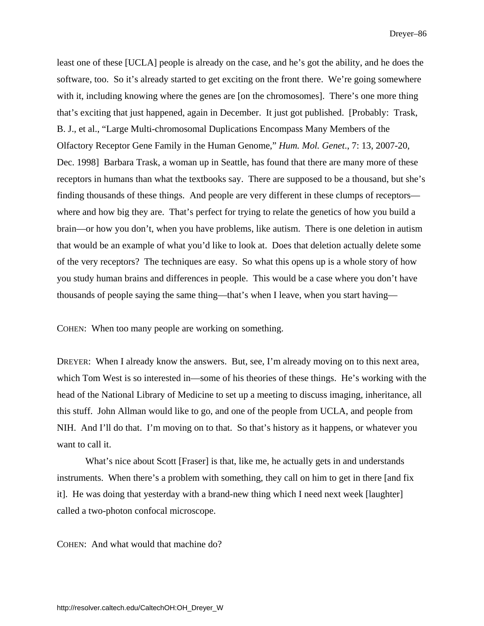least one of these [UCLA] people is already on the case, and he's got the ability, and he does the software, too. So it's already started to get exciting on the front there. We're going somewhere with it, including knowing where the genes are [on the chromosomes]. There's one more thing that's exciting that just happened, again in December. It just got published. [Probably: Trask, B. J., et al., "Large Multi-chromosomal Duplications Encompass Many Members of the Olfactory Receptor Gene Family in the Human Genome," *Hum. Mol. Genet*., 7: 13, 2007-20, Dec. 1998] Barbara Trask, a woman up in Seattle, has found that there are many more of these receptors in humans than what the textbooks say. There are supposed to be a thousand, but she's finding thousands of these things. And people are very different in these clumps of receptors where and how big they are. That's perfect for trying to relate the genetics of how you build a brain—or how you don't, when you have problems, like autism. There is one deletion in autism that would be an example of what you'd like to look at. Does that deletion actually delete some of the very receptors? The techniques are easy. So what this opens up is a whole story of how you study human brains and differences in people. This would be a case where you don't have thousands of people saying the same thing—that's when I leave, when you start having—

COHEN: When too many people are working on something.

DREYER: When I already know the answers. But, see, I'm already moving on to this next area, which Tom West is so interested in—some of his theories of these things. He's working with the head of the National Library of Medicine to set up a meeting to discuss imaging, inheritance, all this stuff. John Allman would like to go, and one of the people from UCLA, and people from NIH. And I'll do that. I'm moving on to that. So that's history as it happens, or whatever you want to call it.

What's nice about Scott [Fraser] is that, like me, he actually gets in and understands instruments. When there's a problem with something, they call on him to get in there [and fix it]. He was doing that yesterday with a brand-new thing which I need next week [laughter] called a two-photon confocal microscope.

COHEN: And what would that machine do?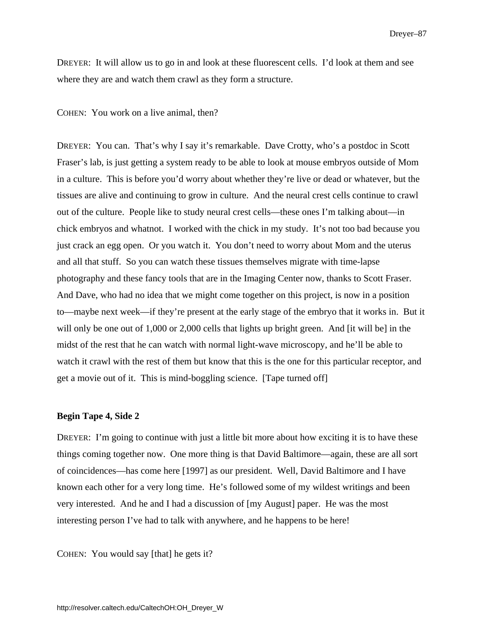DREYER: It will allow us to go in and look at these fluorescent cells. I'd look at them and see where they are and watch them crawl as they form a structure.

COHEN: You work on a live animal, then?

DREYER: You can. That's why I say it's remarkable. Dave Crotty, who's a postdoc in Scott Fraser's lab, is just getting a system ready to be able to look at mouse embryos outside of Mom in a culture. This is before you'd worry about whether they're live or dead or whatever, but the tissues are alive and continuing to grow in culture. And the neural crest cells continue to crawl out of the culture. People like to study neural crest cells—these ones I'm talking about—in chick embryos and whatnot. I worked with the chick in my study. It's not too bad because you just crack an egg open. Or you watch it. You don't need to worry about Mom and the uterus and all that stuff. So you can watch these tissues themselves migrate with time-lapse photography and these fancy tools that are in the Imaging Center now, thanks to Scott Fraser. And Dave, who had no idea that we might come together on this project, is now in a position to—maybe next week—if they're present at the early stage of the embryo that it works in. But it will only be one out of 1,000 or 2,000 cells that lights up bright green. And [it will be] in the midst of the rest that he can watch with normal light-wave microscopy, and he'll be able to watch it crawl with the rest of them but know that this is the one for this particular receptor, and get a movie out of it. This is mind-boggling science. [Tape turned off]

#### **Begin Tape 4, Side 2**

DREYER: I'm going to continue with just a little bit more about how exciting it is to have these things coming together now. One more thing is that David Baltimore—again, these are all sort of coincidences—has come here [1997] as our president. Well, David Baltimore and I have known each other for a very long time. He's followed some of my wildest writings and been very interested. And he and I had a discussion of [my August] paper. He was the most interesting person I've had to talk with anywhere, and he happens to be here!

COHEN: You would say [that] he gets it?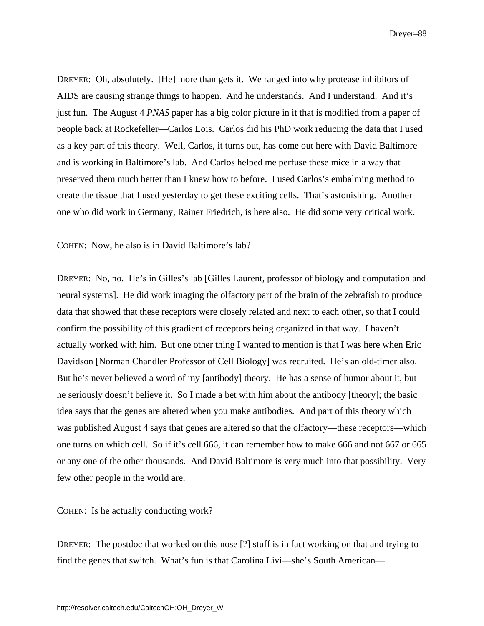DREYER: Oh, absolutely. [He] more than gets it. We ranged into why protease inhibitors of AIDS are causing strange things to happen. And he understands. And I understand. And it's just fun. The August 4 *PNAS* paper has a big color picture in it that is modified from a paper of people back at Rockefeller—Carlos Lois. Carlos did his PhD work reducing the data that I used as a key part of this theory. Well, Carlos, it turns out, has come out here with David Baltimore and is working in Baltimore's lab. And Carlos helped me perfuse these mice in a way that preserved them much better than I knew how to before. I used Carlos's embalming method to create the tissue that I used yesterday to get these exciting cells. That's astonishing. Another one who did work in Germany, Rainer Friedrich, is here also. He did some very critical work.

COHEN: Now, he also is in David Baltimore's lab?

DREYER: No, no. He's in Gilles's lab [Gilles Laurent, professor of biology and computation and neural systems]. He did work imaging the olfactory part of the brain of the zebrafish to produce data that showed that these receptors were closely related and next to each other, so that I could confirm the possibility of this gradient of receptors being organized in that way. I haven't actually worked with him. But one other thing I wanted to mention is that I was here when Eric Davidson [Norman Chandler Professor of Cell Biology] was recruited. He's an old-timer also. But he's never believed a word of my [antibody] theory. He has a sense of humor about it, but he seriously doesn't believe it. So I made a bet with him about the antibody [theory]; the basic idea says that the genes are altered when you make antibodies. And part of this theory which was published August 4 says that genes are altered so that the olfactory—these receptors—which one turns on which cell. So if it's cell 666, it can remember how to make 666 and not 667 or 665 or any one of the other thousands. And David Baltimore is very much into that possibility. Very few other people in the world are.

COHEN: Is he actually conducting work?

DREYER: The postdoc that worked on this nose [?] stuff is in fact working on that and trying to find the genes that switch. What's fun is that Carolina Livi—she's South American—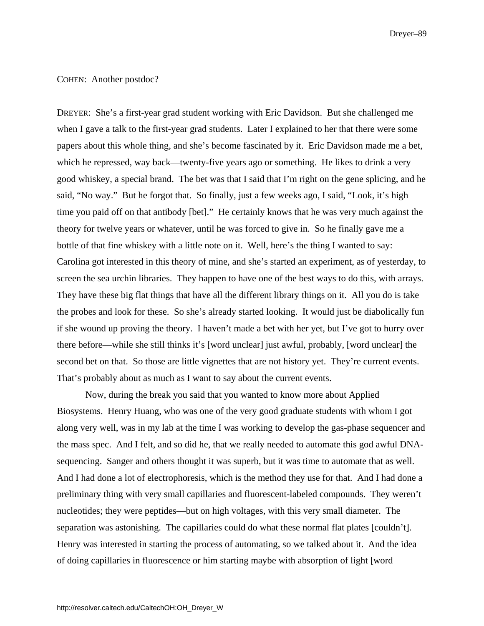#### COHEN: Another postdoc?

DREYER: She's a first-year grad student working with Eric Davidson. But she challenged me when I gave a talk to the first-year grad students. Later I explained to her that there were some papers about this whole thing, and she's become fascinated by it. Eric Davidson made me a bet, which he repressed, way back—twenty-five years ago or something. He likes to drink a very good whiskey, a special brand. The bet was that I said that I'm right on the gene splicing, and he said, "No way." But he forgot that. So finally, just a few weeks ago, I said, "Look, it's high time you paid off on that antibody [bet]." He certainly knows that he was very much against the theory for twelve years or whatever, until he was forced to give in. So he finally gave me a bottle of that fine whiskey with a little note on it. Well, here's the thing I wanted to say: Carolina got interested in this theory of mine, and she's started an experiment, as of yesterday, to screen the sea urchin libraries. They happen to have one of the best ways to do this, with arrays. They have these big flat things that have all the different library things on it. All you do is take the probes and look for these. So she's already started looking. It would just be diabolically fun if she wound up proving the theory. I haven't made a bet with her yet, but I've got to hurry over there before—while she still thinks it's [word unclear] just awful, probably, [word unclear] the second bet on that. So those are little vignettes that are not history yet. They're current events. That's probably about as much as I want to say about the current events.

Now, during the break you said that you wanted to know more about Applied Biosystems. Henry Huang, who was one of the very good graduate students with whom I got along very well, was in my lab at the time I was working to develop the gas-phase sequencer and the mass spec. And I felt, and so did he, that we really needed to automate this god awful DNAsequencing. Sanger and others thought it was superb, but it was time to automate that as well. And I had done a lot of electrophoresis, which is the method they use for that. And I had done a preliminary thing with very small capillaries and fluorescent-labeled compounds. They weren't nucleotides; they were peptides—but on high voltages, with this very small diameter. The separation was astonishing. The capillaries could do what these normal flat plates [couldn't]. Henry was interested in starting the process of automating, so we talked about it. And the idea of doing capillaries in fluorescence or him starting maybe with absorption of light [word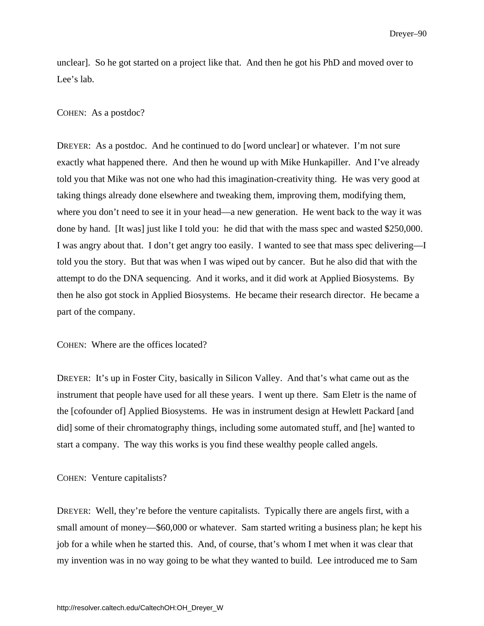unclear]. So he got started on a project like that. And then he got his PhD and moved over to Lee's lab.

### COHEN: As a postdoc?

DREYER: As a postdoc. And he continued to do [word unclear] or whatever. I'm not sure exactly what happened there. And then he wound up with Mike Hunkapiller. And I've already told you that Mike was not one who had this imagination-creativity thing. He was very good at taking things already done elsewhere and tweaking them, improving them, modifying them, where you don't need to see it in your head—a new generation. He went back to the way it was done by hand. [It was] just like I told you: he did that with the mass spec and wasted \$250,000. I was angry about that. I don't get angry too easily. I wanted to see that mass spec delivering—I told you the story. But that was when I was wiped out by cancer. But he also did that with the attempt to do the DNA sequencing. And it works, and it did work at Applied Biosystems. By then he also got stock in Applied Biosystems. He became their research director. He became a part of the company.

COHEN: Where are the offices located?

DREYER: It's up in Foster City, basically in Silicon Valley. And that's what came out as the instrument that people have used for all these years. I went up there. Sam Eletr is the name of the [cofounder of] Applied Biosystems. He was in instrument design at Hewlett Packard [and did] some of their chromatography things, including some automated stuff, and [he] wanted to start a company. The way this works is you find these wealthy people called angels.

#### COHEN: Venture capitalists?

DREYER: Well, they're before the venture capitalists. Typically there are angels first, with a small amount of money—\$60,000 or whatever. Sam started writing a business plan; he kept his job for a while when he started this. And, of course, that's whom I met when it was clear that my invention was in no way going to be what they wanted to build. Lee introduced me to Sam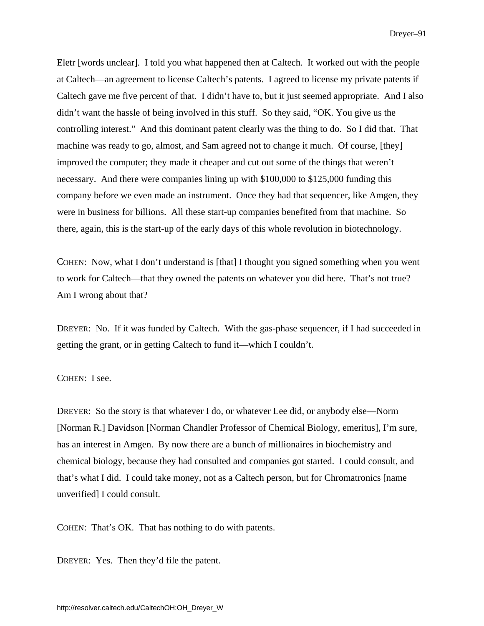Eletr [words unclear]. I told you what happened then at Caltech. It worked out with the people at Caltech—an agreement to license Caltech's patents. I agreed to license my private patents if Caltech gave me five percent of that. I didn't have to, but it just seemed appropriate. And I also didn't want the hassle of being involved in this stuff. So they said, "OK. You give us the controlling interest." And this dominant patent clearly was the thing to do. So I did that. That machine was ready to go, almost, and Sam agreed not to change it much. Of course, [they] improved the computer; they made it cheaper and cut out some of the things that weren't necessary. And there were companies lining up with \$100,000 to \$125,000 funding this company before we even made an instrument. Once they had that sequencer, like Amgen, they were in business for billions. All these start-up companies benefited from that machine. So there, again, this is the start-up of the early days of this whole revolution in biotechnology.

COHEN: Now, what I don't understand is [that] I thought you signed something when you went to work for Caltech—that they owned the patents on whatever you did here. That's not true? Am I wrong about that?

DREYER: No. If it was funded by Caltech. With the gas-phase sequencer, if I had succeeded in getting the grant, or in getting Caltech to fund it—which I couldn't.

#### COHEN: I see.

DREYER: So the story is that whatever I do, or whatever Lee did, or anybody else—Norm [Norman R.] Davidson [Norman Chandler Professor of Chemical Biology, emeritus], I'm sure, has an interest in Amgen. By now there are a bunch of millionaires in biochemistry and chemical biology, because they had consulted and companies got started. I could consult, and that's what I did. I could take money, not as a Caltech person, but for Chromatronics [name unverified] I could consult.

COHEN: That's OK. That has nothing to do with patents.

DREYER: Yes. Then they'd file the patent.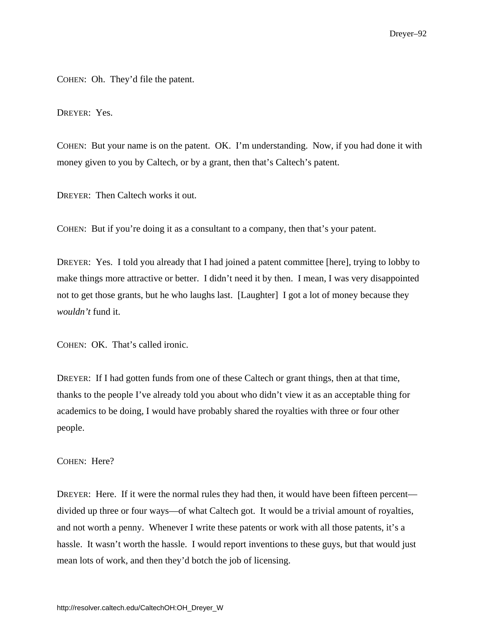COHEN: Oh. They'd file the patent.

DREYER: Yes.

COHEN: But your name is on the patent. OK. I'm understanding. Now, if you had done it with money given to you by Caltech, or by a grant, then that's Caltech's patent.

DREYER: Then Caltech works it out.

COHEN: But if you're doing it as a consultant to a company, then that's your patent.

DREYER: Yes. I told you already that I had joined a patent committee [here], trying to lobby to make things more attractive or better. I didn't need it by then. I mean, I was very disappointed not to get those grants, but he who laughs last. [Laughter] I got a lot of money because they *wouldn't* fund it.

COHEN: OK. That's called ironic.

DREYER: If I had gotten funds from one of these Caltech or grant things, then at that time, thanks to the people I've already told you about who didn't view it as an acceptable thing for academics to be doing, I would have probably shared the royalties with three or four other people.

COHEN: Here?

DREYER: Here. If it were the normal rules they had then, it would have been fifteen percent divided up three or four ways—of what Caltech got. It would be a trivial amount of royalties, and not worth a penny. Whenever I write these patents or work with all those patents, it's a hassle. It wasn't worth the hassle. I would report inventions to these guys, but that would just mean lots of work, and then they'd botch the job of licensing.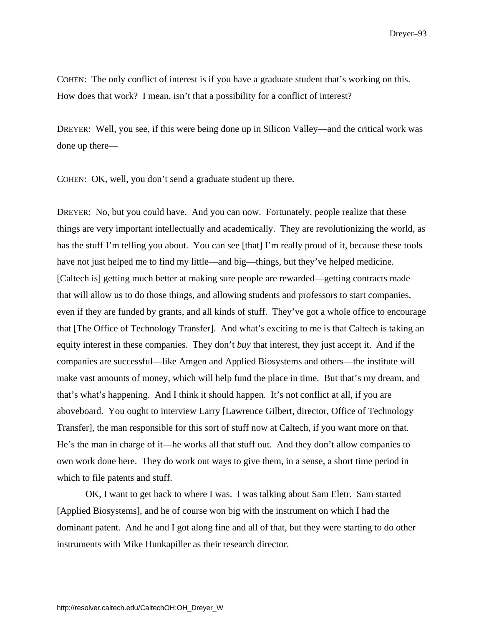COHEN: The only conflict of interest is if you have a graduate student that's working on this. How does that work? I mean, isn't that a possibility for a conflict of interest?

DREYER: Well, you see, if this were being done up in Silicon Valley—and the critical work was done up there—

COHEN: OK, well, you don't send a graduate student up there.

DREYER: No, but you could have. And you can now. Fortunately, people realize that these things are very important intellectually and academically. They are revolutionizing the world, as has the stuff I'm telling you about. You can see [that] I'm really proud of it, because these tools have not just helped me to find my little—and big—things, but they've helped medicine. [Caltech is] getting much better at making sure people are rewarded—getting contracts made that will allow us to do those things, and allowing students and professors to start companies, even if they are funded by grants, and all kinds of stuff. They've got a whole office to encourage that [The Office of Technology Transfer]. And what's exciting to me is that Caltech is taking an equity interest in these companies. They don't *buy* that interest, they just accept it. And if the companies are successful—like Amgen and Applied Biosystems and others—the institute will make vast amounts of money, which will help fund the place in time. But that's my dream, and that's what's happening. And I think it should happen. It's not conflict at all, if you are aboveboard. You ought to interview Larry [Lawrence Gilbert, director, Office of Technology Transfer], the man responsible for this sort of stuff now at Caltech, if you want more on that. He's the man in charge of it—he works all that stuff out. And they don't allow companies to own work done here. They do work out ways to give them, in a sense, a short time period in which to file patents and stuff.

OK, I want to get back to where I was. I was talking about Sam Eletr. Sam started [Applied Biosystems], and he of course won big with the instrument on which I had the dominant patent. And he and I got along fine and all of that, but they were starting to do other instruments with Mike Hunkapiller as their research director.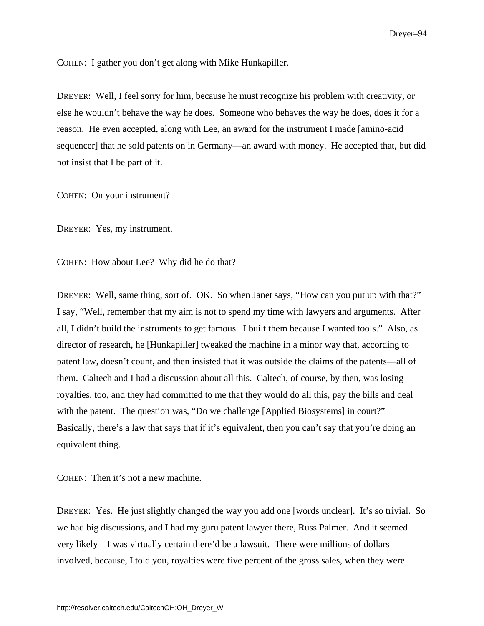COHEN: I gather you don't get along with Mike Hunkapiller.

DREYER: Well, I feel sorry for him, because he must recognize his problem with creativity, or else he wouldn't behave the way he does. Someone who behaves the way he does, does it for a reason. He even accepted, along with Lee, an award for the instrument I made [amino-acid sequencer] that he sold patents on in Germany—an award with money. He accepted that, but did not insist that I be part of it.

COHEN: On your instrument?

DREYER: Yes, my instrument.

COHEN: How about Lee? Why did he do that?

DREYER: Well, same thing, sort of. OK. So when Janet says, "How can you put up with that?" I say, "Well, remember that my aim is not to spend my time with lawyers and arguments. After all, I didn't build the instruments to get famous. I built them because I wanted tools." Also, as director of research, he [Hunkapiller] tweaked the machine in a minor way that, according to patent law, doesn't count, and then insisted that it was outside the claims of the patents—all of them. Caltech and I had a discussion about all this. Caltech, of course, by then, was losing royalties, too, and they had committed to me that they would do all this, pay the bills and deal with the patent. The question was, "Do we challenge [Applied Biosystems] in court?" Basically, there's a law that says that if it's equivalent, then you can't say that you're doing an equivalent thing.

COHEN: Then it's not a new machine.

DREYER: Yes. He just slightly changed the way you add one [words unclear]. It's so trivial. So we had big discussions, and I had my guru patent lawyer there, Russ Palmer. And it seemed very likely—I was virtually certain there'd be a lawsuit. There were millions of dollars involved, because, I told you, royalties were five percent of the gross sales, when they were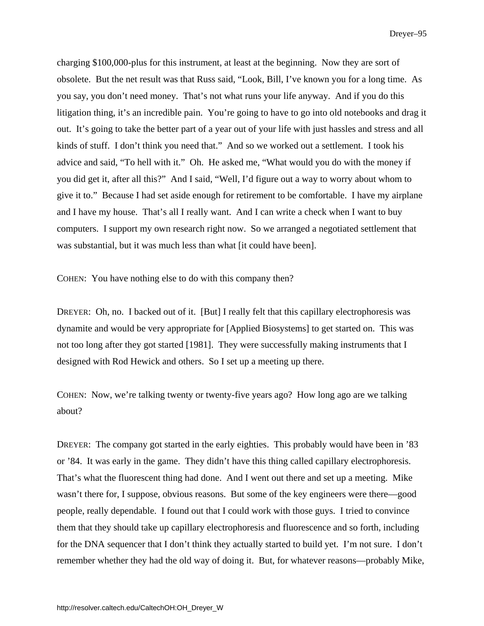charging \$100,000-plus for this instrument, at least at the beginning. Now they are sort of obsolete. But the net result was that Russ said, "Look, Bill, I've known you for a long time. As you say, you don't need money. That's not what runs your life anyway. And if you do this litigation thing, it's an incredible pain. You're going to have to go into old notebooks and drag it out. It's going to take the better part of a year out of your life with just hassles and stress and all kinds of stuff. I don't think you need that." And so we worked out a settlement. I took his advice and said, "To hell with it." Oh. He asked me, "What would you do with the money if you did get it, after all this?" And I said, "Well, I'd figure out a way to worry about whom to give it to." Because I had set aside enough for retirement to be comfortable. I have my airplane and I have my house. That's all I really want. And I can write a check when I want to buy computers. I support my own research right now. So we arranged a negotiated settlement that was substantial, but it was much less than what [it could have been].

COHEN: You have nothing else to do with this company then?

DREYER: Oh, no. I backed out of it. [But] I really felt that this capillary electrophoresis was dynamite and would be very appropriate for [Applied Biosystems] to get started on. This was not too long after they got started [1981]. They were successfully making instruments that I designed with Rod Hewick and others. So I set up a meeting up there.

COHEN: Now, we're talking twenty or twenty-five years ago? How long ago are we talking about?

DREYER: The company got started in the early eighties. This probably would have been in '83 or '84. It was early in the game. They didn't have this thing called capillary electrophoresis. That's what the fluorescent thing had done. And I went out there and set up a meeting. Mike wasn't there for, I suppose, obvious reasons. But some of the key engineers were there—good people, really dependable. I found out that I could work with those guys. I tried to convince them that they should take up capillary electrophoresis and fluorescence and so forth, including for the DNA sequencer that I don't think they actually started to build yet. I'm not sure. I don't remember whether they had the old way of doing it. But, for whatever reasons—probably Mike,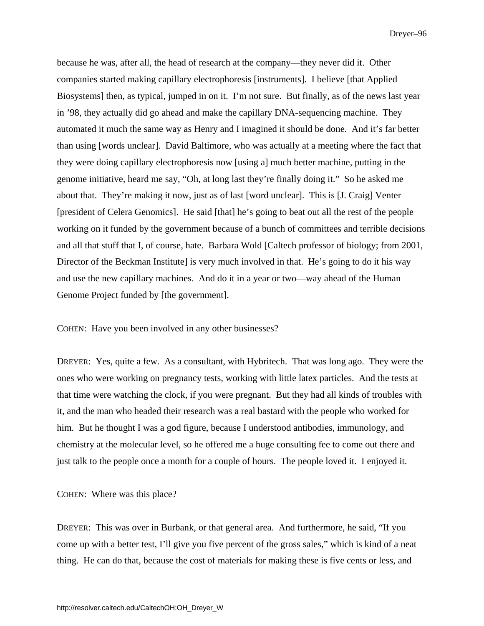because he was, after all, the head of research at the company—they never did it. Other companies started making capillary electrophoresis [instruments]. I believe [that Applied Biosystems] then, as typical, jumped in on it. I'm not sure. But finally, as of the news last year in '98, they actually did go ahead and make the capillary DNA-sequencing machine. They automated it much the same way as Henry and I imagined it should be done. And it's far better than using [words unclear]. David Baltimore, who was actually at a meeting where the fact that they were doing capillary electrophoresis now [using a] much better machine, putting in the genome initiative, heard me say, "Oh, at long last they're finally doing it." So he asked me about that. They're making it now, just as of last [word unclear]. This is [J. Craig] Venter [president of Celera Genomics]. He said [that] he's going to beat out all the rest of the people working on it funded by the government because of a bunch of committees and terrible decisions and all that stuff that I, of course, hate. Barbara Wold [Caltech professor of biology; from 2001, Director of the Beckman Institute] is very much involved in that. He's going to do it his way and use the new capillary machines. And do it in a year or two—way ahead of the Human Genome Project funded by [the government].

COHEN: Have you been involved in any other businesses?

DREYER: Yes, quite a few. As a consultant, with Hybritech. That was long ago. They were the ones who were working on pregnancy tests, working with little latex particles. And the tests at that time were watching the clock, if you were pregnant. But they had all kinds of troubles with it, and the man who headed their research was a real bastard with the people who worked for him. But he thought I was a god figure, because I understood antibodies, immunology, and chemistry at the molecular level, so he offered me a huge consulting fee to come out there and just talk to the people once a month for a couple of hours. The people loved it. I enjoyed it.

COHEN: Where was this place?

DREYER: This was over in Burbank, or that general area. And furthermore, he said, "If you come up with a better test, I'll give you five percent of the gross sales," which is kind of a neat thing. He can do that, because the cost of materials for making these is five cents or less, and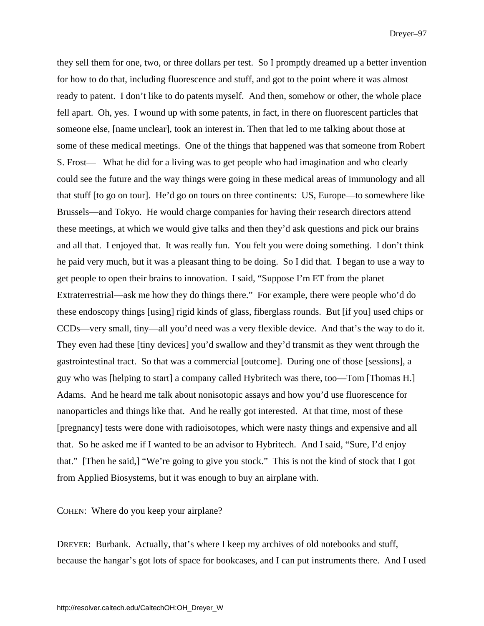they sell them for one, two, or three dollars per test. So I promptly dreamed up a better invention for how to do that, including fluorescence and stuff, and got to the point where it was almost ready to patent. I don't like to do patents myself. And then, somehow or other, the whole place fell apart. Oh, yes. I wound up with some patents, in fact, in there on fluorescent particles that someone else, [name unclear], took an interest in. Then that led to me talking about those at some of these medical meetings. One of the things that happened was that someone from Robert S. Frost— What he did for a living was to get people who had imagination and who clearly could see the future and the way things were going in these medical areas of immunology and all that stuff [to go on tour]. He'd go on tours on three continents: US, Europe—to somewhere like Brussels—and Tokyo. He would charge companies for having their research directors attend these meetings, at which we would give talks and then they'd ask questions and pick our brains and all that. I enjoyed that. It was really fun. You felt you were doing something. I don't think he paid very much, but it was a pleasant thing to be doing. So I did that. I began to use a way to get people to open their brains to innovation. I said, "Suppose I'm ET from the planet Extraterrestrial—ask me how they do things there." For example, there were people who'd do these endoscopy things [using] rigid kinds of glass, fiberglass rounds. But [if you] used chips or CCDs—very small, tiny—all you'd need was a very flexible device. And that's the way to do it. They even had these [tiny devices] you'd swallow and they'd transmit as they went through the gastrointestinal tract. So that was a commercial [outcome]. During one of those [sessions], a guy who was [helping to start] a company called Hybritech was there, too—Tom [Thomas H.] Adams. And he heard me talk about nonisotopic assays and how you'd use fluorescence for nanoparticles and things like that. And he really got interested. At that time, most of these [pregnancy] tests were done with radioisotopes, which were nasty things and expensive and all that. So he asked me if I wanted to be an advisor to Hybritech. And I said, "Sure, I'd enjoy that." [Then he said,] "We're going to give you stock." This is not the kind of stock that I got from Applied Biosystems, but it was enough to buy an airplane with.

COHEN: Where do you keep your airplane?

DREYER: Burbank. Actually, that's where I keep my archives of old notebooks and stuff, because the hangar's got lots of space for bookcases, and I can put instruments there. And I used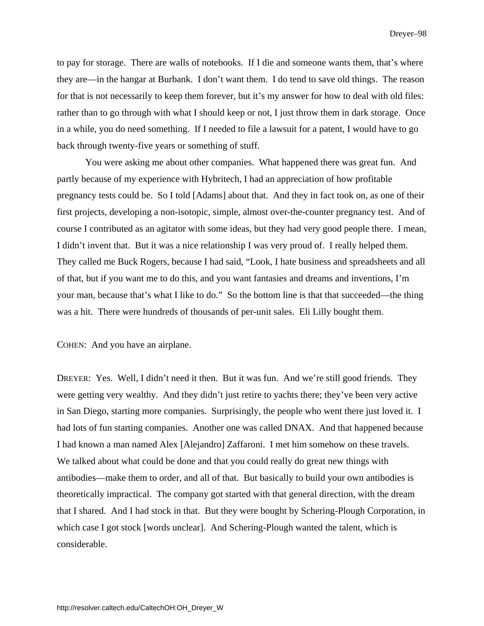to pay for storage. There are walls of notebooks. If I die and someone wants them, that's where they are—in the hangar at Burbank. I don't want them. I do tend to save old things. The reason for that is not necessarily to keep them forever, but it's my answer for how to deal with old files: rather than to go through with what I should keep or not, I just throw them in dark storage. Once in a while, you do need something. If I needed to file a lawsuit for a patent, I would have to go back through twenty-five years or something of stuff.

You were asking me about other companies. What happened there was great fun. And partly because of my experience with Hybritech, I had an appreciation of how profitable pregnancy tests could be. So I told [Adams] about that. And they in fact took on, as one of their first projects, developing a non-isotopic, simple, almost over-the-counter pregnancy test. And of course I contributed as an agitator with some ideas, but they had very good people there. I mean, I didn't invent that. But it was a nice relationship I was very proud of. I really helped them. They called me Buck Rogers, because I had said, "Look, I hate business and spreadsheets and all of that, but if you want me to do this, and you want fantasies and dreams and inventions, I'm your man, because that's what I like to do." So the bottom line is that that succeeded—the thing was a hit. There were hundreds of thousands of per-unit sales. Eli Lilly bought them.

COHEN: And you have an airplane.

DREYER: Yes. Well, I didn't need it then. But it was fun. And we're still good friends. They were getting very wealthy. And they didn't just retire to yachts there; they've been very active in San Diego, starting more companies. Surprisingly, the people who went there just loved it. I had lots of fun starting companies. Another one was called DNAX. And that happened because I had known a man named Alex [Alejandro] Zaffaroni. I met him somehow on these travels. We talked about what could be done and that you could really do great new things with antibodies—make them to order, and all of that. But basically to build your own antibodies is theoretically impractical. The company got started with that general direction, with the dream that I shared. And I had stock in that. But they were bought by Schering-Plough Corporation, in which case I got stock [words unclear]. And Schering-Plough wanted the talent, which is considerable.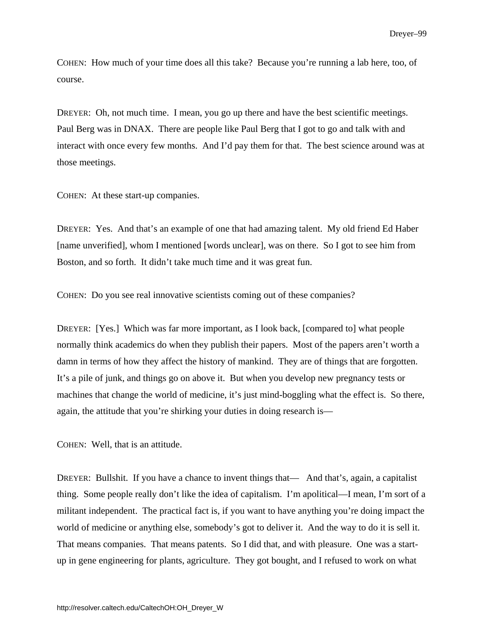COHEN: How much of your time does all this take? Because you're running a lab here, too, of course.

DREYER: Oh, not much time. I mean, you go up there and have the best scientific meetings. Paul Berg was in DNAX. There are people like Paul Berg that I got to go and talk with and interact with once every few months. And I'd pay them for that. The best science around was at those meetings.

COHEN: At these start-up companies.

DREYER: Yes. And that's an example of one that had amazing talent. My old friend Ed Haber [name unverified], whom I mentioned [words unclear], was on there. So I got to see him from Boston, and so forth. It didn't take much time and it was great fun.

COHEN: Do you see real innovative scientists coming out of these companies?

DREYER: [Yes.] Which was far more important, as I look back, [compared to] what people normally think academics do when they publish their papers. Most of the papers aren't worth a damn in terms of how they affect the history of mankind. They are of things that are forgotten. It's a pile of junk, and things go on above it. But when you develop new pregnancy tests or machines that change the world of medicine, it's just mind-boggling what the effect is. So there, again, the attitude that you're shirking your duties in doing research is—

COHEN: Well, that is an attitude.

DREYER: Bullshit. If you have a chance to invent things that— And that's, again, a capitalist thing. Some people really don't like the idea of capitalism. I'm apolitical—I mean, I'm sort of a militant independent. The practical fact is, if you want to have anything you're doing impact the world of medicine or anything else, somebody's got to deliver it. And the way to do it is sell it. That means companies. That means patents. So I did that, and with pleasure. One was a startup in gene engineering for plants, agriculture. They got bought, and I refused to work on what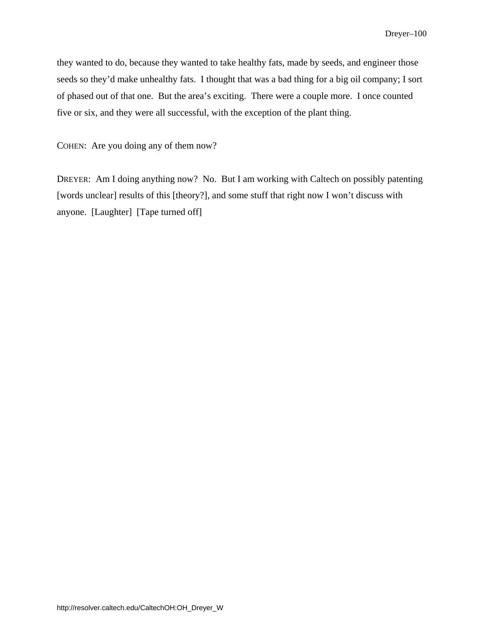they wanted to do, because they wanted to take healthy fats, made by seeds, and engineer those seeds so they'd make unhealthy fats. I thought that was a bad thing for a big oil company; I sort of phased out of that one. But the area's exciting. There were a couple more. I once counted five or six, and they were all successful, with the exception of the plant thing.

COHEN: Are you doing any of them now?

DREYER: Am I doing anything now? No. But I am working with Caltech on possibly patenting [words unclear] results of this [theory?], and some stuff that right now I won't discuss with anyone. [Laughter] [Tape turned off]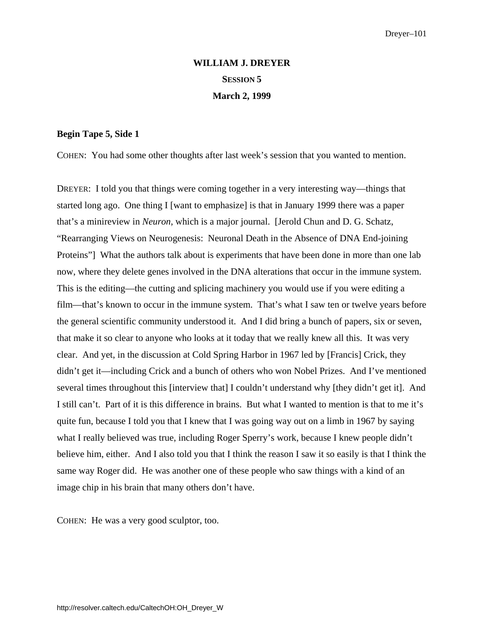# **WILLIAM J. DREYER SESSION 5 March 2, 1999**

# **Begin Tape 5, Side 1**

COHEN: You had some other thoughts after last week's session that you wanted to mention.

DREYER: I told you that things were coming together in a very interesting way—things that started long ago. One thing I [want to emphasize] is that in January 1999 there was a paper that's a minireview in *Neuron*, which is a major journal. [Jerold Chun and D. G. Schatz, "Rearranging Views on Neurogenesis: Neuronal Death in the Absence of DNA End-joining Proteins"] What the authors talk about is experiments that have been done in more than one lab now, where they delete genes involved in the DNA alterations that occur in the immune system. This is the editing—the cutting and splicing machinery you would use if you were editing a film—that's known to occur in the immune system. That's what I saw ten or twelve years before the general scientific community understood it. And I did bring a bunch of papers, six or seven, that make it so clear to anyone who looks at it today that we really knew all this. It was very clear. And yet, in the discussion at Cold Spring Harbor in 1967 led by [Francis] Crick, they didn't get it—including Crick and a bunch of others who won Nobel Prizes. And I've mentioned several times throughout this [interview that] I couldn't understand why [they didn't get it]. And I still can't. Part of it is this difference in brains. But what I wanted to mention is that to me it's quite fun, because I told you that I knew that I was going way out on a limb in 1967 by saying what I really believed was true, including Roger Sperry's work, because I knew people didn't believe him, either. And I also told you that I think the reason I saw it so easily is that I think the same way Roger did. He was another one of these people who saw things with a kind of an image chip in his brain that many others don't have.

COHEN: He was a very good sculptor, too.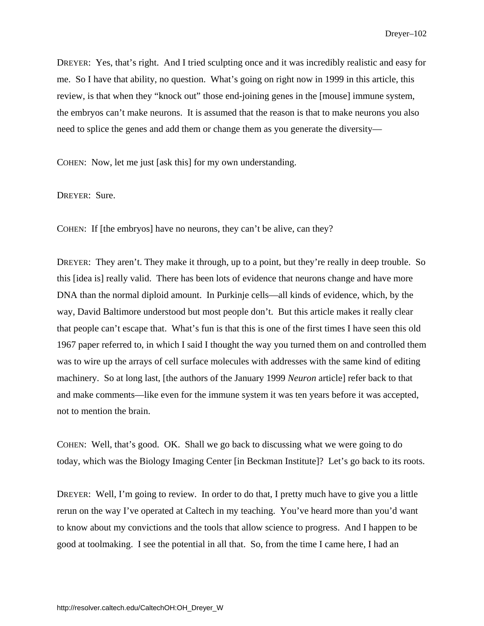DREYER: Yes, that's right. And I tried sculpting once and it was incredibly realistic and easy for me. So I have that ability, no question. What's going on right now in 1999 in this article, this review, is that when they "knock out" those end-joining genes in the [mouse] immune system, the embryos can't make neurons. It is assumed that the reason is that to make neurons you also need to splice the genes and add them or change them as you generate the diversity—

COHEN: Now, let me just [ask this] for my own understanding.

DREYER: Sure.

COHEN: If [the embryos] have no neurons, they can't be alive, can they?

DREYER: They aren't. They make it through, up to a point, but they're really in deep trouble. So this [idea is] really valid. There has been lots of evidence that neurons change and have more DNA than the normal diploid amount. In Purkinje cells—all kinds of evidence, which, by the way, David Baltimore understood but most people don't. But this article makes it really clear that people can't escape that. What's fun is that this is one of the first times I have seen this old 1967 paper referred to, in which I said I thought the way you turned them on and controlled them was to wire up the arrays of cell surface molecules with addresses with the same kind of editing machinery. So at long last, [the authors of the January 1999 *Neuron* article] refer back to that and make comments—like even for the immune system it was ten years before it was accepted, not to mention the brain.

COHEN: Well, that's good. OK. Shall we go back to discussing what we were going to do today, which was the Biology Imaging Center [in Beckman Institute]? Let's go back to its roots.

DREYER: Well, I'm going to review. In order to do that, I pretty much have to give you a little rerun on the way I've operated at Caltech in my teaching. You've heard more than you'd want to know about my convictions and the tools that allow science to progress. And I happen to be good at toolmaking. I see the potential in all that. So, from the time I came here, I had an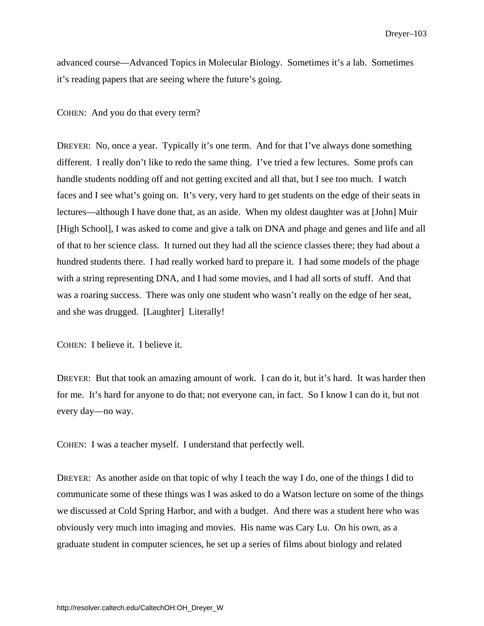advanced course—Advanced Topics in Molecular Biology. Sometimes it's a lab. Sometimes it's reading papers that are seeing where the future's going.

COHEN: And you do that every term?

DREYER: No, once a year. Typically it's one term. And for that I've always done something different. I really don't like to redo the same thing. I've tried a few lectures. Some profs can handle students nodding off and not getting excited and all that, but I see too much. I watch faces and I see what's going on. It's very, very hard to get students on the edge of their seats in lectures—although I have done that, as an aside. When my oldest daughter was at [John] Muir [High School], I was asked to come and give a talk on DNA and phage and genes and life and all of that to her science class. It turned out they had all the science classes there; they had about a hundred students there. I had really worked hard to prepare it. I had some models of the phage with a string representing DNA, and I had some movies, and I had all sorts of stuff. And that was a roaring success. There was only one student who wasn't really on the edge of her seat, and she was drugged. [Laughter] Literally!

COHEN: I believe it. I believe it.

DREYER: But that took an amazing amount of work. I can do it, but it's hard. It was harder then for me. It's hard for anyone to do that; not everyone can, in fact. So I know I can do it, but not every day—no way.

COHEN: I was a teacher myself. I understand that perfectly well.

DREYER: As another aside on that topic of why I teach the way I do, one of the things I did to communicate some of these things was I was asked to do a Watson lecture on some of the things we discussed at Cold Spring Harbor, and with a budget. And there was a student here who was obviously very much into imaging and movies. His name was Cary Lu. On his own, as a graduate student in computer sciences, he set up a series of films about biology and related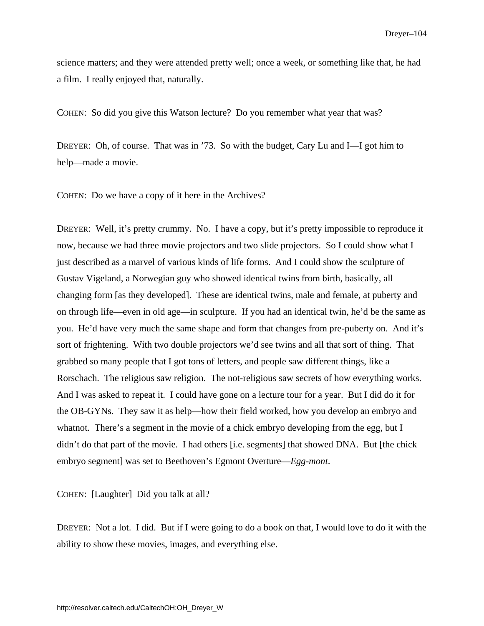science matters; and they were attended pretty well; once a week, or something like that, he had a film. I really enjoyed that, naturally.

COHEN: So did you give this Watson lecture? Do you remember what year that was?

DREYER: Oh, of course. That was in '73. So with the budget, Cary Lu and I—I got him to help—made a movie.

COHEN: Do we have a copy of it here in the Archives?

DREYER: Well, it's pretty crummy. No. I have a copy, but it's pretty impossible to reproduce it now, because we had three movie projectors and two slide projectors. So I could show what I just described as a marvel of various kinds of life forms. And I could show the sculpture of Gustav Vigeland, a Norwegian guy who showed identical twins from birth, basically, all changing form [as they developed]. These are identical twins, male and female, at puberty and on through life—even in old age—in sculpture. If you had an identical twin, he'd be the same as you. He'd have very much the same shape and form that changes from pre-puberty on. And it's sort of frightening. With two double projectors we'd see twins and all that sort of thing. That grabbed so many people that I got tons of letters, and people saw different things, like a Rorschach. The religious saw religion. The not-religious saw secrets of how everything works. And I was asked to repeat it. I could have gone on a lecture tour for a year. But I did do it for the OB-GYNs. They saw it as help—how their field worked, how you develop an embryo and what the There's a segment in the movie of a chick embryo developing from the egg, but I didn't do that part of the movie. I had others [i.e. segments] that showed DNA. But [the chick embryo segment] was set to Beethoven's Egmont Overture—*Egg-mont*.

COHEN: [Laughter] Did you talk at all?

DREYER: Not a lot. I did. But if I were going to do a book on that, I would love to do it with the ability to show these movies, images, and everything else.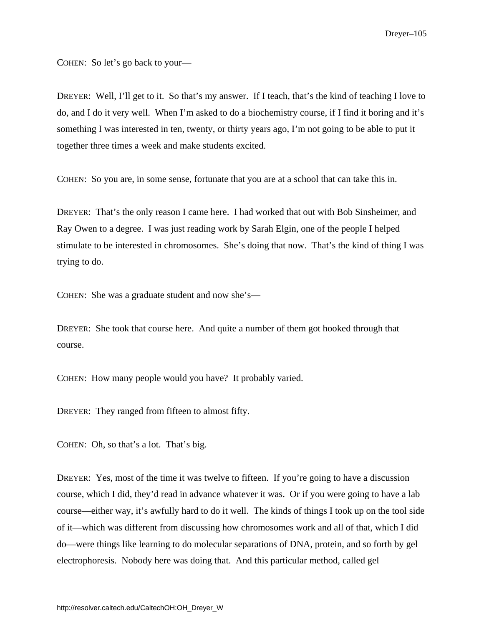COHEN: So let's go back to your—

DREYER: Well, I'll get to it. So that's my answer. If I teach, that's the kind of teaching I love to do, and I do it very well. When I'm asked to do a biochemistry course, if I find it boring and it's something I was interested in ten, twenty, or thirty years ago, I'm not going to be able to put it together three times a week and make students excited.

COHEN: So you are, in some sense, fortunate that you are at a school that can take this in.

DREYER: That's the only reason I came here. I had worked that out with Bob Sinsheimer, and Ray Owen to a degree. I was just reading work by Sarah Elgin, one of the people I helped stimulate to be interested in chromosomes. She's doing that now. That's the kind of thing I was trying to do.

COHEN: She was a graduate student and now she's—

DREYER: She took that course here. And quite a number of them got hooked through that course.

COHEN: How many people would you have? It probably varied.

DREYER: They ranged from fifteen to almost fifty.

COHEN: Oh, so that's a lot. That's big.

DREYER: Yes, most of the time it was twelve to fifteen. If you're going to have a discussion course, which I did, they'd read in advance whatever it was. Or if you were going to have a lab course—either way, it's awfully hard to do it well. The kinds of things I took up on the tool side of it—which was different from discussing how chromosomes work and all of that, which I did do—were things like learning to do molecular separations of DNA, protein, and so forth by gel electrophoresis. Nobody here was doing that. And this particular method, called gel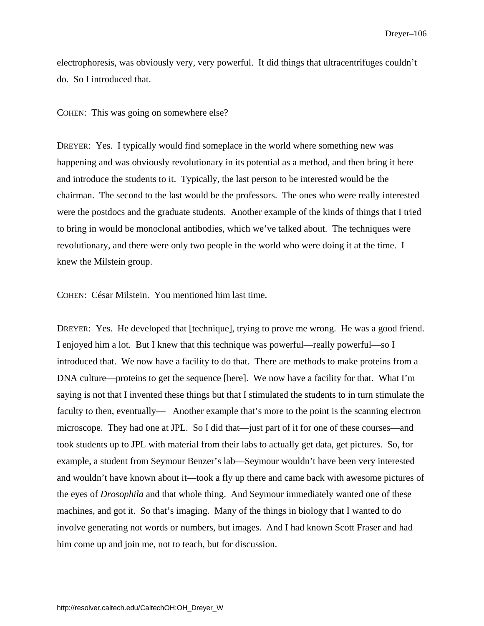electrophoresis, was obviously very, very powerful. It did things that ultracentrifuges couldn't do. So I introduced that.

#### COHEN: This was going on somewhere else?

DREYER: Yes. I typically would find someplace in the world where something new was happening and was obviously revolutionary in its potential as a method, and then bring it here and introduce the students to it. Typically, the last person to be interested would be the chairman. The second to the last would be the professors. The ones who were really interested were the postdocs and the graduate students. Another example of the kinds of things that I tried to bring in would be monoclonal antibodies, which we've talked about. The techniques were revolutionary, and there were only two people in the world who were doing it at the time. I knew the Milstein group.

COHEN: César Milstein. You mentioned him last time.

DREYER: Yes. He developed that [technique], trying to prove me wrong. He was a good friend. I enjoyed him a lot. But I knew that this technique was powerful—really powerful—so I introduced that. We now have a facility to do that. There are methods to make proteins from a DNA culture—proteins to get the sequence [here]. We now have a facility for that. What I'm saying is not that I invented these things but that I stimulated the students to in turn stimulate the faculty to then, eventually— Another example that's more to the point is the scanning electron microscope. They had one at JPL. So I did that—just part of it for one of these courses—and took students up to JPL with material from their labs to actually get data, get pictures. So, for example, a student from Seymour Benzer's lab—Seymour wouldn't have been very interested and wouldn't have known about it—took a fly up there and came back with awesome pictures of the eyes of *Drosophila* and that whole thing. And Seymour immediately wanted one of these machines, and got it. So that's imaging. Many of the things in biology that I wanted to do involve generating not words or numbers, but images. And I had known Scott Fraser and had him come up and join me, not to teach, but for discussion.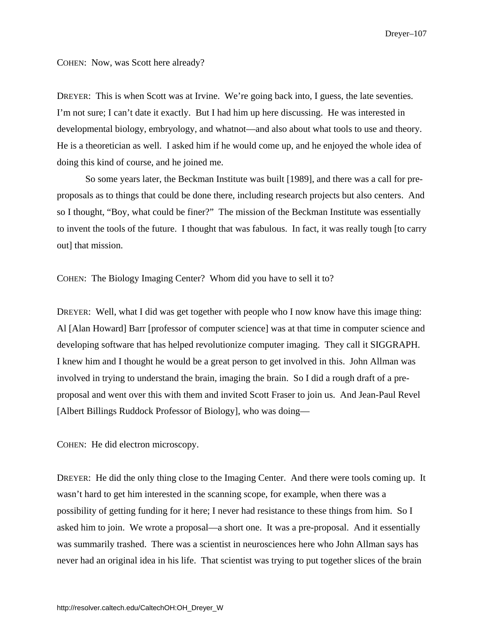COHEN: Now, was Scott here already?

DREYER: This is when Scott was at Irvine. We're going back into, I guess, the late seventies. I'm not sure; I can't date it exactly. But I had him up here discussing. He was interested in developmental biology, embryology, and whatnot—and also about what tools to use and theory. He is a theoretician as well. I asked him if he would come up, and he enjoyed the whole idea of doing this kind of course, and he joined me.

So some years later, the Beckman Institute was built [1989], and there was a call for preproposals as to things that could be done there, including research projects but also centers. And so I thought, "Boy, what could be finer?" The mission of the Beckman Institute was essentially to invent the tools of the future. I thought that was fabulous. In fact, it was really tough [to carry out] that mission.

COHEN: The Biology Imaging Center? Whom did you have to sell it to?

DREYER: Well, what I did was get together with people who I now know have this image thing: Al [Alan Howard] Barr [professor of computer science] was at that time in computer science and developing software that has helped revolutionize computer imaging. They call it SIGGRAPH. I knew him and I thought he would be a great person to get involved in this. John Allman was involved in trying to understand the brain, imaging the brain. So I did a rough draft of a preproposal and went over this with them and invited Scott Fraser to join us. And Jean-Paul Revel [Albert Billings Ruddock Professor of Biology], who was doing—

COHEN: He did electron microscopy.

DREYER: He did the only thing close to the Imaging Center. And there were tools coming up. It wasn't hard to get him interested in the scanning scope, for example, when there was a possibility of getting funding for it here; I never had resistance to these things from him. So I asked him to join. We wrote a proposal—a short one. It was a pre-proposal. And it essentially was summarily trashed. There was a scientist in neurosciences here who John Allman says has never had an original idea in his life. That scientist was trying to put together slices of the brain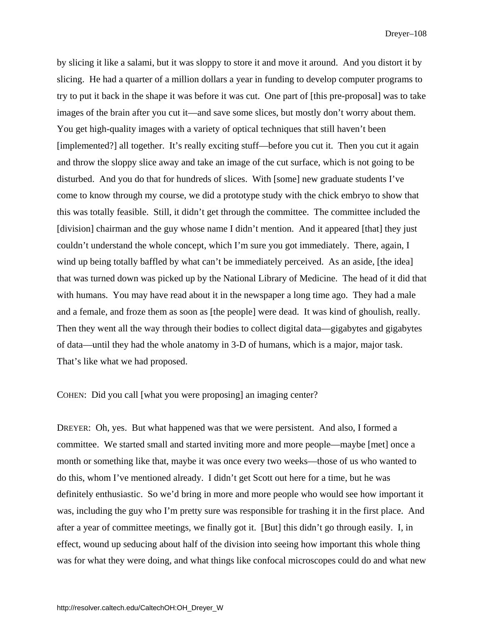by slicing it like a salami, but it was sloppy to store it and move it around. And you distort it by slicing. He had a quarter of a million dollars a year in funding to develop computer programs to try to put it back in the shape it was before it was cut. One part of [this pre-proposal] was to take images of the brain after you cut it—and save some slices, but mostly don't worry about them. You get high-quality images with a variety of optical techniques that still haven't been [implemented?] all together. It's really exciting stuff—before you cut it. Then you cut it again and throw the sloppy slice away and take an image of the cut surface, which is not going to be disturbed. And you do that for hundreds of slices. With [some] new graduate students I've come to know through my course, we did a prototype study with the chick embryo to show that this was totally feasible. Still, it didn't get through the committee. The committee included the [division] chairman and the guy whose name I didn't mention. And it appeared [that] they just couldn't understand the whole concept, which I'm sure you got immediately. There, again, I wind up being totally baffled by what can't be immediately perceived. As an aside, [the idea] that was turned down was picked up by the National Library of Medicine. The head of it did that with humans. You may have read about it in the newspaper a long time ago. They had a male and a female, and froze them as soon as [the people] were dead. It was kind of ghoulish, really. Then they went all the way through their bodies to collect digital data—gigabytes and gigabytes of data—until they had the whole anatomy in 3-D of humans, which is a major, major task. That's like what we had proposed.

COHEN: Did you call [what you were proposing] an imaging center?

DREYER: Oh, yes. But what happened was that we were persistent. And also, I formed a committee. We started small and started inviting more and more people—maybe [met] once a month or something like that, maybe it was once every two weeks—those of us who wanted to do this, whom I've mentioned already. I didn't get Scott out here for a time, but he was definitely enthusiastic. So we'd bring in more and more people who would see how important it was, including the guy who I'm pretty sure was responsible for trashing it in the first place. And after a year of committee meetings, we finally got it. [But] this didn't go through easily. I, in effect, wound up seducing about half of the division into seeing how important this whole thing was for what they were doing, and what things like confocal microscopes could do and what new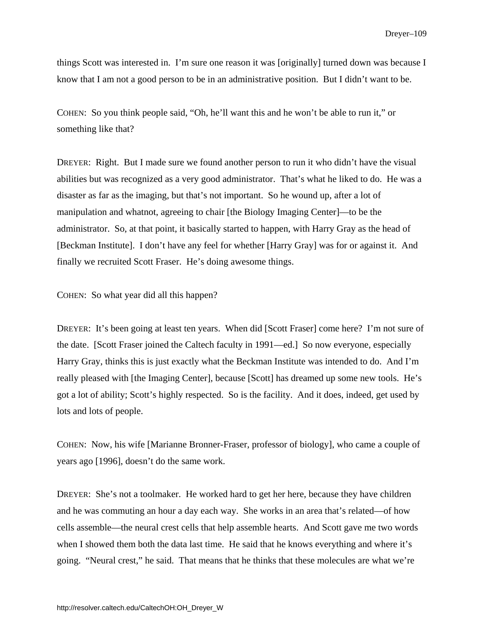things Scott was interested in. I'm sure one reason it was [originally] turned down was because I know that I am not a good person to be in an administrative position. But I didn't want to be.

COHEN: So you think people said, "Oh, he'll want this and he won't be able to run it," or something like that?

DREYER: Right. But I made sure we found another person to run it who didn't have the visual abilities but was recognized as a very good administrator. That's what he liked to do. He was a disaster as far as the imaging, but that's not important. So he wound up, after a lot of manipulation and whatnot, agreeing to chair [the Biology Imaging Center]—to be the administrator. So, at that point, it basically started to happen, with Harry Gray as the head of [Beckman Institute]. I don't have any feel for whether [Harry Gray] was for or against it. And finally we recruited Scott Fraser. He's doing awesome things.

COHEN: So what year did all this happen?

DREYER: It's been going at least ten years. When did [Scott Fraser] come here? I'm not sure of the date. [Scott Fraser joined the Caltech faculty in 1991—ed.] So now everyone, especially Harry Gray, thinks this is just exactly what the Beckman Institute was intended to do. And I'm really pleased with [the Imaging Center], because [Scott] has dreamed up some new tools. He's got a lot of ability; Scott's highly respected. So is the facility. And it does, indeed, get used by lots and lots of people.

COHEN: Now, his wife [Marianne Bronner-Fraser, professor of biology], who came a couple of years ago [1996], doesn't do the same work.

DREYER: She's not a toolmaker. He worked hard to get her here, because they have children and he was commuting an hour a day each way. She works in an area that's related—of how cells assemble—the neural crest cells that help assemble hearts. And Scott gave me two words when I showed them both the data last time. He said that he knows everything and where it's going. "Neural crest," he said. That means that he thinks that these molecules are what we're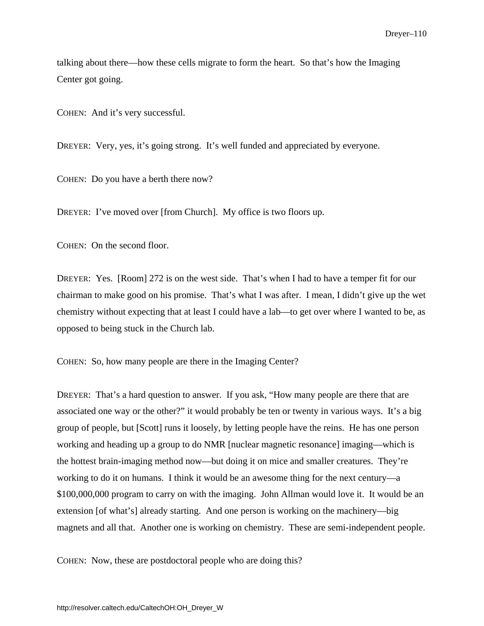talking about there—how these cells migrate to form the heart. So that's how the Imaging Center got going.

COHEN: And it's very successful.

DREYER: Very, yes, it's going strong. It's well funded and appreciated by everyone.

COHEN: Do you have a berth there now?

DREYER: I've moved over [from Church]. My office is two floors up.

COHEN: On the second floor.

DREYER: Yes. [Room] 272 is on the west side. That's when I had to have a temper fit for our chairman to make good on his promise. That's what I was after. I mean, I didn't give up the wet chemistry without expecting that at least I could have a lab—to get over where I wanted to be, as opposed to being stuck in the Church lab.

COHEN: So, how many people are there in the Imaging Center?

DREYER: That's a hard question to answer. If you ask, "How many people are there that are associated one way or the other?" it would probably be ten or twenty in various ways. It's a big group of people, but [Scott] runs it loosely, by letting people have the reins. He has one person working and heading up a group to do NMR [nuclear magnetic resonance] imaging—which is the hottest brain-imaging method now—but doing it on mice and smaller creatures. They're working to do it on humans. I think it would be an awesome thing for the next century—a \$100,000,000 program to carry on with the imaging. John Allman would love it. It would be an extension [of what's] already starting. And one person is working on the machinery—big magnets and all that. Another one is working on chemistry. These are semi-independent people.

COHEN: Now, these are postdoctoral people who are doing this?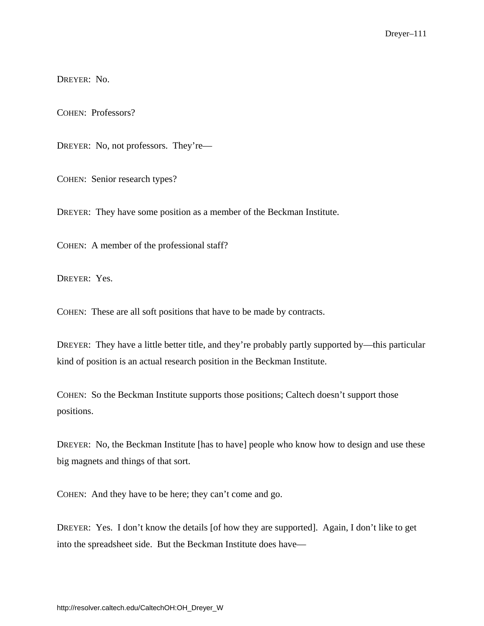DREYER: No.

COHEN: Professors?

DREYER: No, not professors. They're—

COHEN: Senior research types?

DREYER: They have some position as a member of the Beckman Institute.

COHEN: A member of the professional staff?

DREYER: Yes.

COHEN: These are all soft positions that have to be made by contracts.

DREYER: They have a little better title, and they're probably partly supported by—this particular kind of position is an actual research position in the Beckman Institute.

COHEN: So the Beckman Institute supports those positions; Caltech doesn't support those positions.

DREYER: No, the Beckman Institute [has to have] people who know how to design and use these big magnets and things of that sort.

COHEN: And they have to be here; they can't come and go.

DREYER: Yes. I don't know the details [of how they are supported]. Again, I don't like to get into the spreadsheet side. But the Beckman Institute does have—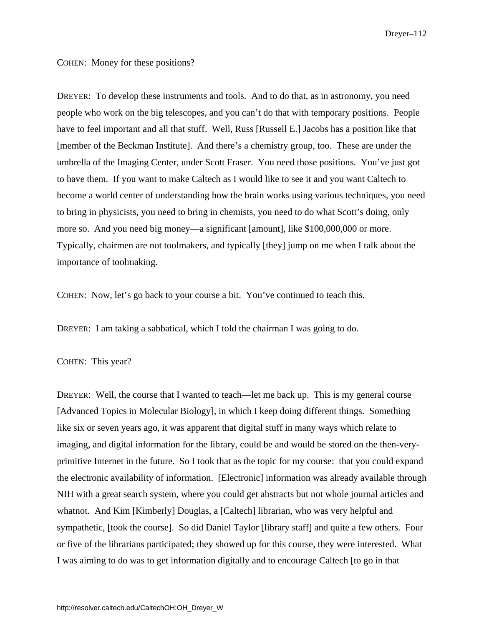#### COHEN: Money for these positions?

DREYER: To develop these instruments and tools. And to do that, as in astronomy, you need people who work on the big telescopes, and you can't do that with temporary positions. People have to feel important and all that stuff. Well, Russ [Russell E.] Jacobs has a position like that [member of the Beckman Institute]. And there's a chemistry group, too. These are under the umbrella of the Imaging Center, under Scott Fraser. You need those positions. You've just got to have them. If you want to make Caltech as I would like to see it and you want Caltech to become a world center of understanding how the brain works using various techniques, you need to bring in physicists, you need to bring in chemists, you need to do what Scott's doing, only more so. And you need big money—a significant [amount], like \$100,000,000 or more. Typically, chairmen are not toolmakers, and typically [they] jump on me when I talk about the importance of toolmaking.

COHEN: Now, let's go back to your course a bit. You've continued to teach this.

DREYER: I am taking a sabbatical, which I told the chairman I was going to do.

### COHEN: This year?

DREYER: Well, the course that I wanted to teach—let me back up. This is my general course [Advanced Topics in Molecular Biology], in which I keep doing different things. Something like six or seven years ago, it was apparent that digital stuff in many ways which relate to imaging, and digital information for the library, could be and would be stored on the then-veryprimitive Internet in the future. So I took that as the topic for my course: that you could expand the electronic availability of information. [Electronic] information was already available through NIH with a great search system, where you could get abstracts but not whole journal articles and whatnot. And Kim [Kimberly] Douglas, a [Caltech] librarian, who was very helpful and sympathetic, [took the course]. So did Daniel Taylor [library staff] and quite a few others. Four or five of the librarians participated; they showed up for this course, they were interested. What I was aiming to do was to get information digitally and to encourage Caltech [to go in that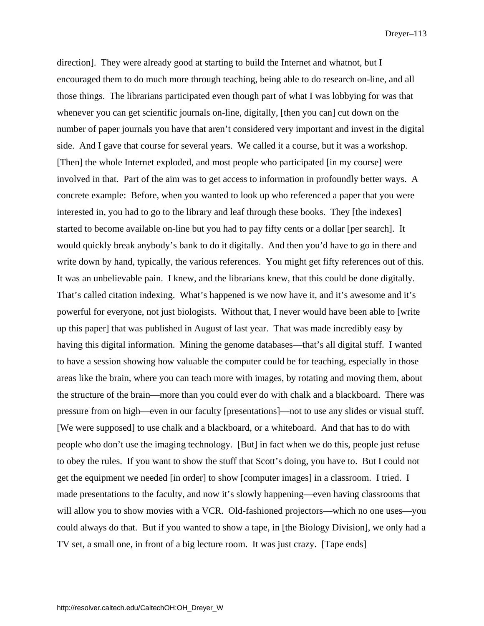direction]. They were already good at starting to build the Internet and whatnot, but I encouraged them to do much more through teaching, being able to do research on-line, and all those things. The librarians participated even though part of what I was lobbying for was that whenever you can get scientific journals on-line, digitally, [then you can] cut down on the number of paper journals you have that aren't considered very important and invest in the digital side. And I gave that course for several years. We called it a course, but it was a workshop. [Then] the whole Internet exploded, and most people who participated [in my course] were involved in that. Part of the aim was to get access to information in profoundly better ways. A concrete example: Before, when you wanted to look up who referenced a paper that you were interested in, you had to go to the library and leaf through these books. They [the indexes] started to become available on-line but you had to pay fifty cents or a dollar [per search]. It would quickly break anybody's bank to do it digitally. And then you'd have to go in there and write down by hand, typically, the various references. You might get fifty references out of this. It was an unbelievable pain. I knew, and the librarians knew, that this could be done digitally. That's called citation indexing. What's happened is we now have it, and it's awesome and it's powerful for everyone, not just biologists. Without that, I never would have been able to [write up this paper] that was published in August of last year. That was made incredibly easy by having this digital information. Mining the genome databases—that's all digital stuff. I wanted to have a session showing how valuable the computer could be for teaching, especially in those areas like the brain, where you can teach more with images, by rotating and moving them, about the structure of the brain—more than you could ever do with chalk and a blackboard. There was pressure from on high—even in our faculty [presentations]—not to use any slides or visual stuff. [We were supposed] to use chalk and a blackboard, or a whiteboard. And that has to do with people who don't use the imaging technology. [But] in fact when we do this, people just refuse to obey the rules. If you want to show the stuff that Scott's doing, you have to. But I could not get the equipment we needed [in order] to show [computer images] in a classroom. I tried. I made presentations to the faculty, and now it's slowly happening—even having classrooms that will allow you to show movies with a VCR. Old-fashioned projectors—which no one uses—you could always do that. But if you wanted to show a tape, in [the Biology Division], we only had a TV set, a small one, in front of a big lecture room. It was just crazy. [Tape ends]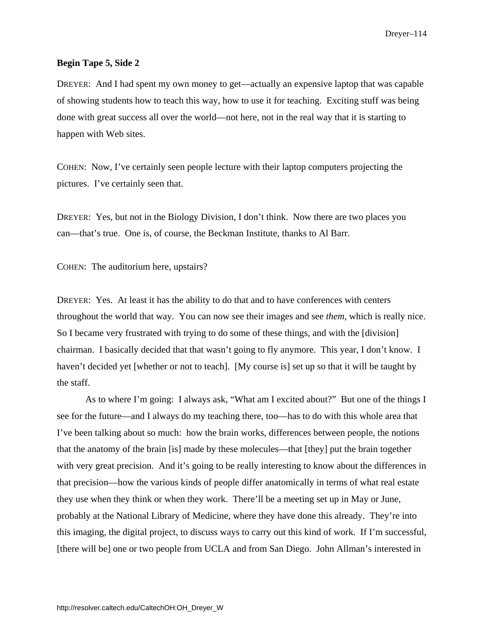## **Begin Tape 5, Side 2**

DREYER: And I had spent my own money to get—actually an expensive laptop that was capable of showing students how to teach this way, how to use it for teaching. Exciting stuff was being done with great success all over the world—not here, not in the real way that it is starting to happen with Web sites.

COHEN: Now, I've certainly seen people lecture with their laptop computers projecting the pictures. I've certainly seen that.

DREYER: Yes, but not in the Biology Division, I don't think. Now there are two places you can—that's true. One is, of course, the Beckman Institute, thanks to Al Barr.

COHEN: The auditorium here, upstairs?

DREYER: Yes. At least it has the ability to do that and to have conferences with centers throughout the world that way. You can now see their images and see *them*, which is really nice. So I became very frustrated with trying to do some of these things, and with the [division] chairman. I basically decided that that wasn't going to fly anymore. This year, I don't know. I haven't decided yet [whether or not to teach]. [My course is] set up so that it will be taught by the staff.

As to where I'm going: I always ask, "What am I excited about?" But one of the things I see for the future—and I always do my teaching there, too—has to do with this whole area that I've been talking about so much: how the brain works, differences between people, the notions that the anatomy of the brain [is] made by these molecules—that [they] put the brain together with very great precision. And it's going to be really interesting to know about the differences in that precision—how the various kinds of people differ anatomically in terms of what real estate they use when they think or when they work. There'll be a meeting set up in May or June, probably at the National Library of Medicine, where they have done this already. They're into this imaging, the digital project, to discuss ways to carry out this kind of work. If I'm successful, [there will be] one or two people from UCLA and from San Diego. John Allman's interested in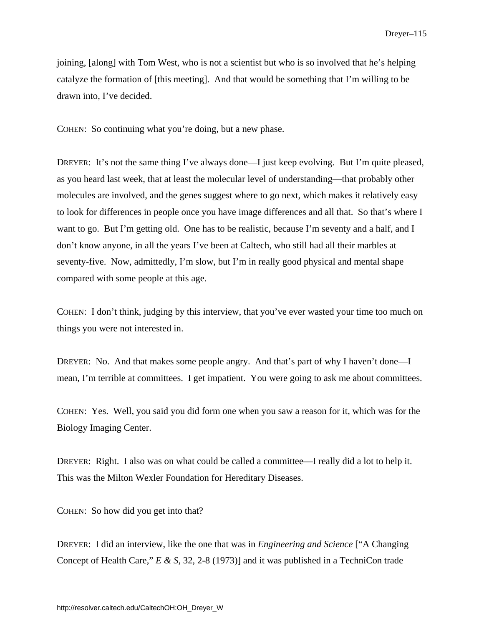joining, [along] with Tom West, who is not a scientist but who is so involved that he's helping catalyze the formation of [this meeting]. And that would be something that I'm willing to be drawn into, I've decided.

COHEN: So continuing what you're doing, but a new phase.

DREYER: It's not the same thing I've always done—I just keep evolving. But I'm quite pleased, as you heard last week, that at least the molecular level of understanding—that probably other molecules are involved, and the genes suggest where to go next, which makes it relatively easy to look for differences in people once you have image differences and all that. So that's where I want to go. But I'm getting old. One has to be realistic, because I'm seventy and a half, and I don't know anyone, in all the years I've been at Caltech, who still had all their marbles at seventy-five. Now, admittedly, I'm slow, but I'm in really good physical and mental shape compared with some people at this age.

COHEN: I don't think, judging by this interview, that you've ever wasted your time too much on things you were not interested in.

DREYER: No. And that makes some people angry. And that's part of why I haven't done—I mean, I'm terrible at committees. I get impatient. You were going to ask me about committees.

COHEN: Yes. Well, you said you did form one when you saw a reason for it, which was for the Biology Imaging Center.

DREYER: Right. I also was on what could be called a committee—I really did a lot to help it. This was the Milton Wexler Foundation for Hereditary Diseases.

COHEN: So how did you get into that?

DREYER: I did an interview, like the one that was in *Engineering and Science* ["A Changing Concept of Health Care," *E & S*, 32, 2-8 (1973)] and it was published in a TechniCon trade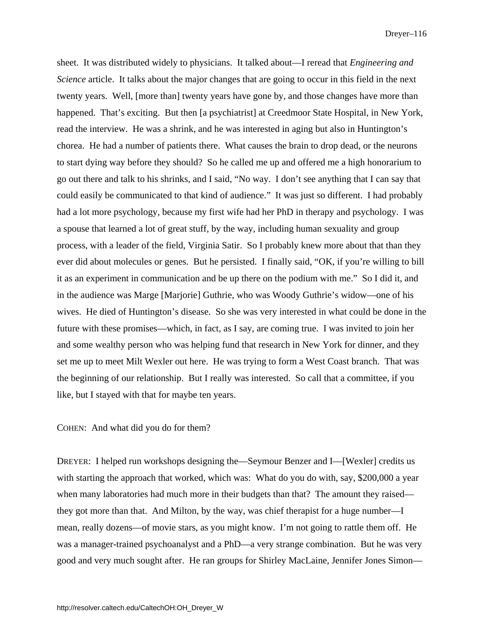sheet. It was distributed widely to physicians. It talked about—I reread that *Engineering and Science* article. It talks about the major changes that are going to occur in this field in the next twenty years. Well, [more than] twenty years have gone by, and those changes have more than happened. That's exciting. But then [a psychiatrist] at Creedmoor State Hospital, in New York, read the interview. He was a shrink, and he was interested in aging but also in Huntington's chorea. He had a number of patients there. What causes the brain to drop dead, or the neurons to start dying way before they should? So he called me up and offered me a high honorarium to go out there and talk to his shrinks, and I said, "No way. I don't see anything that I can say that could easily be communicated to that kind of audience." It was just so different. I had probably had a lot more psychology, because my first wife had her PhD in therapy and psychology. I was a spouse that learned a lot of great stuff, by the way, including human sexuality and group process, with a leader of the field, Virginia Satir. So I probably knew more about that than they ever did about molecules or genes. But he persisted. I finally said, "OK, if you're willing to bill it as an experiment in communication and be up there on the podium with me." So I did it, and in the audience was Marge [Marjorie] Guthrie, who was Woody Guthrie's widow—one of his wives. He died of Huntington's disease. So she was very interested in what could be done in the future with these promises—which, in fact, as I say, are coming true. I was invited to join her and some wealthy person who was helping fund that research in New York for dinner, and they set me up to meet Milt Wexler out here. He was trying to form a West Coast branch. That was the beginning of our relationship. But I really was interested. So call that a committee, if you like, but I stayed with that for maybe ten years.

COHEN: And what did you do for them?

DREYER: I helped run workshops designing the—Seymour Benzer and I—[Wexler] credits us with starting the approach that worked, which was: What do you do with, say, \$200,000 a year when many laboratories had much more in their budgets than that? The amount they raised they got more than that. And Milton, by the way, was chief therapist for a huge number—I mean, really dozens—of movie stars, as you might know. I'm not going to rattle them off. He was a manager-trained psychoanalyst and a PhD—a very strange combination. But he was very good and very much sought after. He ran groups for Shirley MacLaine, Jennifer Jones Simon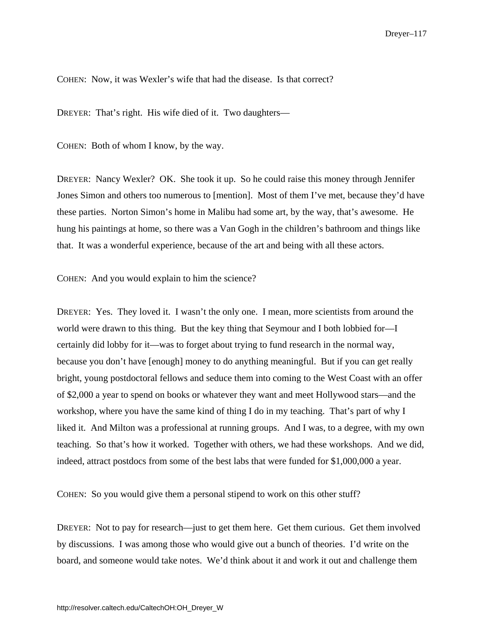COHEN: Now, it was Wexler's wife that had the disease. Is that correct?

DREYER: That's right. His wife died of it. Two daughters—

COHEN: Both of whom I know, by the way.

DREYER: Nancy Wexler? OK. She took it up. So he could raise this money through Jennifer Jones Simon and others too numerous to [mention]. Most of them I've met, because they'd have these parties. Norton Simon's home in Malibu had some art, by the way, that's awesome. He hung his paintings at home, so there was a Van Gogh in the children's bathroom and things like that. It was a wonderful experience, because of the art and being with all these actors.

COHEN: And you would explain to him the science?

DREYER: Yes. They loved it. I wasn't the only one. I mean, more scientists from around the world were drawn to this thing. But the key thing that Seymour and I both lobbied for—I certainly did lobby for it—was to forget about trying to fund research in the normal way, because you don't have [enough] money to do anything meaningful. But if you can get really bright, young postdoctoral fellows and seduce them into coming to the West Coast with an offer of \$2,000 a year to spend on books or whatever they want and meet Hollywood stars—and the workshop, where you have the same kind of thing I do in my teaching. That's part of why I liked it. And Milton was a professional at running groups. And I was, to a degree, with my own teaching. So that's how it worked. Together with others, we had these workshops. And we did, indeed, attract postdocs from some of the best labs that were funded for \$1,000,000 a year.

COHEN: So you would give them a personal stipend to work on this other stuff?

DREYER: Not to pay for research—just to get them here. Get them curious. Get them involved by discussions. I was among those who would give out a bunch of theories. I'd write on the board, and someone would take notes. We'd think about it and work it out and challenge them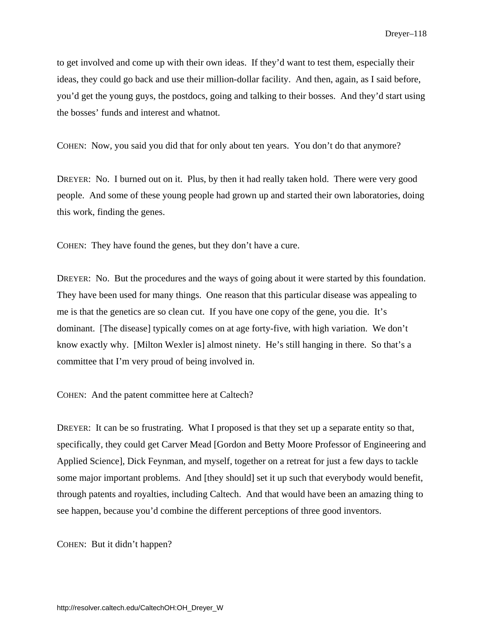to get involved and come up with their own ideas. If they'd want to test them, especially their ideas, they could go back and use their million-dollar facility. And then, again, as I said before, you'd get the young guys, the postdocs, going and talking to their bosses. And they'd start using the bosses' funds and interest and whatnot.

COHEN: Now, you said you did that for only about ten years. You don't do that anymore?

DREYER: No. I burned out on it. Plus, by then it had really taken hold. There were very good people. And some of these young people had grown up and started their own laboratories, doing this work, finding the genes.

COHEN: They have found the genes, but they don't have a cure.

DREYER: No. But the procedures and the ways of going about it were started by this foundation. They have been used for many things. One reason that this particular disease was appealing to me is that the genetics are so clean cut. If you have one copy of the gene, you die. It's dominant. [The disease] typically comes on at age forty-five, with high variation. We don't know exactly why. [Milton Wexler is] almost ninety. He's still hanging in there. So that's a committee that I'm very proud of being involved in.

COHEN: And the patent committee here at Caltech?

DREYER: It can be so frustrating. What I proposed is that they set up a separate entity so that, specifically, they could get Carver Mead [Gordon and Betty Moore Professor of Engineering and Applied Science], Dick Feynman, and myself, together on a retreat for just a few days to tackle some major important problems. And [they should] set it up such that everybody would benefit, through patents and royalties, including Caltech. And that would have been an amazing thing to see happen, because you'd combine the different perceptions of three good inventors.

COHEN: But it didn't happen?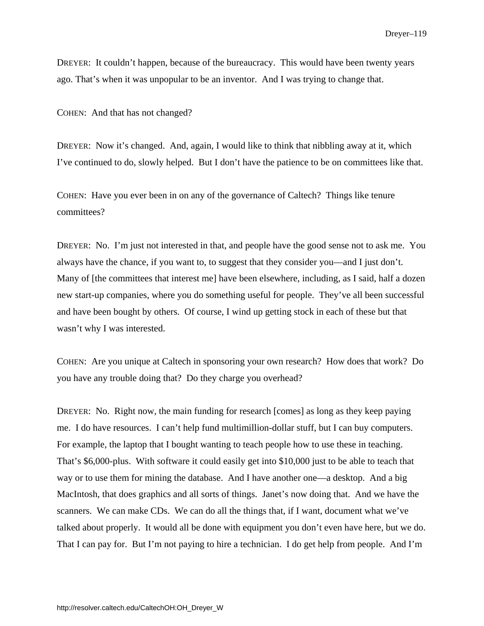DREYER: It couldn't happen, because of the bureaucracy. This would have been twenty years ago. That's when it was unpopular to be an inventor. And I was trying to change that.

COHEN: And that has not changed?

DREYER: Now it's changed. And, again, I would like to think that nibbling away at it, which I've continued to do, slowly helped. But I don't have the patience to be on committees like that.

COHEN: Have you ever been in on any of the governance of Caltech? Things like tenure committees?

DREYER: No. I'm just not interested in that, and people have the good sense not to ask me. You always have the chance, if you want to, to suggest that they consider you—and I just don't. Many of [the committees that interest me] have been elsewhere, including, as I said, half a dozen new start-up companies, where you do something useful for people. They've all been successful and have been bought by others. Of course, I wind up getting stock in each of these but that wasn't why I was interested.

COHEN: Are you unique at Caltech in sponsoring your own research? How does that work? Do you have any trouble doing that? Do they charge you overhead?

DREYER: No. Right now, the main funding for research [comes] as long as they keep paying me. I do have resources. I can't help fund multimillion-dollar stuff, but I can buy computers. For example, the laptop that I bought wanting to teach people how to use these in teaching. That's \$6,000-plus. With software it could easily get into \$10,000 just to be able to teach that way or to use them for mining the database. And I have another one—a desktop. And a big MacIntosh, that does graphics and all sorts of things. Janet's now doing that. And we have the scanners. We can make CDs. We can do all the things that, if I want, document what we've talked about properly. It would all be done with equipment you don't even have here, but we do. That I can pay for. But I'm not paying to hire a technician. I do get help from people. And I'm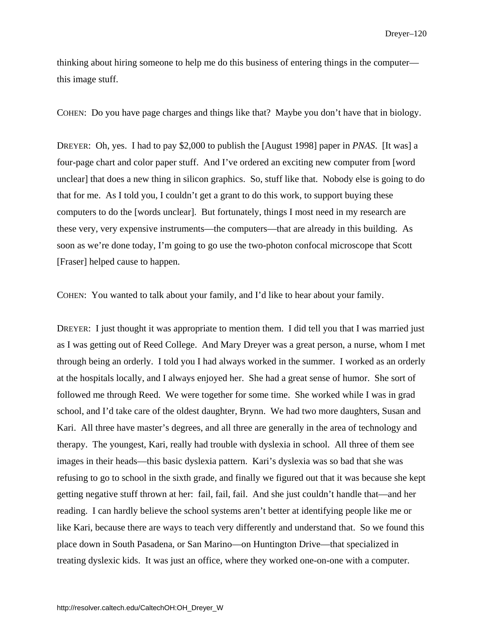thinking about hiring someone to help me do this business of entering things in the computer this image stuff.

COHEN: Do you have page charges and things like that? Maybe you don't have that in biology.

DREYER: Oh, yes. I had to pay \$2,000 to publish the [August 1998] paper in *PNAS*. [It was] a four-page chart and color paper stuff. And I've ordered an exciting new computer from [word unclear] that does a new thing in silicon graphics. So, stuff like that. Nobody else is going to do that for me. As I told you, I couldn't get a grant to do this work, to support buying these computers to do the [words unclear]. But fortunately, things I most need in my research are these very, very expensive instruments—the computers—that are already in this building. As soon as we're done today, I'm going to go use the two-photon confocal microscope that Scott [Fraser] helped cause to happen.

COHEN: You wanted to talk about your family, and I'd like to hear about your family.

DREYER: I just thought it was appropriate to mention them. I did tell you that I was married just as I was getting out of Reed College. And Mary Dreyer was a great person, a nurse, whom I met through being an orderly. I told you I had always worked in the summer. I worked as an orderly at the hospitals locally, and I always enjoyed her. She had a great sense of humor. She sort of followed me through Reed. We were together for some time. She worked while I was in grad school, and I'd take care of the oldest daughter, Brynn. We had two more daughters, Susan and Kari. All three have master's degrees, and all three are generally in the area of technology and therapy. The youngest, Kari, really had trouble with dyslexia in school. All three of them see images in their heads—this basic dyslexia pattern. Kari's dyslexia was so bad that she was refusing to go to school in the sixth grade, and finally we figured out that it was because she kept getting negative stuff thrown at her: fail, fail, fail. And she just couldn't handle that—and her reading. I can hardly believe the school systems aren't better at identifying people like me or like Kari, because there are ways to teach very differently and understand that. So we found this place down in South Pasadena, or San Marino—on Huntington Drive—that specialized in treating dyslexic kids. It was just an office, where they worked one-on-one with a computer.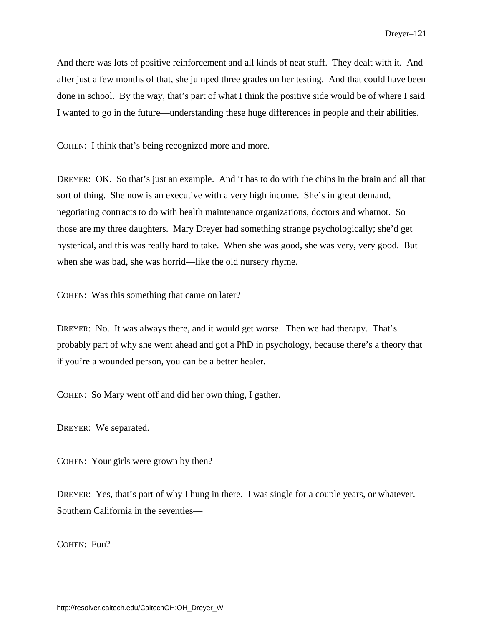And there was lots of positive reinforcement and all kinds of neat stuff. They dealt with it. And after just a few months of that, she jumped three grades on her testing. And that could have been done in school. By the way, that's part of what I think the positive side would be of where I said I wanted to go in the future—understanding these huge differences in people and their abilities.

COHEN: I think that's being recognized more and more.

DREYER: OK. So that's just an example. And it has to do with the chips in the brain and all that sort of thing. She now is an executive with a very high income. She's in great demand, negotiating contracts to do with health maintenance organizations, doctors and whatnot. So those are my three daughters. Mary Dreyer had something strange psychologically; she'd get hysterical, and this was really hard to take. When she was good, she was very, very good. But when she was bad, she was horrid—like the old nursery rhyme.

COHEN: Was this something that came on later?

DREYER: No. It was always there, and it would get worse. Then we had therapy. That's probably part of why she went ahead and got a PhD in psychology, because there's a theory that if you're a wounded person, you can be a better healer.

COHEN: So Mary went off and did her own thing, I gather.

DREYER: We separated.

COHEN: Your girls were grown by then?

DREYER: Yes, that's part of why I hung in there. I was single for a couple years, or whatever. Southern California in the seventies—

COHEN: Fun?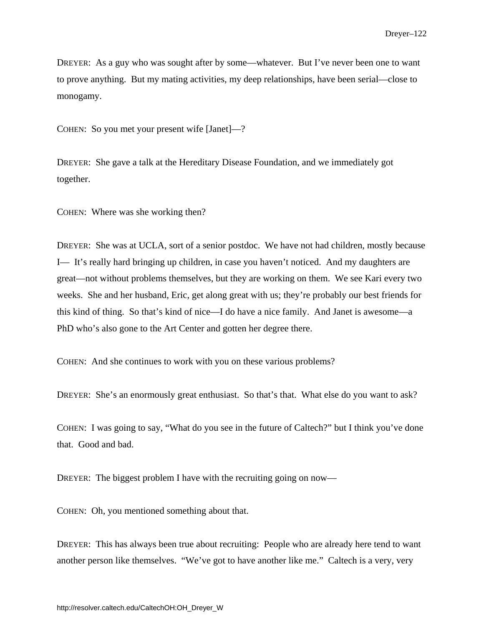DREYER: As a guy who was sought after by some—whatever. But I've never been one to want to prove anything. But my mating activities, my deep relationships, have been serial—close to monogamy.

COHEN: So you met your present wife [Janet]—?

DREYER: She gave a talk at the Hereditary Disease Foundation, and we immediately got together.

COHEN: Where was she working then?

DREYER: She was at UCLA, sort of a senior postdoc. We have not had children, mostly because I— It's really hard bringing up children, in case you haven't noticed. And my daughters are great—not without problems themselves, but they are working on them. We see Kari every two weeks. She and her husband, Eric, get along great with us; they're probably our best friends for this kind of thing. So that's kind of nice—I do have a nice family. And Janet is awesome—a PhD who's also gone to the Art Center and gotten her degree there.

COHEN: And she continues to work with you on these various problems?

DREYER: She's an enormously great enthusiast. So that's that. What else do you want to ask?

COHEN: I was going to say, "What do you see in the future of Caltech?" but I think you've done that. Good and bad.

DREYER: The biggest problem I have with the recruiting going on now—

COHEN: Oh, you mentioned something about that.

DREYER: This has always been true about recruiting: People who are already here tend to want another person like themselves. "We've got to have another like me." Caltech is a very, very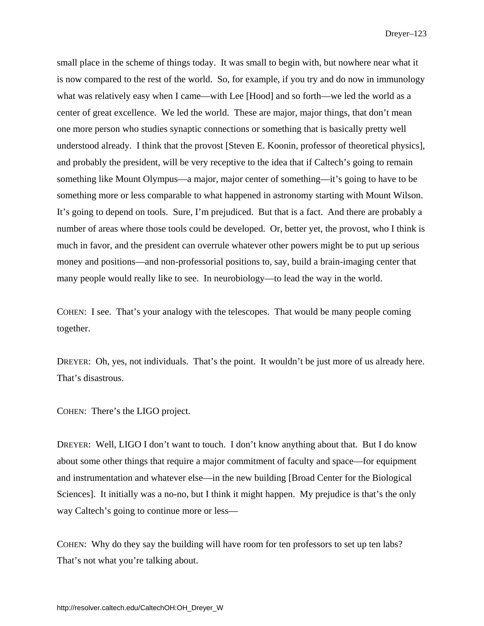small place in the scheme of things today. It was small to begin with, but nowhere near what it is now compared to the rest of the world. So, for example, if you try and do now in immunology what was relatively easy when I came—with Lee [Hood] and so forth—we led the world as a center of great excellence. We led the world. These are major, major things, that don't mean one more person who studies synaptic connections or something that is basically pretty well understood already. I think that the provost [Steven E. Koonin, professor of theoretical physics], and probably the president, will be very receptive to the idea that if Caltech's going to remain something like Mount Olympus—a major, major center of something—it's going to have to be something more or less comparable to what happened in astronomy starting with Mount Wilson. It's going to depend on tools. Sure, I'm prejudiced. But that is a fact. And there are probably a number of areas where those tools could be developed. Or, better yet, the provost, who I think is much in favor, and the president can overrule whatever other powers might be to put up serious money and positions—and non-professorial positions to, say, build a brain-imaging center that many people would really like to see. In neurobiology—to lead the way in the world.

COHEN: I see. That's your analogy with the telescopes. That would be many people coming together.

DREYER: Oh, yes, not individuals. That's the point. It wouldn't be just more of us already here. That's disastrous.

COHEN: There's the LIGO project.

DREYER: Well, LIGO I don't want to touch. I don't know anything about that. But I do know about some other things that require a major commitment of faculty and space—for equipment and instrumentation and whatever else—in the new building [Broad Center for the Biological Sciences]. It initially was a no-no, but I think it might happen. My prejudice is that's the only way Caltech's going to continue more or less—

COHEN: Why do they say the building will have room for ten professors to set up ten labs? That's not what you're talking about.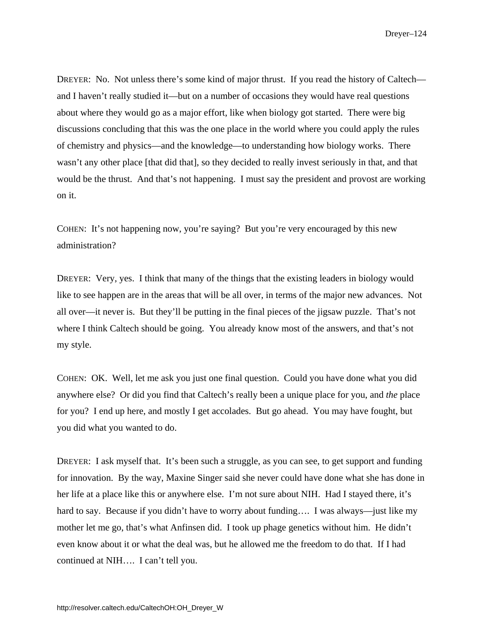DREYER: No. Not unless there's some kind of major thrust. If you read the history of Caltech and I haven't really studied it—but on a number of occasions they would have real questions about where they would go as a major effort, like when biology got started. There were big discussions concluding that this was the one place in the world where you could apply the rules of chemistry and physics—and the knowledge—to understanding how biology works. There wasn't any other place [that did that], so they decided to really invest seriously in that, and that would be the thrust. And that's not happening. I must say the president and provost are working on it.

COHEN: It's not happening now, you're saying? But you're very encouraged by this new administration?

DREYER: Very, yes. I think that many of the things that the existing leaders in biology would like to see happen are in the areas that will be all over, in terms of the major new advances. Not all over—it never is. But they'll be putting in the final pieces of the jigsaw puzzle. That's not where I think Caltech should be going. You already know most of the answers, and that's not my style.

COHEN: OK. Well, let me ask you just one final question. Could you have done what you did anywhere else? Or did you find that Caltech's really been a unique place for you, and *the* place for you? I end up here, and mostly I get accolades. But go ahead. You may have fought, but you did what you wanted to do.

DREYER: I ask myself that. It's been such a struggle, as you can see, to get support and funding for innovation. By the way, Maxine Singer said she never could have done what she has done in her life at a place like this or anywhere else. I'm not sure about NIH. Had I stayed there, it's hard to say. Because if you didn't have to worry about funding.... I was always—just like my mother let me go, that's what Anfinsen did. I took up phage genetics without him. He didn't even know about it or what the deal was, but he allowed me the freedom to do that. If I had continued at NIH…. I can't tell you.